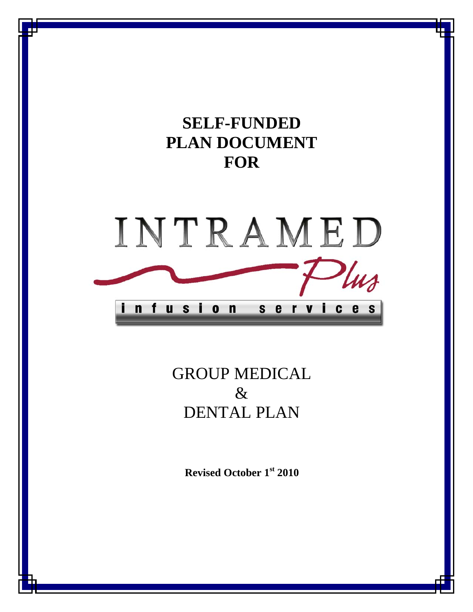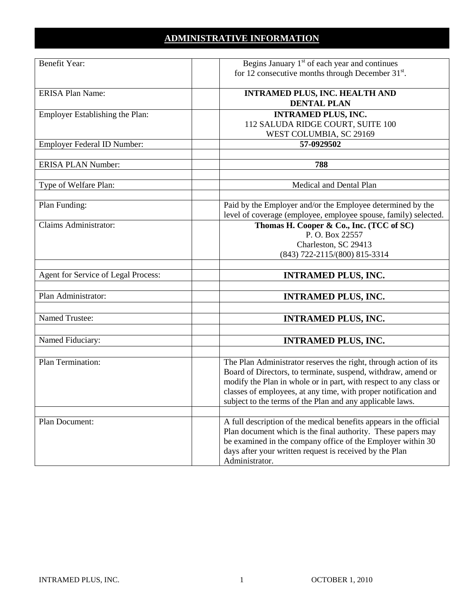# **ADMINISTRATIVE INFORMATION**

| Benefit Year:                       | Begins January $1st$ of each year and continues                    |
|-------------------------------------|--------------------------------------------------------------------|
|                                     | for 12 consecutive months through December 31 <sup>st</sup> .      |
|                                     |                                                                    |
| <b>ERISA Plan Name:</b>             | <b>INTRAMED PLUS, INC. HEALTH AND</b>                              |
|                                     | <b>DENTAL PLAN</b>                                                 |
| Employer Establishing the Plan:     | <b>INTRAMED PLUS, INC.</b>                                         |
|                                     |                                                                    |
|                                     | 112 SALUDA RIDGE COURT, SUITE 100                                  |
|                                     | WEST COLUMBIA, SC 29169                                            |
| Employer Federal ID Number:         | 57-0929502                                                         |
|                                     |                                                                    |
| <b>ERISA PLAN Number:</b>           | 788                                                                |
|                                     |                                                                    |
| Type of Welfare Plan:               | Medical and Dental Plan                                            |
|                                     |                                                                    |
|                                     |                                                                    |
| Plan Funding:                       | Paid by the Employer and/or the Employee determined by the         |
|                                     | level of coverage (employee, employee spouse, family) selected.    |
| Claims Administrator:               | Thomas H. Cooper & Co., Inc. (TCC of SC)                           |
|                                     | P.O. Box 22557                                                     |
|                                     | Charleston, SC 29413                                               |
|                                     | (843) 722-2115/(800) 815-3314                                      |
|                                     |                                                                    |
| Agent for Service of Legal Process: | <b>INTRAMED PLUS, INC.</b>                                         |
|                                     |                                                                    |
|                                     |                                                                    |
| Plan Administrator:                 | <b>INTRAMED PLUS, INC.</b>                                         |
|                                     |                                                                    |
| <b>Named Trustee:</b>               | <b>INTRAMED PLUS, INC.</b>                                         |
|                                     |                                                                    |
| Named Fiduciary:                    |                                                                    |
|                                     | <b>INTRAMED PLUS, INC.</b>                                         |
|                                     |                                                                    |
| Plan Termination:                   | The Plan Administrator reserves the right, through action of its   |
|                                     | Board of Directors, to terminate, suspend, withdraw, amend or      |
|                                     | modify the Plan in whole or in part, with respect to any class or  |
|                                     | classes of employees, at any time, with proper notification and    |
|                                     | subject to the terms of the Plan and any applicable laws.          |
|                                     |                                                                    |
|                                     |                                                                    |
| Plan Document:                      | A full description of the medical benefits appears in the official |
|                                     | Plan document which is the final authority. These papers may       |
|                                     | be examined in the company office of the Employer within 30        |
|                                     | days after your written request is received by the Plan            |
|                                     | Administrator.                                                     |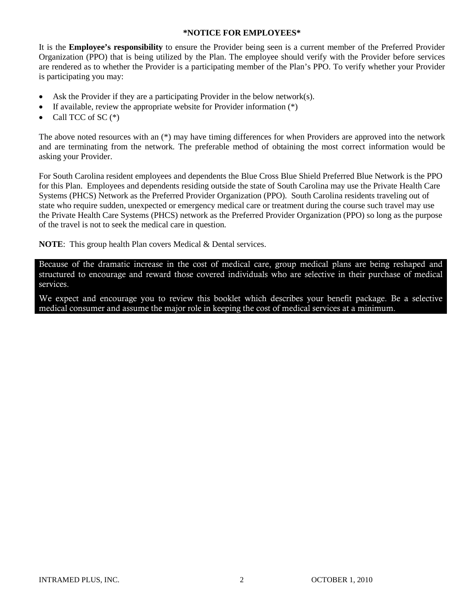#### **\*NOTICE FOR EMPLOYEES\***

It is the **Employee's responsibility** to ensure the Provider being seen is a current member of the Preferred Provider Organization (PPO) that is being utilized by the Plan. The employee should verify with the Provider before services are rendered as to whether the Provider is a participating member of the Plan's PPO. To verify whether your Provider is participating you may:

- Ask the Provider if they are a participating Provider in the below network(s).
- If available, review the appropriate website for Provider information  $(*)$
- Call TCC of SC $(*)$

The above noted resources with an (\*) may have timing differences for when Providers are approved into the network and are terminating from the network. The preferable method of obtaining the most correct information would be asking your Provider.

For South Carolina resident employees and dependents the Blue Cross Blue Shield Preferred Blue Network is the PPO for this Plan. Employees and dependents residing outside the state of South Carolina may use the Private Health Care Systems (PHCS) Network as the Preferred Provider Organization (PPO). South Carolina residents traveling out of state who require sudden, unexpected or emergency medical care or treatment during the course such travel may use the Private Health Care Systems (PHCS) network as the Preferred Provider Organization (PPO) so long as the purpose of the travel is not to seek the medical care in question.

**NOTE**: This group health Plan covers Medical & Dental services.

Because of the dramatic increase in the cost of medical care, group medical plans are being reshaped and structured to encourage and reward those covered individuals who are selective in their purchase of medical services.

We expect and encourage you to review this booklet which describes your benefit package. Be a selective medical consumer and assume the major role in keeping the cost of medical services at a minimum.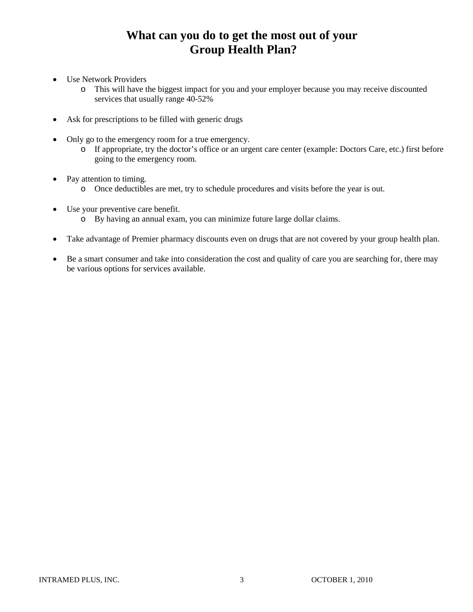# **What can you do to get the most out of your Group Health Plan?**

- Use Network Providers
	- o This will have the biggest impact for you and your employer because you may receive discounted services that usually range 40-52%
- Ask for prescriptions to be filled with generic drugs
- Only go to the emergency room for a true emergency.
	- o If appropriate, try the doctor's office or an urgent care center (example: Doctors Care, etc.) first before going to the emergency room.
- Pay attention to timing.
	- o Once deductibles are met, try to schedule procedures and visits before the year is out.
- Use your preventive care benefit.
	- o By having an annual exam, you can minimize future large dollar claims.
- Take advantage of Premier pharmacy discounts even on drugs that are not covered by your group health plan.
- Be a smart consumer and take into consideration the cost and quality of care you are searching for, there may be various options for services available.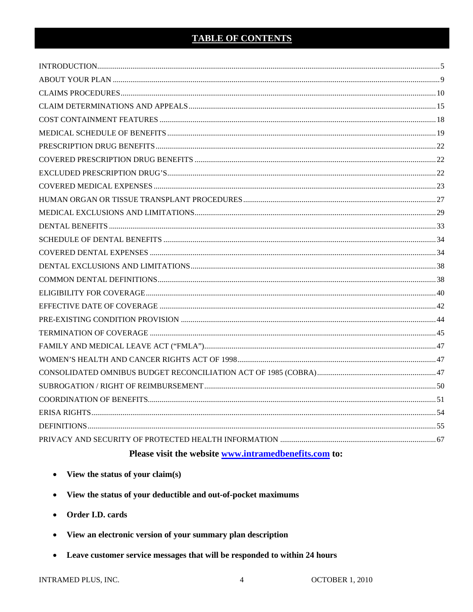# **TABLE OF CONTENTS**

# Please visit the website www.intramedbenefits.com to:

- View the status of your claim(s)  $\bullet$
- View the status of your deductible and out-of-pocket maximums  $\bullet$
- Order I.D. cards  $\bullet$
- View an electronic version of your summary plan description  $\bullet$
- Leave customer service messages that will be responded to within 24 hours

INTRAMED PLUS, INC.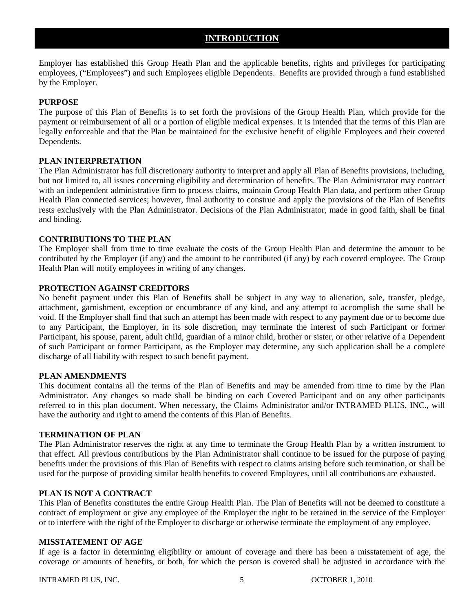# **INTRODUCTION**

<span id="page-5-0"></span>Employer has established this Group Heath Plan and the applicable benefits, rights and privileges for participating employees, ("Employees") and such Employees eligible Dependents. Benefits are provided through a fund established by the Employer.

# **PURPOSE**

The purpose of this Plan of Benefits is to set forth the provisions of the Group Health Plan, which provide for the payment or reimbursement of all or a portion of eligible medical expenses. It is intended that the terms of this Plan are legally enforceable and that the Plan be maintained for the exclusive benefit of eligible Employees and their covered Dependents.

## **PLAN INTERPRETATION**

The Plan Administrator has full discretionary authority to interpret and apply all Plan of Benefits provisions, including, but not limited to, all issues concerning eligibility and determination of benefits. The Plan Administrator may contract with an independent administrative firm to process claims, maintain Group Health Plan data, and perform other Group Health Plan connected services; however, final authority to construe and apply the provisions of the Plan of Benefits rests exclusively with the Plan Administrator. Decisions of the Plan Administrator, made in good faith, shall be final and binding.

## **CONTRIBUTIONS TO THE PLAN**

The Employer shall from time to time evaluate the costs of the Group Health Plan and determine the amount to be contributed by the Employer (if any) and the amount to be contributed (if any) by each covered employee. The Group Health Plan will notify employees in writing of any changes.

## **PROTECTION AGAINST CREDITORS**

No benefit payment under this Plan of Benefits shall be subject in any way to alienation, sale, transfer, pledge, attachment, garnishment, exception or encumbrance of any kind, and any attempt to accomplish the same shall be void. If the Employer shall find that such an attempt has been made with respect to any payment due or to become due to any Participant, the Employer, in its sole discretion, may terminate the interest of such Participant or former Participant, his spouse, parent, adult child, guardian of a minor child, brother or sister, or other relative of a Dependent of such Participant or former Participant, as the Employer may determine, any such application shall be a complete discharge of all liability with respect to such benefit payment.

## **PLAN AMENDMENTS**

This document contains all the terms of the Plan of Benefits and may be amended from time to time by the Plan Administrator. Any changes so made shall be binding on each Covered Participant and on any other participants referred to in this plan document. When necessary, the Claims Administrator and/or INTRAMED PLUS, INC., will have the authority and right to amend the contents of this Plan of Benefits.

## **TERMINATION OF PLAN**

The Plan Administrator reserves the right at any time to terminate the Group Health Plan by a written instrument to that effect. All previous contributions by the Plan Administrator shall continue to be issued for the purpose of paying benefits under the provisions of this Plan of Benefits with respect to claims arising before such termination, or shall be used for the purpose of providing similar health benefits to covered Employees, until all contributions are exhausted.

# **PLAN IS NOT A CONTRACT**

This Plan of Benefits constitutes the entire Group Health Plan. The Plan of Benefits will not be deemed to constitute a contract of employment or give any employee of the Employer the right to be retained in the service of the Employer or to interfere with the right of the Employer to discharge or otherwise terminate the employment of any employee.

## **MISSTATEMENT OF AGE**

If age is a factor in determining eligibility or amount of coverage and there has been a misstatement of age, the coverage or amounts of benefits, or both, for which the person is covered shall be adjusted in accordance with the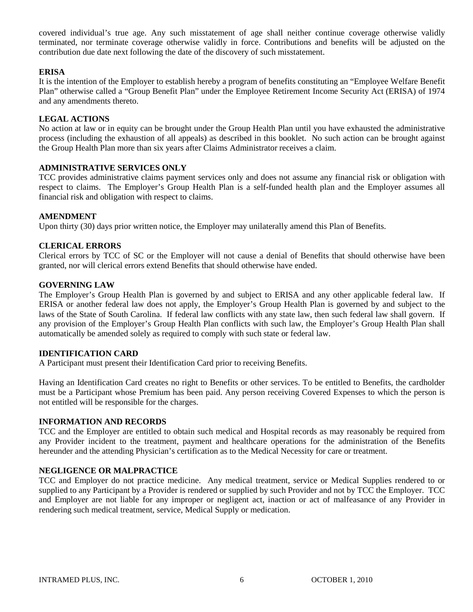covered individual's true age. Any such misstatement of age shall neither continue coverage otherwise validly terminated, nor terminate coverage otherwise validly in force. Contributions and benefits will be adjusted on the contribution due date next following the date of the discovery of such misstatement.

## **ERISA**

It is the intention of the Employer to establish hereby a program of benefits constituting an "Employee Welfare Benefit Plan" otherwise called a "Group Benefit Plan" under the Employee Retirement Income Security Act (ERISA) of 1974 and any amendments thereto.

## **LEGAL ACTIONS**

No action at law or in equity can be brought under the Group Health Plan until you have exhausted the administrative process (including the exhaustion of all appeals) as described in this booklet. No such action can be brought against the Group Health Plan more than six years after Claims Administrator receives a claim.

### **ADMINISTRATIVE SERVICES ONLY**

TCC provides administrative claims payment services only and does not assume any financial risk or obligation with respect to claims. The Employer's Group Health Plan is a self-funded health plan and the Employer assumes all financial risk and obligation with respect to claims.

#### **AMENDMENT**

Upon thirty (30) days prior written notice, the Employer may unilaterally amend this Plan of Benefits.

#### **CLERICAL ERRORS**

Clerical errors by TCC of SC or the Employer will not cause a denial of Benefits that should otherwise have been granted, nor will clerical errors extend Benefits that should otherwise have ended.

## **GOVERNING LAW**

The Employer's Group Health Plan is governed by and subject to ERISA and any other applicable federal law. If ERISA or another federal law does not apply, the Employer's Group Health Plan is governed by and subject to the laws of the State of South Carolina. If federal law conflicts with any state law, then such federal law shall govern. If any provision of the Employer's Group Health Plan conflicts with such law, the Employer's Group Health Plan shall automatically be amended solely as required to comply with such state or federal law.

#### **IDENTIFICATION CARD**

A Participant must present their Identification Card prior to receiving Benefits.

Having an Identification Card creates no right to Benefits or other services. To be entitled to Benefits, the cardholder must be a Participant whose Premium has been paid. Any person receiving Covered Expenses to which the person is not entitled will be responsible for the charges.

### **INFORMATION AND RECORDS**

TCC and the Employer are entitled to obtain such medical and Hospital records as may reasonably be required from any Provider incident to the treatment, payment and healthcare operations for the administration of the Benefits hereunder and the attending Physician's certification as to the Medical Necessity for care or treatment.

## **NEGLIGENCE OR MALPRACTICE**

TCC and Employer do not practice medicine. Any medical treatment, service or Medical Supplies rendered to or supplied to any Participant by a Provider is rendered or supplied by such Provider and not by TCC the Employer. TCC and Employer are not liable for any improper or negligent act, inaction or act of malfeasance of any Provider in rendering such medical treatment, service, Medical Supply or medication.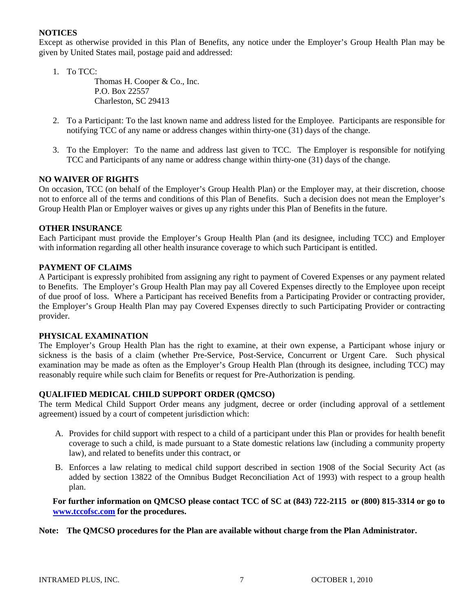## **NOTICES**

Except as otherwise provided in this Plan of Benefits, any notice under the Employer's Group Health Plan may be given by United States mail, postage paid and addressed:

1. To TCC:

Thomas H. Cooper & Co., Inc. P.O. Box 22557 Charleston, SC 29413

- 2. To a Participant: To the last known name and address listed for the Employee. Participants are responsible for notifying TCC of any name or address changes within thirty-one (31) days of the change.
- 3. To the Employer: To the name and address last given to TCC. The Employer is responsible for notifying TCC and Participants of any name or address change within thirty-one (31) days of the change.

#### **NO WAIVER OF RIGHTS**

On occasion, TCC (on behalf of the Employer's Group Health Plan) or the Employer may, at their discretion, choose not to enforce all of the terms and conditions of this Plan of Benefits. Such a decision does not mean the Employer's Group Health Plan or Employer waives or gives up any rights under this Plan of Benefits in the future.

#### **OTHER INSURANCE**

Each Participant must provide the Employer's Group Health Plan (and its designee, including TCC) and Employer with information regarding all other health insurance coverage to which such Participant is entitled.

#### **PAYMENT OF CLAIMS**

A Participant is expressly prohibited from assigning any right to payment of Covered Expenses or any payment related to Benefits. The Employer's Group Health Plan may pay all Covered Expenses directly to the Employee upon receipt of due proof of loss. Where a Participant has received Benefits from a Participating Provider or contracting provider, the Employer's Group Health Plan may pay Covered Expenses directly to such Participating Provider or contracting provider.

#### **PHYSICAL EXAMINATION**

The Employer's Group Health Plan has the right to examine, at their own expense, a Participant whose injury or sickness is the basis of a claim (whether Pre-Service, Post-Service, Concurrent or Urgent Care. Such physical examination may be made as often as the Employer's Group Health Plan (through its designee, including TCC) may reasonably require while such claim for Benefits or request for Pre-Authorization is pending.

## **QUALIFIED MEDICAL CHILD SUPPORT ORDER (QMCSO)**

The term Medical Child Support Order means any judgment, decree or order (including approval of a settlement agreement) issued by a court of competent jurisdiction which:

- A. Provides for child support with respect to a child of a participant under this Plan or provides for health benefit coverage to such a child, is made pursuant to a State domestic relations law (including a community property law), and related to benefits under this contract, or
- B. Enforces a law relating to medical child support described in section 1908 of the Social Security Act (as added by section 13822 of the Omnibus Budget Reconciliation Act of 1993) with respect to a group health plan.

**For further information on QMCSO please contact TCC of SC at (843) 722-2115 or (800) 815-3314 or go to [www.tccofsc.com](http://www.thomascooperinsurance.com/) for the procedures.**

#### **Note: The QMCSO procedures for the Plan are available without charge from the Plan Administrator.**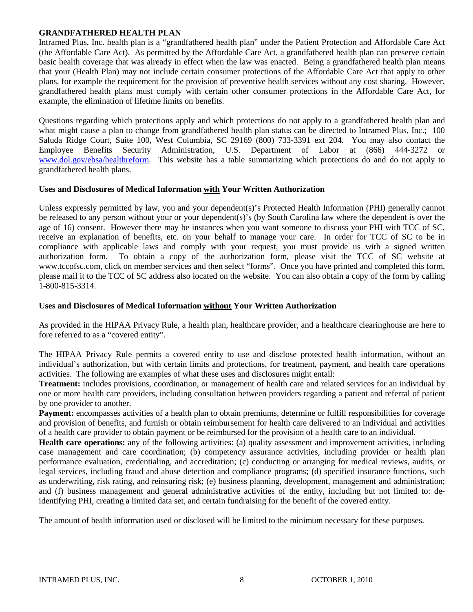### **GRANDFATHERED HEALTH PLAN**

Intramed Plus, Inc. health plan is a "grandfathered health plan" under the Patient Protection and Affordable Care Act (the Affordable Care Act). As permitted by the Affordable Care Act, a grandfathered health plan can preserve certain basic health coverage that was already in effect when the law was enacted. Being a grandfathered health plan means that your (Health Plan) may not include certain consumer protections of the Affordable Care Act that apply to other plans, for example the requirement for the provision of preventive health services without any cost sharing. However, grandfathered health plans must comply with certain other consumer protections in the Affordable Care Act, for example, the elimination of lifetime limits on benefits.

Questions regarding which protections apply and which protections do not apply to a grandfathered health plan and what might cause a plan to change from grandfathered health plan status can be directed to Intramed Plus, Inc.; 100 Saluda Ridge Court, Suite 100, West Columbia, SC 29169 (800) 733-3391 ext 204. You may also contact the Employee Benefits Security Administration, U.S. Department of Labor at (866) 444-3272 or [www.dol.gov/ebsa/healthreform.](http://www.dol.gov/ebsa/healthreform) This website has a table summarizing which protections do and do not apply to grandfathered health plans.

## **Uses and Disclosures of Medical Information with Your Written Authorization**

Unless expressly permitted by law, you and your dependent(s)'s Protected Health Information (PHI) generally cannot be released to any person without your or your dependent(s)'s (by South Carolina law where the dependent is over the age of 16) consent. However there may be instances when you want someone to discuss your PHI with TCC of SC, receive an explanation of benefits, etc. on your behalf to manage your care. In order for TCC of SC to be in compliance with applicable laws and comply with your request, you must provide us with a signed written authorization form. To obtain a copy of the authorization form, please visit the TCC of SC website at www.tccofsc.com, click on member services and then select "forms". Once you have printed and completed this form, please mail it to the TCC of SC address also located on the website. You can also obtain a copy of the form by calling 1-800-815-3314.

### **Uses and Disclosures of Medical Information without Your Written Authorization**

As provided in the HIPAA Privacy Rule, a health plan, healthcare provider, and a healthcare clearinghouse are here to fore referred to as a "covered entity".

The HIPAA Privacy Rule permits a covered entity to use and disclose protected health information, without an individual's authorization, but with certain limits and protections, for treatment, payment, and health care operations activities. The following are examples of what these uses and disclosures might entail:

**Treatment:** includes provisions, coordination, or management of health care and related services for an individual by one or more health care providers, including consultation between providers regarding a patient and referral of patient by one provider to another.

**Payment:** encompasses activities of a health plan to obtain premiums, determine or fulfill responsibilities for coverage and provision of benefits, and furnish or obtain reimbursement for health care delivered to an individual and activities of a health care provider to obtain payment or be reimbursed for the provision of a health care to an individual.

**Health care operations:** any of the following activities: (a) quality assessment and improvement activities, including case management and care coordination; (b) competency assurance activities, including provider or health plan performance evaluation, credentialing, and accreditation; (c) conducting or arranging for medical reviews, audits, or legal services, including fraud and abuse detection and compliance programs; (d) specified insurance functions, such as underwriting, risk rating, and reinsuring risk; (e) business planning, development, management and administration; and (f) business management and general administrative activities of the entity, including but not limited to: deidentifying PHI, creating a limited data set, and certain fundraising for the benefit of the covered entity.

The amount of health information used or disclosed will be limited to the minimum necessary for these purposes.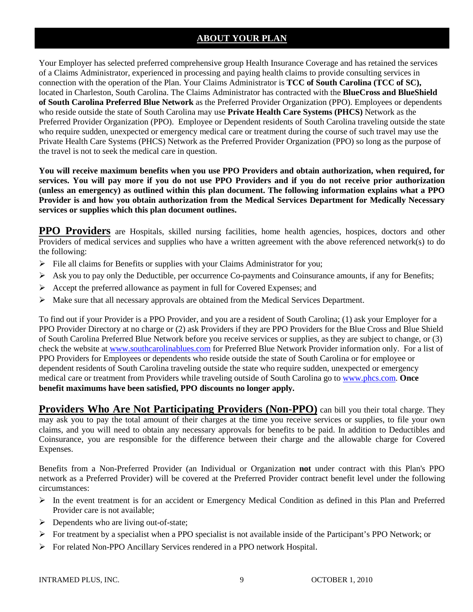# **ABOUT YOUR PLAN**

Your Employer has selected preferred comprehensive group Health Insurance Coverage and has retained the services of a Claims Administrator, experienced in processing and paying health claims to provide consulting services in connection with the operation of the Plan. Your Claims Administrator is **TCC of South Carolina (TCC of SC),** located in Charleston, South Carolina. The Claims Administrator has contracted with the **BlueCross and BlueShield of South Carolina Preferred Blue Network** as the Preferred Provider Organization (PPO). Employees or dependents who reside outside the state of South Carolina may use **Private Health Care Systems (PHCS)** Network as the Preferred Provider Organization (PPO). Employee or Dependent residents of South Carolina traveling outside the state who require sudden, unexpected or emergency medical care or treatment during the course of such travel may use the Private Health Care Systems (PHCS) Network as the Preferred Provider Organization (PPO) so long as the purpose of the travel is not to seek the medical care in question.

**You will receive maximum benefits when you use PPO Providers and obtain authorization, when required, for services. You will pay more if you do not use PPO Providers and if you do not receive prior authorization (unless an emergency) as outlined within this plan document. The following information explains what a PPO Provider is and how you obtain authorization from the Medical Services Department for Medically Necessary services or supplies which this plan document outlines.**

**PPO Providers** are Hospitals, skilled nursing facilities, home health agencies, hospices, doctors and other Providers of medical services and supplies who have a written agreement with the above referenced network(s) to do the following:

- $\triangleright$  File all claims for Benefits or supplies with your Claims Administrator for you;
- $\triangleright$  Ask you to pay only the Deductible, per occurrence Co-payments and Coinsurance amounts, if any for Benefits;
- $\triangleright$  Accept the preferred allowance as payment in full for Covered Expenses; and
- $\triangleright$  Make sure that all necessary approvals are obtained from the Medical Services Department.

To find out if your Provider is a PPO Provider, and you are a resident of South Carolina; (1) ask your Employer for a PPO Provider Directory at no charge or (2) ask Providers if they are PPO Providers for the Blue Cross and Blue Shield of South Carolina Preferred Blue Network before you receive services or supplies, as they are subject to change, or (3) check the website at [www.southcarolinablues.com](http://www.southcarolinablues.com/) for Preferred Blue Network Provider information only. For a list of PPO Providers for Employees or dependents who reside outside the state of South Carolina or for employee or dependent residents of South Carolina traveling outside the state who require sudden, unexpected or emergency medical care or treatment from Providers while traveling outside of South Carolina go to [www.phcs.com.](http://www.phcs.com/) **Once benefit maximums have been satisfied, PPO discounts no longer apply.**

**Providers Who Are Not Participating Providers (Non-PPO)** can bill you their total charge. They may ask you to pay the total amount of their charges at the time you receive services or supplies, to file your own claims, and you will need to obtain any necessary approvals for benefits to be paid. In addition to Deductibles and Coinsurance, you are responsible for the difference between their charge and the allowable charge for Covered Expenses.

Benefits from a Non-Preferred Provider (an Individual or Organization **not** under contract with this Plan's PPO network as a Preferred Provider) will be covered at the Preferred Provider contract benefit level under the following circumstances:

- $\triangleright$  In the event treatment is for an accident or Emergency Medical Condition as defined in this Plan and Preferred Provider care is not available;
- $\triangleright$  Dependents who are living out-of-state;
- $\triangleright$  For treatment by a specialist when a PPO specialist is not available inside of the Participant's PPO Network; or
- For related Non-PPO Ancillary Services rendered in a PPO network Hospital.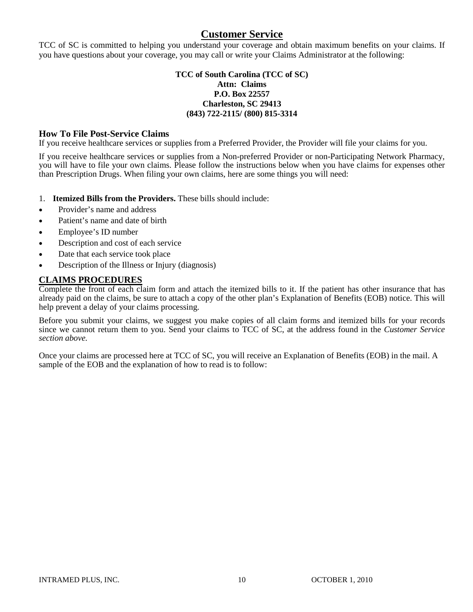# **Customer Service**

TCC of SC is committed to helping you understand your coverage and obtain maximum benefits on your claims. If you have questions about your coverage, you may call or write your Claims Administrator at the following:

## **TCC of South Carolina (TCC of SC) Attn: Claims P.O. Box 22557 Charleston, SC 29413 (843) 722-2115/ (800) 815-3314**

# **How To File Post-Service Claims**

If you receive healthcare services or supplies from a Preferred Provider, the Provider will file your claims for you.

If you receive healthcare services or supplies from a Non-preferred Provider or non-Participating Network Pharmacy, you will have to file your own claims. Please follow the instructions below when you have claims for expenses other than Prescription Drugs. When filing your own claims, here are some things you will need:

- 1. **Itemized Bills from the Providers.** These bills should include:
- Provider's name and address
- Patient's name and date of birth
- Employee's ID number
- Description and cost of each service
- Date that each service took place
- Description of the Illness or Injury (diagnosis)

# **CLAIMS PROCEDURES**

Complete the front of each claim form and attach the itemized bills to it. If the patient has other insurance that has already paid on the claims, be sure to attach a copy of the other plan's Explanation of Benefits (EOB) notice. This will help prevent a delay of your claims processing.

Before you submit your claims, we suggest you make copies of all claim forms and itemized bills for your records since we cannot return them to you. Send your claims to TCC of SC, at the address found in the *Customer Service section above.*

Once your claims are processed here at TCC of SC, you will receive an Explanation of Benefits (EOB) in the mail. A sample of the EOB and the explanation of how to read is to follow: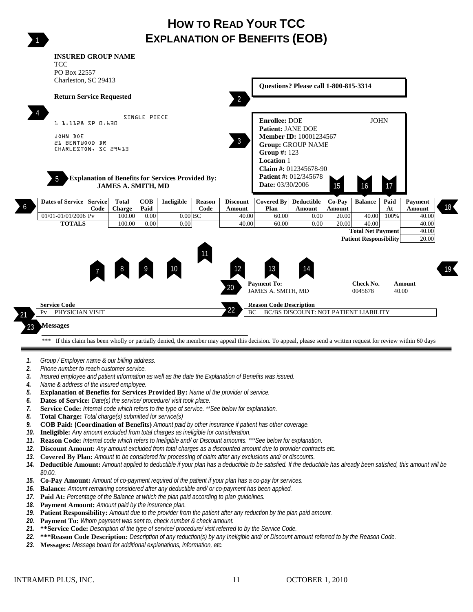# **HOW TO READ YOUR TCC EXPLANATION OF BENEFITS (EOB)**



- *11.* **Reason Code:** *Internal code which refers to Ineligible and/ or Discount amounts. \*\*\*See below for explanation.*
- *12.* **Discount Amount:** *Any amount excluded from total charges as a discounted amount due to provider contracts etc.*
- *13.* **Covered By Plan:** *Amount to be considered for processing of claim after any exclusions and/ or discounts.*
- *14.* **Deductible Amount:** *Amount applied to deductible if your plan has a deductible to be satisfied. If the deductible has already been satisfied, this amount will be \$0.00.*
- *15.* **Co-Pay Amount:** *Amount of co-payment required of the patient if your plan has a co-pay for services.*
- *16.* **Balance:** *Amount remaining considered after any deductible and/ or co-payment has been applied.*
- *17.* **Paid At:** *Percentage of the Balance at which the plan paid according to plan guidelines.*
- *18.* **Payment Amount:** *Amount paid by the insurance plan.*
- *19.* **Patient Responsibility:** *Amount due to the provider from the patient after any reduction by the plan paid amount.*
- *20.* **Payment To:** *Whom payment was sent to, check number & check amount.*
- *21.* **\*\*Service Code:** *Description of the type of service/ procedure/ visit referred to by the Service Code.*
- *22.* **\*\*\*Reason Code Description:** *Description of any reduction(s) by any Ineligible and/ or Discount amount referred to by the Reason Code.*
- *23.* **Messages:** *Message board for additional explanations, information, etc.*

1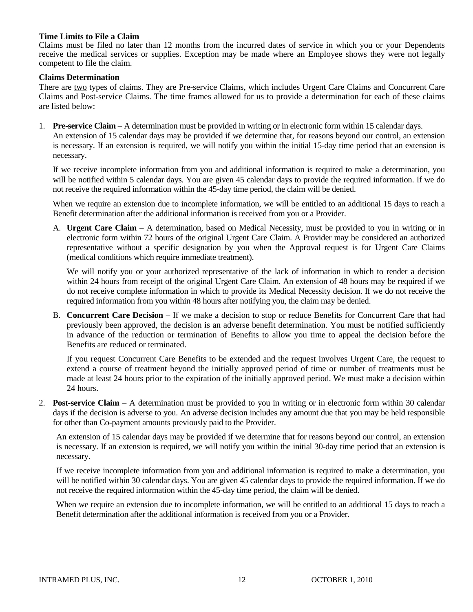#### **Time Limits to File a Claim**

Claims must be filed no later than 12 months from the incurred dates of service in which you or your Dependents receive the medical services or supplies. Exception may be made where an Employee shows they were not legally competent to file the claim.

### **Claims Determination**

There are two types of claims. They are Pre-service Claims, which includes Urgent Care Claims and Concurrent Care Claims and Post-service Claims. The time frames allowed for us to provide a determination for each of these claims are listed below:

1. **Pre-service Claim** – A determination must be provided in writing or in electronic form within 15 calendar days. An extension of 15 calendar days may be provided if we determine that, for reasons beyond our control, an extension is necessary. If an extension is required, we will notify you within the initial 15-day time period that an extension is necessary.

If we receive incomplete information from you and additional information is required to make a determination, you will be notified within 5 calendar days. You are given 45 calendar days to provide the required information. If we do not receive the required information within the 45-day time period, the claim will be denied.

When we require an extension due to incomplete information, we will be entitled to an additional 15 days to reach a Benefit determination after the additional information is received from you or a Provider.

A. **Urgent Care Claim** – A determination, based on Medical Necessity, must be provided to you in writing or in electronic form within 72 hours of the original Urgent Care Claim. A Provider may be considered an authorized representative without a specific designation by you when the Approval request is for Urgent Care Claims (medical conditions which require immediate treatment).

We will notify you or your authorized representative of the lack of information in which to render a decision within 24 hours from receipt of the original Urgent Care Claim. An extension of 48 hours may be required if we do not receive complete information in which to provide its Medical Necessity decision. If we do not receive the required information from you within 48 hours after notifying you, the claim may be denied.

B. **Concurrent Care Decision** – If we make a decision to stop or reduce Benefits for Concurrent Care that had previously been approved, the decision is an adverse benefit determination. You must be notified sufficiently in advance of the reduction or termination of Benefits to allow you time to appeal the decision before the Benefits are reduced or terminated.

If you request Concurrent Care Benefits to be extended and the request involves Urgent Care, the request to extend a course of treatment beyond the initially approved period of time or number of treatments must be made at least 24 hours prior to the expiration of the initially approved period. We must make a decision within 24 hours.

2. **Post-service Claim** – A determination must be provided to you in writing or in electronic form within 30 calendar days if the decision is adverse to you. An adverse decision includes any amount due that you may be held responsible for other than Co-payment amounts previously paid to the Provider.

An extension of 15 calendar days may be provided if we determine that for reasons beyond our control, an extension is necessary. If an extension is required, we will notify you within the initial 30-day time period that an extension is necessary.

If we receive incomplete information from you and additional information is required to make a determination, you will be notified within 30 calendar days. You are given 45 calendar days to provide the required information. If we do not receive the required information within the 45-day time period, the claim will be denied.

When we require an extension due to incomplete information, we will be entitled to an additional 15 days to reach a Benefit determination after the additional information is received from you or a Provider.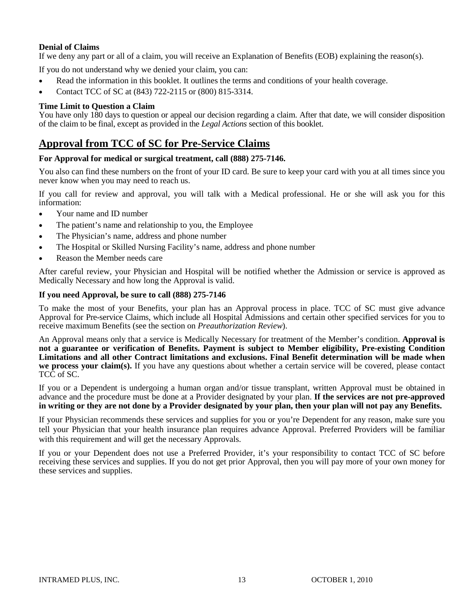# **Denial of Claims**

If we deny any part or all of a claim, you will receive an Explanation of Benefits (EOB) explaining the reason(s).

If you do not understand why we denied your claim, you can:

- Read the information in this booklet. It outlines the terms and conditions of your health coverage.
- Contact TCC of SC at (843) 722-2115 or (800) 815-3314.

# **Time Limit to Question a Claim**

You have only 180 days to question or appeal our decision regarding a claim. After that date, we will consider disposition of the claim to be final, except as provided in the *Legal Actions* section of this booklet.

# **Approval from TCC of SC for Pre-Service Claims**

## **For Approval for medical or surgical treatment, call (888) 275-7146.**

You also can find these numbers on the front of your ID card. Be sure to keep your card with you at all times since you never know when you may need to reach us.

If you call for review and approval, you will talk with a Medical professional. He or she will ask you for this information:

- Your name and ID number
- The patient's name and relationship to you, the Employee
- The Physician's name, address and phone number
- The Hospital or Skilled Nursing Facility's name, address and phone number
- Reason the Member needs care

After careful review, your Physician and Hospital will be notified whether the Admission or service is approved as Medically Necessary and how long the Approval is valid.

## **If you need Approval, be sure to call (888) 275-7146**

To make the most of your Benefits, your plan has an Approval process in place. TCC of SC must give advance Approval for Pre-service Claims, which include all Hospital Admissions and certain other specified services for you to receive maximum Benefits (see the section on *Preauthorization Review*).

An Approval means only that a service is Medically Necessary for treatment of the Member's condition. **Approval is not a guarantee or verification of Benefits. Payment is subject to Member eligibility, Pre-existing Condition Limitations and all other Contract limitations and exclusions. Final Benefit determination will be made when we process your claim(s).** If you have any questions about whether a certain service will be covered, please contact TCC of SC.

If you or a Dependent is undergoing a human organ and/or tissue transplant, written Approval must be obtained in advance and the procedure must be done at a Provider designated by your plan. **If the services are not pre-approved in writing or they are not done by a Provider designated by your plan, then your plan will not pay any Benefits.** 

If your Physician recommends these services and supplies for you or you're Dependent for any reason, make sure you tell your Physician that your health insurance plan requires advance Approval. Preferred Providers will be familiar with this requirement and will get the necessary Approvals.

If you or your Dependent does not use a Preferred Provider, it's your responsibility to contact TCC of SC before receiving these services and supplies. If you do not get prior Approval, then you will pay more of your own money for these services and supplies.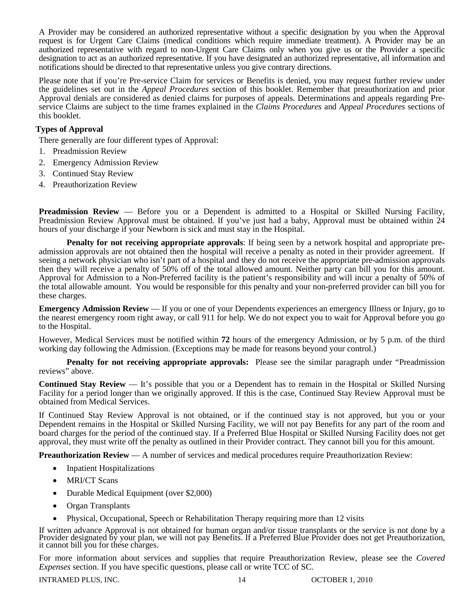A Provider may be considered an authorized representative without a specific designation by you when the Approval request is for Urgent Care Claims (medical conditions which require immediate treatment). A Provider may be an authorized representative with regard to non-Urgent Care Claims only when you give us or the Provider a specific designation to act as an authorized representative. If you have designated an authorized representative, all information and notifications should be directed to that representative unless you give contrary directions.

Please note that if you're Pre-service Claim for services or Benefits is denied, you may request further review under the guidelines set out in the *Appeal Procedures* section of this booklet. Remember that preauthorization and prior Approval denials are considered as denied claims for purposes of appeals. Determinations and appeals regarding Preservice Claims are subject to the time frames explained in the *Claims Procedures* and *Appeal Procedures* sections of this booklet.

# **Types of Approval**

There generally are four different types of Approval:

- 1. Preadmission Review
- 2. Emergency Admission Review
- 3. Continued Stay Review
- 4. Preauthorization Review

**Preadmission Review** — Before you or a Dependent is admitted to a Hospital or Skilled Nursing Facility, Preadmission Review Approval must be obtained. If you've just had a baby, Approval must be obtained within 24 hours of your discharge if your Newborn is sick and must stay in the Hospital.

**Penalty for not receiving appropriate approvals**: If being seen by a network hospital and appropriate preadmission approvals are not obtained then the hospital will receive a penalty as noted in their provider agreement. If seeing a network physician who isn't part of a hospital and they do not receive the appropriate pre-admission approvals then they will receive a penalty of 50% off of the total allowed amount. Neither party can bill you for this amount. Approval for Admission to a Non-Preferred facility is the patient's responsibility and will incur a penalty of 50% of the total allowable amount. You would be responsible for this penalty and your non-preferred provider can bill you for these charges.

**Emergency Admission Review** — If you or one of your Dependents experiences an emergency Illness or Injury, go to the nearest emergency room right away, or call 911 for help. We do not expect you to wait for Approval before you go to the Hospital.

However, Medical Services must be notified within **72** hours of the emergency Admission, or by 5 p.m. of the third working day following the Admission. (Exceptions may be made for reasons beyond your control.)

**Penalty for not receiving appropriate approvals:** Please see the similar paragraph under "Preadmission reviews" above.

**Continued Stay Review** — It's possible that you or a Dependent has to remain in the Hospital or Skilled Nursing Facility for a period longer than we originally approved. If this is the case, Continued Stay Review Approval must be obtained from Medical Services.

If Continued Stay Review Approval is not obtained, or if the continued stay is not approved, but you or your Dependent remains in the Hospital or Skilled Nursing Facility, we will not pay Benefits for any part of the room and board charges for the period of the continued stay. If a Preferred Blue Hospital or Skilled Nursing Facility does not get approval, they must write off the penalty as outlined in their Provider contract. They cannot bill you for this amount.

**Preauthorization Review** — A number of services and medical procedures require Preauthorization Review:

- Inpatient Hospitalizations
- MRI/CT Scans
- Durable Medical Equipment (over \$2,000)
- Organ Transplants
- Physical, Occupational, Speech or Rehabilitation Therapy requiring more than 12 visits

If written advance Approval is not obtained for human organ and/or tissue transplants or the service is not done by a Provider designated by your plan, we will not pay Benefits. If a Preferred Blue Provider does not get Pr

For more information about services and supplies that require Preauthorization Review, please see the *Covered Expenses* section. If you have specific questions, please call or write TCC of SC.

INTRAMED PLUS, INC. 14 OCTOBER 1, 2010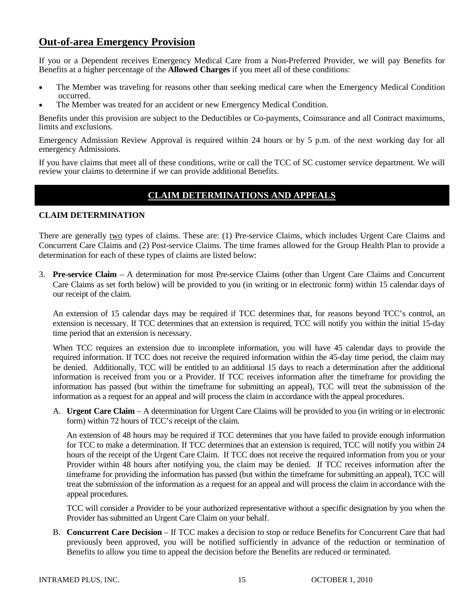# **Out-of-area Emergency Provision**

If you or a Dependent receives Emergency Medical Care from a Non-Preferred Provider, we will pay Benefits for Benefits at a higher percentage of the **Allowed Charges** if you meet all of these conditions:

- The Member was traveling for reasons other than seeking medical care when the Emergency Medical Condition occurred.
- The Member was treated for an accident or new Emergency Medical Condition.

Benefits under this provision are subject to the Deductibles or Co-payments, Coinsurance and all Contract maximums, limits and exclusions.

Emergency Admission Review Approval is required within 24 hours or by 5 p.m. of the next working day for all emergency Admissions.

If you have claims that meet all of these conditions, write or call the TCC of SC customer service department. We will review your claims to determine if we can provide additional Benefits.

# **CLAIM DETERMINATIONS AND APPEALS**

# **CLAIM DETERMINATION**

There are generally two types of claims. These are: (1) Pre-service Claims, which includes Urgent Care Claims and Concurrent Care Claims and (2) Post-service Claims. The time frames allowed for the Group Health Plan to provide a determination for each of these types of claims are listed below:

3. **Pre-service Claim** – A determination for most Pre-service Claims (other than Urgent Care Claims and Concurrent Care Claims as set forth below) will be provided to you (in writing or in electronic form) within 15 calendar days of our receipt of the claim.

An extension of 15 calendar days may be required if TCC determines that, for reasons beyond TCC's control, an extension is necessary. If TCC determines that an extension is required, TCC will notify you within the initial 15-day time period that an extension is necessary.

When TCC requires an extension due to incomplete information, you will have 45 calendar days to provide the required information. If TCC does not receive the required information within the 45-day time period, the claim may be denied. Additionally, TCC will be entitled to an additional 15 days to reach a determination after the additional information is received from you or a Provider. If TCC receives information after the timeframe for providing the information has passed (but within the timeframe for submitting an appeal), TCC will treat the submission of the information as a request for an appeal and will process the claim in accordance with the appeal procedures.

A. **Urgent Care Claim** – A determination for Urgent Care Claims will be provided to you (in writing or in electronic form) within 72 hours of TCC's receipt of the claim.

An extension of 48 hours may be required if TCC determines that you have failed to provide enough information for TCC to make a determination. If TCC determines that an extension is required, TCC will notify you within 24 hours of the receipt of the Urgent Care Claim. If TCC does not receive the required information from you or your Provider within 48 hours after notifying you, the claim may be denied. If TCC receives information after the timeframe for providing the information has passed (but within the timeframe for submitting an appeal), TCC will treat the submission of the information as a request for an appeal and will process the claim in accordance with the appeal procedures.

TCC will consider a Provider to be your authorized representative without a specific designation by you when the Provider has submitted an Urgent Care Claim on your behalf.

B. **Concurrent Care Decision** – If TCC makes a decision to stop or reduce Benefits for Concurrent Care that had previously been approved, you will be notified sufficiently in advance of the reduction or termination of Benefits to allow you time to appeal the decision before the Benefits are reduced or terminated.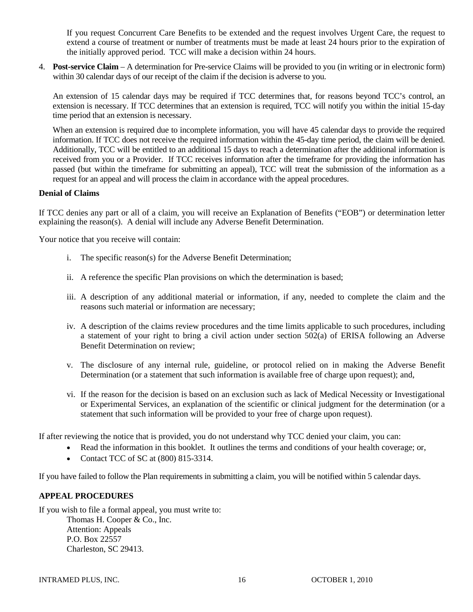If you request Concurrent Care Benefits to be extended and the request involves Urgent Care, the request to extend a course of treatment or number of treatments must be made at least 24 hours prior to the expiration of the initially approved period. TCC will make a decision within 24 hours.

4. **Post-service Claim** – A determination for Pre-service Claims will be provided to you (in writing or in electronic form) within 30 calendar days of our receipt of the claim if the decision is adverse to you.

An extension of 15 calendar days may be required if TCC determines that, for reasons beyond TCC's control, an extension is necessary. If TCC determines that an extension is required, TCC will notify you within the initial 15-day time period that an extension is necessary.

When an extension is required due to incomplete information, you will have 45 calendar days to provide the required information. If TCC does not receive the required information within the 45-day time period, the claim will be denied. Additionally, TCC will be entitled to an additional 15 days to reach a determination after the additional information is received from you or a Provider. If TCC receives information after the timeframe for providing the information has passed (but within the timeframe for submitting an appeal), TCC will treat the submission of the information as a request for an appeal and will process the claim in accordance with the appeal procedures.

## **Denial of Claims**

If TCC denies any part or all of a claim, you will receive an Explanation of Benefits ("EOB") or determination letter explaining the reason(s). A denial will include any Adverse Benefit Determination.

Your notice that you receive will contain:

- i. The specific reason(s) for the Adverse Benefit Determination;
- ii. A reference the specific Plan provisions on which the determination is based;
- iii. A description of any additional material or information, if any, needed to complete the claim and the reasons such material or information are necessary;
- iv. A description of the claims review procedures and the time limits applicable to such procedures, including a statement of your right to bring a civil action under section 502(a) of ERISA following an Adverse Benefit Determination on review;
- v. The disclosure of any internal rule, guideline, or protocol relied on in making the Adverse Benefit Determination (or a statement that such information is available free of charge upon request); and,
- vi. If the reason for the decision is based on an exclusion such as lack of Medical Necessity or Investigational or Experimental Services, an explanation of the scientific or clinical judgment for the determination (or a statement that such information will be provided to your free of charge upon request).

If after reviewing the notice that is provided, you do not understand why TCC denied your claim, you can:

- Read the information in this booklet. It outlines the terms and conditions of your health coverage; or,
- Contact TCC of SC at (800) 815-3314.

If you have failed to follow the Plan requirements in submitting a claim, you will be notified within 5 calendar days.

## **APPEAL PROCEDURES**

If you wish to file a formal appeal, you must write to: Thomas H. Cooper & Co., Inc. Attention: Appeals P.O. Box 22557 Charleston, SC 29413.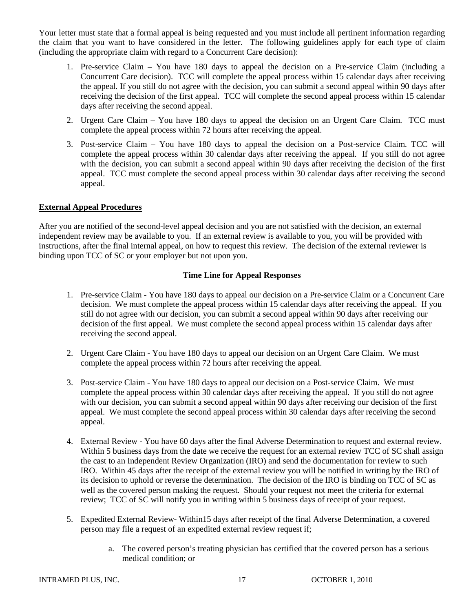Your letter must state that a formal appeal is being requested and you must include all pertinent information regarding the claim that you want to have considered in the letter. The following guidelines apply for each type of claim (including the appropriate claim with regard to a Concurrent Care decision):

- 1. Pre-service Claim You have 180 days to appeal the decision on a Pre-service Claim (including a Concurrent Care decision). TCC will complete the appeal process within 15 calendar days after receiving the appeal. If you still do not agree with the decision, you can submit a second appeal within 90 days after receiving the decision of the first appeal. TCC will complete the second appeal process within 15 calendar days after receiving the second appeal.
- 2. Urgent Care Claim You have 180 days to appeal the decision on an Urgent Care Claim. TCC must complete the appeal process within 72 hours after receiving the appeal.
- 3. Post-service Claim You have 180 days to appeal the decision on a Post-service Claim. TCC will complete the appeal process within 30 calendar days after receiving the appeal. If you still do not agree with the decision, you can submit a second appeal within 90 days after receiving the decision of the first appeal. TCC must complete the second appeal process within 30 calendar days after receiving the second appeal.

## **External Appeal Procedures**

After you are notified of the second-level appeal decision and you are not satisfied with the decision, an external independent review may be available to you. If an external review is available to you, you will be provided with instructions, after the final internal appeal, on how to request this review. The decision of the external reviewer is binding upon TCC of SC or your employer but not upon you.

## **Time Line for Appeal Responses**

- 1. Pre-service Claim You have 180 days to appeal our decision on a Pre-service Claim or a Concurrent Care decision. We must complete the appeal process within 15 calendar days after receiving the appeal. If you still do not agree with our decision, you can submit a second appeal within 90 days after receiving our decision of the first appeal. We must complete the second appeal process within 15 calendar days after receiving the second appeal.
- 2. Urgent Care Claim You have 180 days to appeal our decision on an Urgent Care Claim. We must complete the appeal process within 72 hours after receiving the appeal.
- 3. Post-service Claim You have 180 days to appeal our decision on a Post-service Claim. We must complete the appeal process within 30 calendar days after receiving the appeal. If you still do not agree with our decision, you can submit a second appeal within 90 days after receiving our decision of the first appeal. We must complete the second appeal process within 30 calendar days after receiving the second appeal.
- 4. External Review You have 60 days after the final Adverse Determination to request and external review. Within 5 business days from the date we receive the request for an external review TCC of SC shall assign the cast to an Independent Review Organization (IRO) and send the documentation for review to such IRO. Within 45 days after the receipt of the external review you will be notified in writing by the IRO of its decision to uphold or reverse the determination. The decision of the IRO is binding on TCC of SC as well as the covered person making the request. Should your request not meet the criteria for external review; TCC of SC will notify you in writing within 5 business days of receipt of your request.
- 5. Expedited External Review- Within15 days after receipt of the final Adverse Determination, a covered person may file a request of an expedited external review request if;
	- a. The covered person's treating physician has certified that the covered person has a serious medical condition; or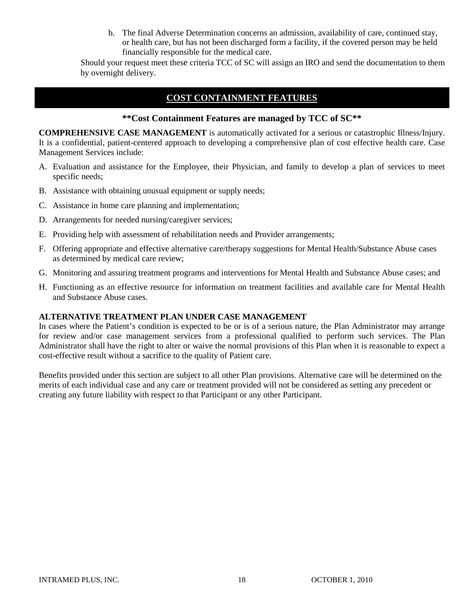b. The final Adverse Determination concerns an admission, availability of care, continued stay, or health care, but has not been discharged form a facility, if the covered person may be held financially responsible for the medical care.

Should your request meet these criteria TCC of SC will assign an IRO and send the documentation to them by overnight delivery.

# **COST CONTAINMENT FEATURES**

# **\*\*Cost Containment Features are managed by TCC of SC\*\***

**COMPREHENSIVE CASE MANAGEMENT** is automatically activated for a serious or catastrophic Illness/Injury. It is a confidential, patient-centered approach to developing a comprehensive plan of cost effective health care. Case Management Services include:

- A. Evaluation and assistance for the Employee, their Physician, and family to develop a plan of services to meet specific needs;
- B. Assistance with obtaining unusual equipment or supply needs;
- C. Assistance in home care planning and implementation;
- D. Arrangements for needed nursing/caregiver services;
- E. Providing help with assessment of rehabilitation needs and Provider arrangements;
- F. Offering appropriate and effective alternative care/therapy suggestions for Mental Health/Substance Abuse cases as determined by medical care review;
- G. Monitoring and assuring treatment programs and interventions for Mental Health and Substance Abuse cases; and
- H. Functioning as an effective resource for information on treatment facilities and available care for Mental Health and Substance Abuse cases.

# **ALTERNATIVE TREATMENT PLAN UNDER CASE MANAGEMENT**

In cases where the Patient's condition is expected to be or is of a serious nature, the Plan Administrator may arrange for review and/or case management services from a professional qualified to perform such services. The Plan Administrator shall have the right to alter or waive the normal provisions of this Plan when it is reasonable to expect a cost-effective result without a sacrifice to the quality of Patient care.

Benefits provided under this section are subject to all other Plan provisions. Alternative care will be determined on the merits of each individual case and any care or treatment provided will not be considered as setting any precedent or creating any future liability with respect to that Participant or any other Participant.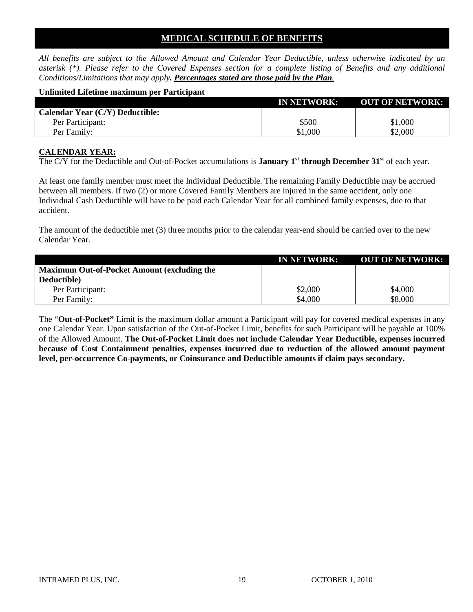# **MEDICAL SCHEDULE OF BENEFITS**

*All benefits are subject to the Allowed Amount and Calendar Year Deductible, unless otherwise indicated by an asterisk (\*). Please refer to the Covered Expenses section for a complete listing of Benefits and any additional Conditions/Limitations that may apply. Percentages stated are those paid by the Plan.*

#### **Unlimited Lifetime maximum per Participant**

|                                        | <b>IN NETWORK:</b> | <b>OUT OF NETWORK:</b> |
|----------------------------------------|--------------------|------------------------|
| <b>Calendar Year (C/Y) Deductible:</b> |                    |                        |
| Per Participant:                       | \$500              | \$1,000                |
| Per Family:                            | \$1,000            | \$2,000                |

## **CALENDAR YEAR:**

The C/Y for the Deductible and Out-of-Pocket accumulations is **January 1st through December 31st** of each year.

At least one family member must meet the Individual Deductible. The remaining Family Deductible may be accrued between all members. If two (2) or more Covered Family Members are injured in the same accident, only one Individual Cash Deductible will have to be paid each Calendar Year for all combined family expenses, due to that accident.

The amount of the deductible met (3) three months prior to the calendar year-end should be carried over to the new Calendar Year.

|                                                    | <b>IN NETWORK:</b> | <b>OUT OF NETWORK:</b> |
|----------------------------------------------------|--------------------|------------------------|
| <b>Maximum Out-of-Pocket Amount (excluding the</b> |                    |                        |
| Deductible)                                        |                    |                        |
| Per Participant:                                   | \$2,000            | \$4,000                |
| Per Family:                                        | \$4,000            | \$8,000                |

The "**Out-of-Pocket"** Limit is the maximum dollar amount a Participant will pay for covered medical expenses in any one Calendar Year. Upon satisfaction of the Out-of-Pocket Limit, benefits for such Participant will be payable at 100% of the Allowed Amount. **The Out-of-Pocket Limit does not include Calendar Year Deductible, expenses incurred because of Cost Containment penalties, expenses incurred due to reduction of the allowed amount payment level, per-occurrence Co-payments, or Coinsurance and Deductible amounts if claim pays secondary.**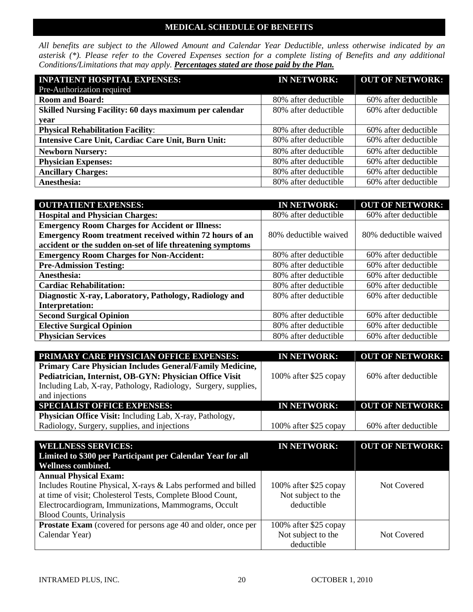# **MEDICAL SCHEDULE OF BENEFITS**

*All benefits are subject to the Allowed Amount and Calendar Year Deductible, unless otherwise indicated by an asterisk (\*). Please refer to the Covered Expenses section for a complete listing of Benefits and any additional Conditions/Limitations that may apply. Percentages stated are those paid by the Plan.*

| <b>INPATIENT HOSPITAL EXPENSES:</b>                       | <b>IN NETWORK:</b>   | <b>OUT OF NETWORK:</b> |
|-----------------------------------------------------------|----------------------|------------------------|
| Pre-Authorization required                                |                      |                        |
| <b>Room and Board:</b>                                    | 80% after deductible | 60% after deductible   |
| Skilled Nursing Facility: 60 days maximum per calendar    | 80% after deductible | 60% after deductible   |
| year                                                      |                      |                        |
| <b>Physical Rehabilitation Facility:</b>                  | 80% after deductible | 60% after deductible   |
| <b>Intensive Care Unit, Cardiac Care Unit, Burn Unit:</b> | 80% after deductible | 60% after deductible   |
| <b>Newborn Nursery:</b>                                   | 80% after deductible | 60% after deductible   |
| <b>Physician Expenses:</b>                                | 80% after deductible | 60% after deductible   |
| <b>Ancillary Charges:</b>                                 | 80% after deductible | 60% after deductible   |
| Anesthesia:                                               | 80% after deductible | 60% after deductible   |

| <b>OUTPATIENT EXPENSES:</b>                                | <b>IN NETWORK:</b>    | <b>OUT OF NETWORK:</b> |
|------------------------------------------------------------|-----------------------|------------------------|
| <b>Hospital and Physician Charges:</b>                     | 80% after deductible  | 60% after deductible   |
| <b>Emergency Room Charges for Accident or Illness:</b>     |                       |                        |
| Emergency Room treatment received within 72 hours of an    | 80% deductible waived | 80% deductible waived  |
| accident or the sudden on-set of life threatening symptoms |                       |                        |
| <b>Emergency Room Charges for Non-Accident:</b>            | 80% after deductible  | 60% after deductible   |
| <b>Pre-Admission Testing:</b>                              | 80% after deductible  | 60% after deductible   |
| Anesthesia:                                                | 80% after deductible  | 60% after deductible   |
| <b>Cardiac Rehabilitation:</b>                             | 80% after deductible  | 60% after deductible   |
| Diagnostic X-ray, Laboratory, Pathology, Radiology and     | 80% after deductible  | 60% after deductible   |
| <b>Interpretation:</b>                                     |                       |                        |
| <b>Second Surgical Opinion</b>                             | 80% after deductible  | 60% after deductible   |
| <b>Elective Surgical Opinion</b>                           | 80% after deductible  | 60% after deductible   |
| <b>Physician Services</b>                                  | 80% after deductible  | 60% after deductible   |

| PRIMARY CARE PHYSICIAN OFFICE EXPENSES:                                                                             | <b>IN NETWORK:</b>    | <b>OUT OF NETWORK:</b> |
|---------------------------------------------------------------------------------------------------------------------|-----------------------|------------------------|
| Primary Care Physician Includes General/Family Medicine,<br>Pediatrician, Internist, OB-GYN: Physician Office Visit | 100% after \$25 copay | 60% after deductible   |
| Including Lab, X-ray, Pathology, Radiology, Surgery, supplies,                                                      |                       |                        |
| and injections                                                                                                      |                       |                        |
| <b>SPECIALIST OFFICE EXPENSES:</b>                                                                                  | <b>IN NETWORK:</b>    | <b>OUT OF NETWORK:</b> |
| Physician Office Visit: Including Lab, X-ray, Pathology,                                                            |                       |                        |
| Radiology, Surgery, supplies, and injections                                                                        | 100% after \$25 copay | 60% after deductible   |

| <b>WELLNESS SERVICES:</b>                                            | <b>IN NETWORK:</b>    | <b>OUT OF NETWORK:</b> |
|----------------------------------------------------------------------|-----------------------|------------------------|
| Limited to \$300 per Participant per Calendar Year for all           |                       |                        |
| <b>Wellness combined.</b>                                            |                       |                        |
| <b>Annual Physical Exam:</b>                                         |                       |                        |
| Includes Routine Physical, X-rays & Labs performed and billed        | 100% after \$25 copay | Not Covered            |
| at time of visit; Cholesterol Tests, Complete Blood Count,           | Not subject to the    |                        |
| Electrocardiogram, Immunizations, Mammograms, Occult                 | deductible            |                        |
| <b>Blood Counts, Urinalysis</b>                                      |                       |                        |
| <b>Prostate Exam</b> (covered for persons age 40 and older, once per | 100% after \$25 copay |                        |
| Calendar Year)                                                       | Not subject to the    | Not Covered            |
|                                                                      | deductible            |                        |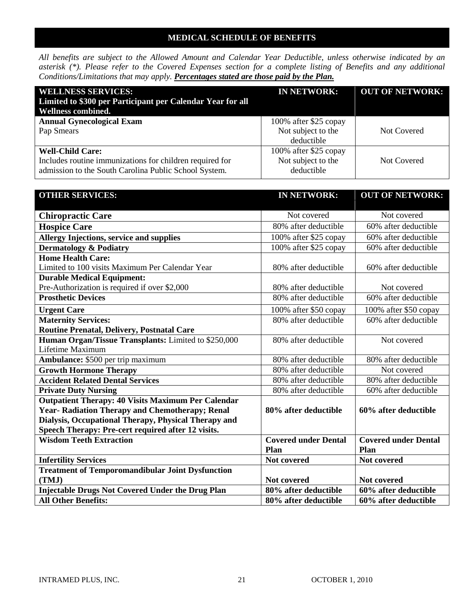# **MEDICAL SCHEDULE OF BENEFITS**

*All benefits are subject to the Allowed Amount and Calendar Year Deductible, unless otherwise indicated by an asterisk (\*). Please refer to the Covered Expenses section for a complete listing of Benefits and any additional Conditions/Limitations that may apply. Percentages stated are those paid by the Plan.*

| <b>WELLNESS SERVICES:</b><br>Limited to \$300 per Participant per Calendar Year for all<br><b>Wellness combined.</b>                         | <b>IN NETWORK:</b>                                        | <b>OUT OF NETWORK:</b> |
|----------------------------------------------------------------------------------------------------------------------------------------------|-----------------------------------------------------------|------------------------|
| <b>Annual Gynecological Exam</b><br>Pap Smears                                                                                               | 100% after \$25 copay<br>Not subject to the<br>deductible | <b>Not Covered</b>     |
| <b>Well-Child Care:</b><br>Includes routine immunizations for children required for<br>admission to the South Carolina Public School System. | 100% after \$25 copay<br>Not subject to the<br>deductible | Not Covered            |

| <b>OTHER SERVICES:</b>                                    | <b>IN NETWORK:</b>          | <b>OUT OF NETWORK:</b>             |
|-----------------------------------------------------------|-----------------------------|------------------------------------|
|                                                           |                             |                                    |
| <b>Chiropractic Care</b>                                  | Not covered                 | Not covered                        |
| <b>Hospice Care</b>                                       | 80% after deductible        | 60% after deductible               |
| <b>Allergy Injections, service and supplies</b>           | 100% after \$25 copay       | 60% after deductible               |
| <b>Dermatology &amp; Podiatry</b>                         | 100% after \$25 copay       | 60% after deductible               |
| <b>Home Health Care:</b>                                  |                             |                                    |
| Limited to 100 visits Maximum Per Calendar Year           | 80% after deductible        | 60% after deductible               |
| <b>Durable Medical Equipment:</b>                         |                             |                                    |
| Pre-Authorization is required if over \$2,000             | 80% after deductible        | Not covered                        |
| <b>Prosthetic Devices</b>                                 | 80% after deductible        | $\overline{60}$ % after deductible |
| <b>Urgent Care</b>                                        | 100% after \$50 copay       | 100% after \$50 copay              |
| <b>Maternity Services:</b>                                | 80% after deductible        | 60% after deductible               |
| <b>Routine Prenatal, Delivery, Postnatal Care</b>         |                             |                                    |
| Human Organ/Tissue Transplants: Limited to \$250,000      | 80% after deductible        | Not covered                        |
| Lifetime Maximum                                          |                             |                                    |
| <b>Ambulance:</b> \$500 per trip maximum                  | 80% after deductible        | 80% after deductible               |
| <b>Growth Hormone Therapy</b>                             | 80% after deductible        | Not covered                        |
| <b>Accident Related Dental Services</b>                   | 80% after deductible        | 80% after deductible               |
| <b>Private Duty Nursing</b>                               | 80% after deductible        | 60% after deductible               |
| <b>Outpatient Therapy: 40 Visits Maximum Per Calendar</b> |                             |                                    |
| Year- Radiation Therapy and Chemotherapy; Renal           | 80% after deductible        | 60% after deductible               |
| Dialysis, Occupational Therapy, Physical Therapy and      |                             |                                    |
| Speech Therapy: Pre-cert required after 12 visits.        |                             |                                    |
| <b>Wisdom Teeth Extraction</b>                            | <b>Covered under Dental</b> | <b>Covered under Dental</b>        |
|                                                           | Plan                        | Plan                               |
| <b>Infertility Services</b>                               | Not covered                 | Not covered                        |
| <b>Treatment of Temporomandibular Joint Dysfunction</b>   |                             |                                    |
| (TMJ)                                                     | <b>Not covered</b>          | Not covered                        |
| <b>Injectable Drugs Not Covered Under the Drug Plan</b>   | 80% after deductible        | 60% after deductible               |
| <b>All Other Benefits:</b>                                | 80% after deductible        | 60% after deductible               |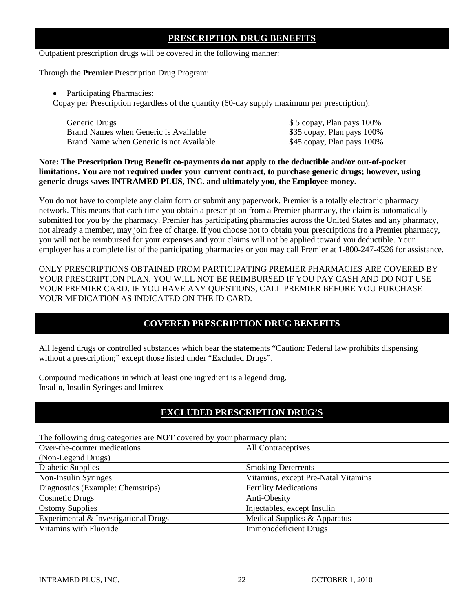# **PRESCRIPTION DRUG BENEFITS**

Outpatient prescription drugs will be covered in the following manner:

Through the **Premier** Prescription Drug Program:

### • Participating Pharmacies:

Copay per Prescription regardless of the quantity (60-day supply maximum per prescription):

| Generic Drugs                            | \$5 copay, Plan pays 100%  |
|------------------------------------------|----------------------------|
| Brand Names when Generic is Available    | \$35 copay, Plan pays 100% |
| Brand Name when Generic is not Available | \$45 copay, Plan pays 100% |

# **Note: The Prescription Drug Benefit co-payments do not apply to the deductible and/or out-of-pocket limitations. You are not required under your current contract, to purchase generic drugs; however, using generic drugs saves INTRAMED PLUS, INC. and ultimately you, the Employee money.**

You do not have to complete any claim form or submit any paperwork. Premier is a totally electronic pharmacy network. This means that each time you obtain a prescription from a Premier pharmacy, the claim is automatically submitted for you by the pharmacy. Premier has participating pharmacies across the United States and any pharmacy, not already a member, may join free of charge. If you choose not to obtain your prescriptions fro a Premier pharmacy, you will not be reimbursed for your expenses and your claims will not be applied toward you deductible. Your employer has a complete list of the participating pharmacies or you may call Premier at 1-800-247-4526 for assistance.

ONLY PRESCRIPTIONS OBTAINED FROM PARTICIPATING PREMIER PHARMACIES ARE COVERED BY YOUR PRESCRIPTION PLAN. YOU WILL NOT BE REIMBURSED IF YOU PAY CASH AND DO NOT USE YOUR PREMIER CARD. IF YOU HAVE ANY QUESTIONS, CALL PREMIER BEFORE YOU PURCHASE YOUR MEDICATION AS INDICATED ON THE ID CARD.

# **COVERED PRESCRIPTION DRUG BENEFITS**

All legend drugs or controlled substances which bear the statements "Caution: Federal law prohibits dispensing without a prescription;" except those listed under "Excluded Drugs".

Compound medications in which at least one ingredient is a legend drug. Insulin, Insulin Syringes and lmitrex

# **EXCLUDED PRESCRIPTION DRUG'S**

The following drug categories are **NOT** covered by your pharmacy plan:

| The following thug eategories are FOT covered by your pharmacy plan. |
|----------------------------------------------------------------------|
| All Contraceptives                                                   |
|                                                                      |
| <b>Smoking Deterrents</b>                                            |
| Vitamins, except Pre-Natal Vitamins                                  |
| <b>Fertility Medications</b>                                         |
| Anti-Obesity                                                         |
| Injectables, except Insulin                                          |
| Medical Supplies & Apparatus                                         |
| <b>Immonodeficient Drugs</b>                                         |
|                                                                      |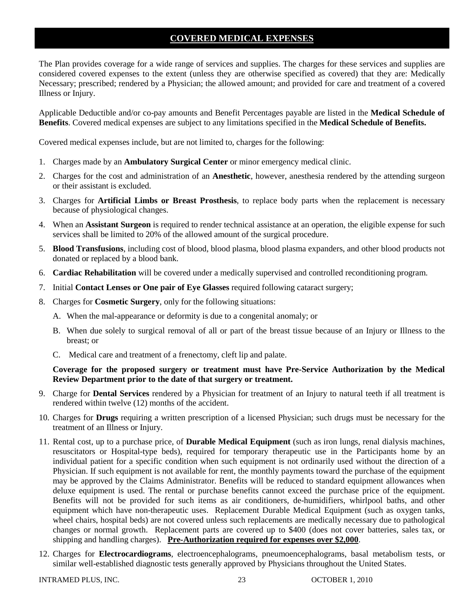# **COVERED MEDICAL EXPENSES**

The Plan provides coverage for a wide range of services and supplies. The charges for these services and supplies are considered covered expenses to the extent (unless they are otherwise specified as covered) that they are: Medically Necessary; prescribed; rendered by a Physician; the allowed amount; and provided for care and treatment of a covered Illness or Injury.

Applicable Deductible and/or co-pay amounts and Benefit Percentages payable are listed in the **Medical Schedule of Benefits**. Covered medical expenses are subject to any limitations specified in the **Medical Schedule of Benefits.**

Covered medical expenses include, but are not limited to, charges for the following:

- 1. Charges made by an **Ambulatory Surgical Center** or minor emergency medical clinic.
- 2. Charges for the cost and administration of an **Anesthetic**, however, anesthesia rendered by the attending surgeon or their assistant is excluded.
- 3. Charges for **Artificial Limbs or Breast Prosthesis**, to replace body parts when the replacement is necessary because of physiological changes.
- 4. When an **Assistant Surgeon** is required to render technical assistance at an operation, the eligible expense for such services shall be limited to 20% of the allowed amount of the surgical procedure.
- 5. **Blood Transfusions**, including cost of blood, blood plasma, blood plasma expanders, and other blood products not donated or replaced by a blood bank.
- 6. **Cardiac Rehabilitation** will be covered under a medically supervised and controlled reconditioning program.
- 7. Initial **Contact Lenses or One pair of Eye Glasses** required following cataract surgery;
- 8. Charges for **Cosmetic Surgery**, only for the following situations:
	- A. When the mal-appearance or deformity is due to a congenital anomaly; or
	- B. When due solely to surgical removal of all or part of the breast tissue because of an Injury or Illness to the breast; or
	- C. Medical care and treatment of a frenectomy, cleft lip and palate.

# **Coverage for the proposed surgery or treatment must have Pre-Service Authorization by the Medical Review Department prior to the date of that surgery or treatment.**

- 9. Charge for **Dental Services** rendered by a Physician for treatment of an Injury to natural teeth if all treatment is rendered within twelve (12) months of the accident.
- 10. Charges for **Drugs** requiring a written prescription of a licensed Physician; such drugs must be necessary for the treatment of an Illness or Injury.
- 11. Rental cost, up to a purchase price, of **Durable Medical Equipment** (such as iron lungs, renal dialysis machines, resuscitators or Hospital-type beds), required for temporary therapeutic use in the Participants home by an individual patient for a specific condition when such equipment is not ordinarily used without the direction of a Physician. If such equipment is not available for rent, the monthly payments toward the purchase of the equipment may be approved by the Claims Administrator. Benefits will be reduced to standard equipment allowances when deluxe equipment is used. The rental or purchase benefits cannot exceed the purchase price of the equipment. Benefits will not be provided for such items as air conditioners, de-humidifiers, whirlpool baths, and other equipment which have non-therapeutic uses. Replacement Durable Medical Equipment (such as oxygen tanks, wheel chairs, hospital beds) are not covered unless such replacements are medically necessary due to pathological changes or normal growth. Replacement parts are covered up to \$400 (does not cover batteries, sales tax, or shipping and handling charges). **Pre-Authorization required for expenses over \$2,000**.
- 12. Charges for **Electrocardiograms**, electroencephalograms, pneumoencephalograms, basal metabolism tests, or similar well-established diagnostic tests generally approved by Physicians throughout the United States.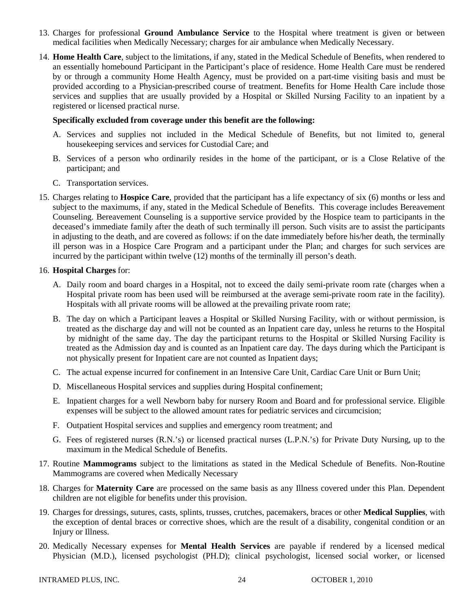- 13. Charges for professional **Ground Ambulance Service** to the Hospital where treatment is given or between medical facilities when Medically Necessary; charges for air ambulance when Medically Necessary.
- 14. **Home Health Care**, subject to the limitations, if any, stated in the Medical Schedule of Benefits, when rendered to an essentially homebound Participant in the Participant's place of residence. Home Health Care must be rendered by or through a community Home Health Agency, must be provided on a part-time visiting basis and must be provided according to a Physician-prescribed course of treatment. Benefits for Home Health Care include those services and supplies that are usually provided by a Hospital or Skilled Nursing Facility to an inpatient by a registered or licensed practical nurse.

### **Specifically excluded from coverage under this benefit are the following:**

- A. Services and supplies not included in the Medical Schedule of Benefits, but not limited to, general housekeeping services and services for Custodial Care; and
- B. Services of a person who ordinarily resides in the home of the participant, or is a Close Relative of the participant; and
- C. Transportation services.
- 15. Charges relating to **Hospice Care**, provided that the participant has a life expectancy of six (6) months or less and subject to the maximums, if any, stated in the Medical Schedule of Benefits. This coverage includes Bereavement Counseling. Bereavement Counseling is a supportive service provided by the Hospice team to participants in the deceased's immediate family after the death of such terminally ill person. Such visits are to assist the participants in adjusting to the death, and are covered as follows: if on the date immediately before his/her death, the terminally ill person was in a Hospice Care Program and a participant under the Plan; and charges for such services are incurred by the participant within twelve (12) months of the terminally ill person's death.

## 16. **Hospital Charges** for:

- A. Daily room and board charges in a Hospital, not to exceed the daily semi-private room rate (charges when a Hospital private room has been used will be reimbursed at the average semi-private room rate in the facility). Hospitals with all private rooms will be allowed at the prevailing private room rate;
- B. The day on which a Participant leaves a Hospital or Skilled Nursing Facility, with or without permission, is treated as the discharge day and will not be counted as an Inpatient care day, unless he returns to the Hospital by midnight of the same day. The day the participant returns to the Hospital or Skilled Nursing Facility is treated as the Admission day and is counted as an Inpatient care day. The days during which the Participant is not physically present for Inpatient care are not counted as Inpatient days;
- C. The actual expense incurred for confinement in an Intensive Care Unit, Cardiac Care Unit or Burn Unit;
- D. Miscellaneous Hospital services and supplies during Hospital confinement;
- E. Inpatient charges for a well Newborn baby for nursery Room and Board and for professional service. Eligible expenses will be subject to the allowed amount rates for pediatric services and circumcision;
- F. Outpatient Hospital services and supplies and emergency room treatment; and
- G. Fees of registered nurses (R.N.'s) or licensed practical nurses (L.P.N.'s) for Private Duty Nursing, up to the maximum in the Medical Schedule of Benefits.
- 17. Routine **Mammograms** subject to the limitations as stated in the Medical Schedule of Benefits. Non-Routine Mammograms are covered when Medically Necessary
- 18. Charges for **Maternity Care** are processed on the same basis as any Illness covered under this Plan. Dependent children are not eligible for benefits under this provision.
- 19. Charges for dressings, sutures, casts, splints, trusses, crutches, pacemakers, braces or other **Medical Supplies**, with the exception of dental braces or corrective shoes, which are the result of a disability, congenital condition or an Injury or Illness.
- 20. Medically Necessary expenses for **Mental Health Services** are payable if rendered by a licensed medical Physician (M.D.), licensed psychologist (PH.D); clinical psychologist, licensed social worker, or licensed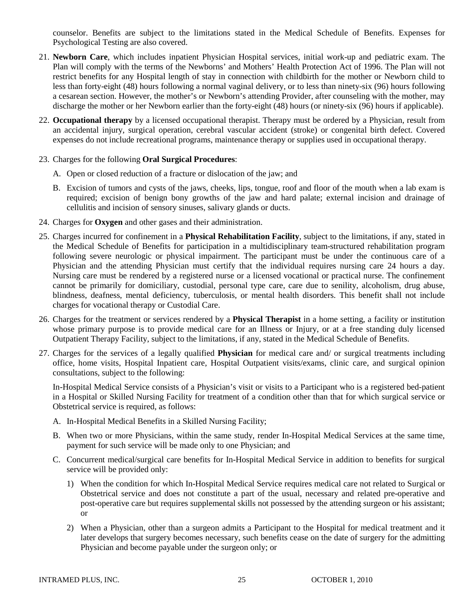counselor. Benefits are subject to the limitations stated in the Medical Schedule of Benefits. Expenses for Psychological Testing are also covered.

- 21. **Newborn Care**, which includes inpatient Physician Hospital services, initial work-up and pediatric exam. The Plan will comply with the terms of the Newborns' and Mothers' Health Protection Act of 1996. The Plan will not restrict benefits for any Hospital length of stay in connection with childbirth for the mother or Newborn child to less than forty-eight (48) hours following a normal vaginal delivery, or to less than ninety-six (96) hours following a cesarean section. However, the mother's or Newborn's attending Provider, after counseling with the mother, may discharge the mother or her Newborn earlier than the forty-eight (48) hours (or ninety-six (96) hours if applicable).
- 22. **Occupational therapy** by a licensed occupational therapist. Therapy must be ordered by a Physician, result from an accidental injury, surgical operation, cerebral vascular accident (stroke) or congenital birth defect. Covered expenses do not include recreational programs, maintenance therapy or supplies used in occupational therapy.

## 23. Charges for the following **Oral Surgical Procedures**:

- A. Open or closed reduction of a fracture or dislocation of the jaw; and
- B. Excision of tumors and cysts of the jaws, cheeks, lips, tongue, roof and floor of the mouth when a lab exam is required; excision of benign bony growths of the jaw and hard palate; external incision and drainage of cellulitis and incision of sensory sinuses, salivary glands or ducts.
- 24. Charges for **Oxygen** and other gases and their administration.
- 25. Charges incurred for confinement in a **Physical Rehabilitation Facility**, subject to the limitations, if any, stated in the Medical Schedule of Benefits for participation in a multidisciplinary team-structured rehabilitation program following severe neurologic or physical impairment. The participant must be under the continuous care of a Physician and the attending Physician must certify that the individual requires nursing care 24 hours a day. Nursing care must be rendered by a registered nurse or a licensed vocational or practical nurse. The confinement cannot be primarily for domiciliary, custodial, personal type care, care due to senility, alcoholism, drug abuse, blindness, deafness, mental deficiency, tuberculosis, or mental health disorders. This benefit shall not include charges for vocational therapy or Custodial Care.
- 26. Charges for the treatment or services rendered by a **Physical Therapist** in a home setting, a facility or institution whose primary purpose is to provide medical care for an Illness or Injury, or at a free standing duly licensed Outpatient Therapy Facility, subject to the limitations, if any, stated in the Medical Schedule of Benefits.
- 27. Charges for the services of a legally qualified **Physician** for medical care and/ or surgical treatments including office, home visits, Hospital Inpatient care, Hospital Outpatient visits/exams, clinic care, and surgical opinion consultations, subject to the following:

In-Hospital Medical Service consists of a Physician's visit or visits to a Participant who is a registered bed-patient in a Hospital or Skilled Nursing Facility for treatment of a condition other than that for which surgical service or Obstetrical service is required, as follows:

- A. In-Hospital Medical Benefits in a Skilled Nursing Facility;
- B. When two or more Physicians, within the same study, render In-Hospital Medical Services at the same time, payment for such service will be made only to one Physician; and
- C. Concurrent medical/surgical care benefits for In-Hospital Medical Service in addition to benefits for surgical service will be provided only:
	- 1) When the condition for which In-Hospital Medical Service requires medical care not related to Surgical or Obstetrical service and does not constitute a part of the usual, necessary and related pre-operative and post-operative care but requires supplemental skills not possessed by the attending surgeon or his assistant; or
	- 2) When a Physician, other than a surgeon admits a Participant to the Hospital for medical treatment and it later develops that surgery becomes necessary, such benefits cease on the date of surgery for the admitting Physician and become payable under the surgeon only; or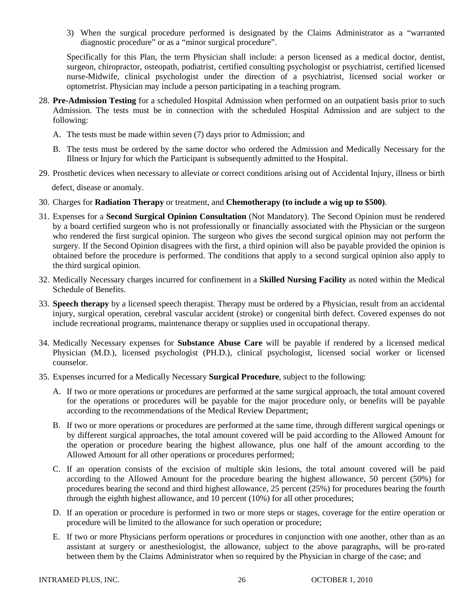3) When the surgical procedure performed is designated by the Claims Administrator as a "warranted diagnostic procedure" or as a "minor surgical procedure".

Specifically for this Plan, the term Physician shall include: a person licensed as a medical doctor, dentist, surgeon, chiropractor, osteopath, podiatrist, certified consulting psychologist or psychiatrist, certified licensed nurse-Midwife, clinical psychologist under the direction of a psychiatrist, licensed social worker or optometrist. Physician may include a person participating in a teaching program.

- 28. **Pre-Admission Testing** for a scheduled Hospital Admission when performed on an outpatient basis prior to such Admission. The tests must be in connection with the scheduled Hospital Admission and are subject to the following:
	- A. The tests must be made within seven (7) days prior to Admission; and
	- B. The tests must be ordered by the same doctor who ordered the Admission and Medically Necessary for the Illness or Injury for which the Participant is subsequently admitted to the Hospital.
- 29. Prosthetic devices when necessary to alleviate or correct conditions arising out of Accidental Injury, illness or birth

defect, disease or anomaly.

- 30. Charges for **Radiation Therapy** or treatment, and **Chemotherapy (to include a wig up to \$500)**.
- 31. Expenses for a **Second Surgical Opinion Consultation** (Not Mandatory). The Second Opinion must be rendered by a board certified surgeon who is not professionally or financially associated with the Physician or the surgeon who rendered the first surgical opinion. The surgeon who gives the second surgical opinion may not perform the surgery. If the Second Opinion disagrees with the first, a third opinion will also be payable provided the opinion is obtained before the procedure is performed. The conditions that apply to a second surgical opinion also apply to the third surgical opinion.
- 32. Medically Necessary charges incurred for confinement in a **Skilled Nursing Facility** as noted within the Medical Schedule of Benefits.
- 33. **Speech therapy** by a licensed speech therapist. Therapy must be ordered by a Physician, result from an accidental injury, surgical operation, cerebral vascular accident (stroke) or congenital birth defect. Covered expenses do not include recreational programs, maintenance therapy or supplies used in occupational therapy.
- 34. Medically Necessary expenses for **Substance Abuse Care** will be payable if rendered by a licensed medical Physician (M.D.), licensed psychologist (PH.D.), clinical psychologist, licensed social worker or licensed counselor.
- 35. Expenses incurred for a Medically Necessary **Surgical Procedure**, subject to the following:
	- A. If two or more operations or procedures are performed at the same surgical approach, the total amount covered for the operations or procedures will be payable for the major procedure only, or benefits will be payable according to the recommendations of the Medical Review Department;
	- B. If two or more operations or procedures are performed at the same time, through different surgical openings or by different surgical approaches, the total amount covered will be paid according to the Allowed Amount for the operation or procedure bearing the highest allowance, plus one half of the amount according to the Allowed Amount for all other operations or procedures performed;
	- C. If an operation consists of the excision of multiple skin lesions, the total amount covered will be paid according to the Allowed Amount for the procedure bearing the highest allowance, 50 percent (50%) for procedures bearing the second and third highest allowance, 25 percent (25%) for procedures bearing the fourth through the eighth highest allowance, and 10 percent (10%) for all other procedures;
	- D. If an operation or procedure is performed in two or more steps or stages, coverage for the entire operation or procedure will be limited to the allowance for such operation or procedure;
	- E. If two or more Physicians perform operations or procedures in conjunction with one another, other than as an assistant at surgery or anesthesiologist, the allowance, subject to the above paragraphs, will be pro-rated between them by the Claims Administrator when so required by the Physician in charge of the case; and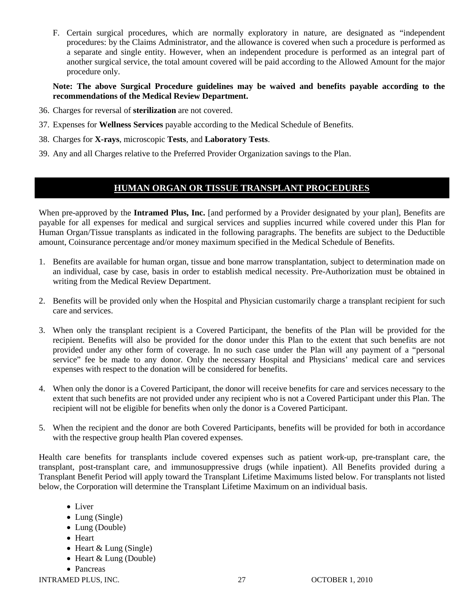F. Certain surgical procedures, which are normally exploratory in nature, are designated as "independent procedures: by the Claims Administrator, and the allowance is covered when such a procedure is performed as a separate and single entity. However, when an independent procedure is performed as an integral part of another surgical service, the total amount covered will be paid according to the Allowed Amount for the major procedure only.

**Note: The above Surgical Procedure guidelines may be waived and benefits payable according to the recommendations of the Medical Review Department.**

- 36. Charges for reversal of **sterilization** are not covered.
- 37. Expenses for **Wellness Services** payable according to the Medical Schedule of Benefits.
- 38. Charges for **X-rays**, microscopic **Tests**, and **Laboratory Tests**.
- 39. Any and all Charges relative to the Preferred Provider Organization savings to the Plan.

# **HUMAN ORGAN OR TISSUE TRANSPLANT PROCEDURES**

When pre-approved by the **Intramed Plus, Inc.** [and performed by a Provider designated by your plan], Benefits are payable for all expenses for medical and surgical services and supplies incurred while covered under this Plan for Human Organ/Tissue transplants as indicated in the following paragraphs. The benefits are subject to the Deductible amount, Coinsurance percentage and/or money maximum specified in the Medical Schedule of Benefits.

- 1. Benefits are available for human organ, tissue and bone marrow transplantation, subject to determination made on an individual, case by case, basis in order to establish medical necessity. Pre-Authorization must be obtained in writing from the Medical Review Department.
- 2. Benefits will be provided only when the Hospital and Physician customarily charge a transplant recipient for such care and services.
- 3. When only the transplant recipient is a Covered Participant, the benefits of the Plan will be provided for the recipient. Benefits will also be provided for the donor under this Plan to the extent that such benefits are not provided under any other form of coverage. In no such case under the Plan will any payment of a "personal service" fee be made to any donor. Only the necessary Hospital and Physicians' medical care and services expenses with respect to the donation will be considered for benefits.
- 4. When only the donor is a Covered Participant, the donor will receive benefits for care and services necessary to the extent that such benefits are not provided under any recipient who is not a Covered Participant under this Plan. The recipient will not be eligible for benefits when only the donor is a Covered Participant.
- 5. When the recipient and the donor are both Covered Participants, benefits will be provided for both in accordance with the respective group health Plan covered expenses.

Health care benefits for transplants include covered expenses such as patient work-up, pre-transplant care, the transplant, post-transplant care, and immunosuppressive drugs (while inpatient). All Benefits provided during a Transplant Benefit Period will apply toward the Transplant Lifetime Maximums listed below. For transplants not listed below, the Corporation will determine the Transplant Lifetime Maximum on an individual basis.

- Liver
- Lung (Single)
- Lung (Double)
- Heart
- Heart & Lung (Single)
- Heart & Lung (Double)
- Pancreas

INTRAMED PLUS, INC. 27 CCTOBER 1, 2010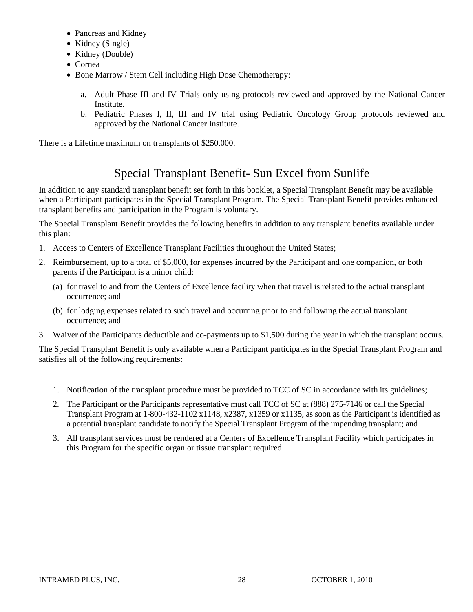- Pancreas and Kidney
- Kidney (Single)
- Kidney (Double)
- Cornea
- Bone Marrow / Stem Cell including High Dose Chemotherapy:
	- a. Adult Phase III and IV Trials only using protocols reviewed and approved by the National Cancer Institute.
	- b. Pediatric Phases I, II, III and IV trial using Pediatric Oncology Group protocols reviewed and approved by the National Cancer Institute.

There is a Lifetime maximum on transplants of \$250,000.

# Special Transplant Benefit- Sun Excel from Sunlife

In addition to any standard transplant benefit set forth in this booklet, a Special Transplant Benefit may be available when a Participant participates in the Special Transplant Program. The Special Transplant Benefit provides enhanced transplant benefits and participation in the Program is voluntary.

The Special Transplant Benefit provides the following benefits in addition to any transplant benefits available under this plan:

- 1. Access to Centers of Excellence Transplant Facilities throughout the United States;
- 2. Reimbursement, up to a total of \$5,000, for expenses incurred by the Participant and one companion, or both parents if the Participant is a minor child:
	- (a) for travel to and from the Centers of Excellence facility when that travel is related to the actual transplant occurrence; and
	- (b) for lodging expenses related to such travel and occurring prior to and following the actual transplant occurrence; and
- 3. Waiver of the Participants deductible and co-payments up to \$1,500 during the year in which the transplant occurs.

The Special Transplant Benefit is only available when a Participant participates in the Special Transplant Program and satisfies all of the following requirements:

- 1. Notification of the transplant procedure must be provided to TCC of SC in accordance with its guidelines;
- 2. The Participant or the Participants representative must call TCC of SC at (888) 275-7146 or call the Special Transplant Program at 1-800-432-1102 x1148, x2387, x1359 or x1135, as soon as the Participant is identified as a potential transplant candidate to notify the Special Transplant Program of the impending transplant; and
- 3. All transplant services must be rendered at a Centers of Excellence Transplant Facility which participates in this Program for the specific organ or tissue transplant required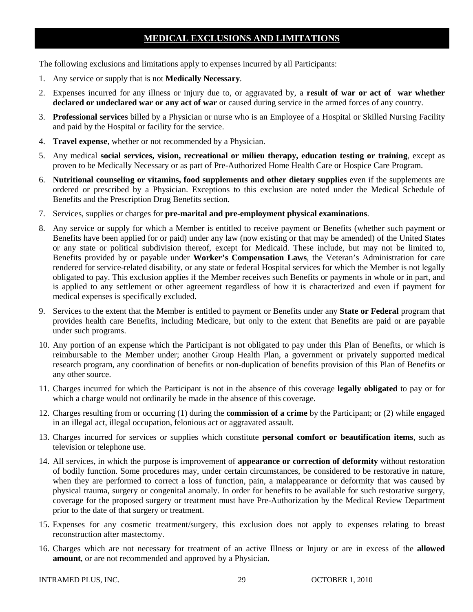# **MEDICAL EXCLUSIONS AND LIMITATIONS**

The following exclusions and limitations apply to expenses incurred by all Participants:

- 1. Any service or supply that is not **Medically Necessary**.
- 2. Expenses incurred for any illness or injury due to, or aggravated by, a **result of war or act of war whether declared or undeclared war or any act of war** or caused during service in the armed forces of any country.
- 3. **Professional services** billed by a Physician or nurse who is an Employee of a Hospital or Skilled Nursing Facility and paid by the Hospital or facility for the service.
- 4. **Travel expense**, whether or not recommended by a Physician.
- 5. Any medical **social services, vision, recreational or milieu therapy, education testing or training**, except as proven to be Medically Necessary or as part of Pre-Authorized Home Health Care or Hospice Care Program.
- 6. **Nutritional counseling or vitamins, food supplements and other dietary supplies** even if the supplements are ordered or prescribed by a Physician. Exceptions to this exclusion are noted under the Medical Schedule of Benefits and the Prescription Drug Benefits section.
- 7. Services, supplies or charges for **pre-marital and pre-employment physical examinations**.
- 8. Any service or supply for which a Member is entitled to receive payment or Benefits (whether such payment or Benefits have been applied for or paid) under any law (now existing or that may be amended) of the United States or any state or political subdivision thereof, except for Medicaid. These include, but may not be limited to, Benefits provided by or payable under **Worker's Compensation Laws**, the Veteran's Administration for care rendered for service-related disability, or any state or federal Hospital services for which the Member is not legally obligated to pay. This exclusion applies if the Member receives such Benefits or payments in whole or in part, and is applied to any settlement or other agreement regardless of how it is characterized and even if payment for medical expenses is specifically excluded.
- 9. Services to the extent that the Member is entitled to payment or Benefits under any **State or Federal** program that provides health care Benefits, including Medicare, but only to the extent that Benefits are paid or are payable under such programs.
- 10. Any portion of an expense which the Participant is not obligated to pay under this Plan of Benefits, or which is reimbursable to the Member under; another Group Health Plan, a government or privately supported medical research program, any coordination of benefits or non-duplication of benefits provision of this Plan of Benefits or any other source.
- 11. Charges incurred for which the Participant is not in the absence of this coverage **legally obligated** to pay or for which a charge would not ordinarily be made in the absence of this coverage.
- 12. Charges resulting from or occurring (1) during the **commission of a crime** by the Participant; or (2) while engaged in an illegal act, illegal occupation, felonious act or aggravated assault.
- 13. Charges incurred for services or supplies which constitute **personal comfort or beautification items**, such as television or telephone use.
- 14. All services, in which the purpose is improvement of **appearance or correction of deformity** without restoration of bodily function. Some procedures may, under certain circumstances, be considered to be restorative in nature, when they are performed to correct a loss of function, pain, a malappearance or deformity that was caused by physical trauma, surgery or congenital anomaly. In order for benefits to be available for such restorative surgery, coverage for the proposed surgery or treatment must have Pre-Authorization by the Medical Review Department prior to the date of that surgery or treatment.
- 15. Expenses for any cosmetic treatment/surgery, this exclusion does not apply to expenses relating to breast reconstruction after mastectomy.
- 16. Charges which are not necessary for treatment of an active Illness or Injury or are in excess of the **allowed amount**, or are not recommended and approved by a Physician.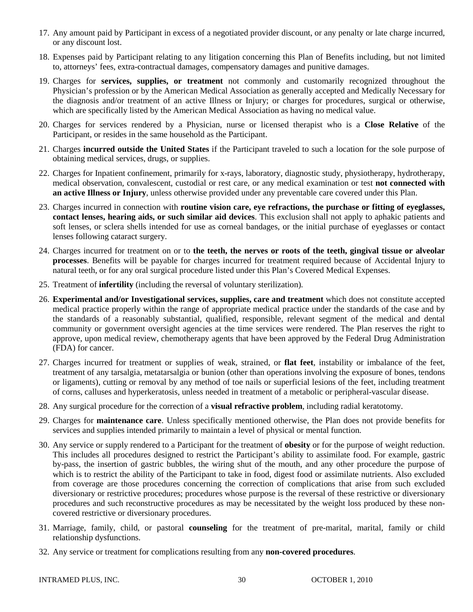- 17. Any amount paid by Participant in excess of a negotiated provider discount, or any penalty or late charge incurred, or any discount lost.
- 18. Expenses paid by Participant relating to any litigation concerning this Plan of Benefits including, but not limited to, attorneys' fees, extra-contractual damages, compensatory damages and punitive damages.
- 19. Charges for **services, supplies, or treatment** not commonly and customarily recognized throughout the Physician's profession or by the American Medical Association as generally accepted and Medically Necessary for the diagnosis and/or treatment of an active Illness or Injury; or charges for procedures, surgical or otherwise, which are specifically listed by the American Medical Association as having no medical value.
- 20. Charges for services rendered by a Physician, nurse or licensed therapist who is a **Close Relative** of the Participant, or resides in the same household as the Participant.
- 21. Charges **incurred outside the United States** if the Participant traveled to such a location for the sole purpose of obtaining medical services, drugs, or supplies.
- 22. Charges for Inpatient confinement, primarily for x-rays, laboratory, diagnostic study, physiotherapy, hydrotherapy, medical observation, convalescent, custodial or rest care, or any medical examination or test **not connected with an active Illness or Injury**, unless otherwise provided under any preventable care covered under this Plan.
- 23. Charges incurred in connection with **routine vision care, eye refractions, the purchase or fitting of eyeglasses, contact lenses, hearing aids, or such similar aid devices**. This exclusion shall not apply to aphakic patients and soft lenses, or sclera shells intended for use as corneal bandages, or the initial purchase of eyeglasses or contact lenses following cataract surgery.
- 24. Charges incurred for treatment on or to **the teeth, the nerves or roots of the teeth, gingival tissue or alveolar processes**. Benefits will be payable for charges incurred for treatment required because of Accidental Injury to natural teeth, or for any oral surgical procedure listed under this Plan's Covered Medical Expenses.
- 25. Treatment of **infertility** (including the reversal of voluntary sterilization).
- 26. **Experimental and/or Investigational services, supplies, care and treatment** which does not constitute accepted medical practice properly within the range of appropriate medical practice under the standards of the case and by the standards of a reasonably substantial, qualified, responsible, relevant segment of the medical and dental community or government oversight agencies at the time services were rendered. The Plan reserves the right to approve, upon medical review, chemotherapy agents that have been approved by the Federal Drug Administration (FDA) for cancer.
- 27. Charges incurred for treatment or supplies of weak, strained, or **flat feet**, instability or imbalance of the feet, treatment of any tarsalgia, metatarsalgia or bunion (other than operations involving the exposure of bones, tendons or ligaments), cutting or removal by any method of toe nails or superficial lesions of the feet, including treatment of corns, calluses and hyperkeratosis, unless needed in treatment of a metabolic or peripheral-vascular disease.
- 28. Any surgical procedure for the correction of a **visual refractive problem**, including radial keratotomy.
- 29. Charges for **maintenance care**. Unless specifically mentioned otherwise, the Plan does not provide benefits for services and supplies intended primarily to maintain a level of physical or mental function.
- 30. Any service or supply rendered to a Participant for the treatment of **obesity** or for the purpose of weight reduction. This includes all procedures designed to restrict the Participant's ability to assimilate food. For example, gastric by-pass, the insertion of gastric bubbles, the wiring shut of the mouth, and any other procedure the purpose of which is to restrict the ability of the Participant to take in food, digest food or assimilate nutrients. Also excluded from coverage are those procedures concerning the correction of complications that arise from such excluded diversionary or restrictive procedures; procedures whose purpose is the reversal of these restrictive or diversionary procedures and such reconstructive procedures as may be necessitated by the weight loss produced by these noncovered restrictive or diversionary procedures.
- 31. Marriage, family, child, or pastoral **counseling** for the treatment of pre-marital, marital, family or child relationship dysfunctions.
- 32. Any service or treatment for complications resulting from any **non-covered procedures**.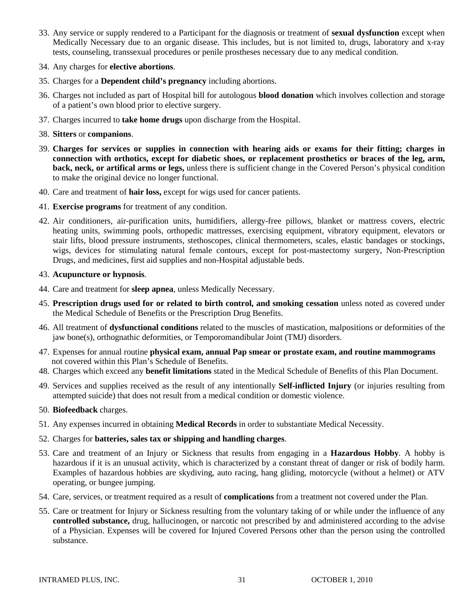- 33. Any service or supply rendered to a Participant for the diagnosis or treatment of **sexual dysfunction** except when Medically Necessary due to an organic disease. This includes, but is not limited to, drugs, laboratory and x-ray tests, counseling, transsexual procedures or penile prostheses necessary due to any medical condition.
- 34. Any charges for **elective abortions**.
- 35. Charges for a **Dependent child's pregnancy** including abortions.
- 36. Charges not included as part of Hospital bill for autologous **blood donation** which involves collection and storage of a patient's own blood prior to elective surgery.
- 37. Charges incurred to **take home drugs** upon discharge from the Hospital.
- 38. **Sitters** or **companions**.
- 39. **Charges for services or supplies in connection with hearing aids or exams for their fitting; charges in connection with orthotics, except for diabetic shoes, or replacement prosthetics or braces of the leg, arm, back, neck, or artifical arms or legs,** unless there is sufficient change in the Covered Person's physical condition to make the original device no longer functional.
- 40. Care and treatment of **hair loss,** except for wigs used for cancer patients.
- 41. **Exercise programs** for treatment of any condition.
- 42. Air conditioners, air-purification units, humidifiers, allergy-free pillows, blanket or mattress covers, electric heating units, swimming pools, orthopedic mattresses, exercising equipment, vibratory equipment, elevators or stair lifts, blood pressure instruments, stethoscopes, clinical thermometers, scales, elastic bandages or stockings, wigs, devices for stimulating natural female contours, except for post-mastectomy surgery, Non-Prescription Drugs, and medicines, first aid supplies and non-Hospital adjustable beds.
- 43. **Acupuncture or hypnosis**.
- 44. Care and treatment for **sleep apnea**, unless Medically Necessary.
- 45. **Prescription drugs used for or related to birth control, and smoking cessation** unless noted as covered under the Medical Schedule of Benefits or the Prescription Drug Benefits.
- 46. All treatment of **dysfunctional conditions** related to the muscles of mastication, malpositions or deformities of the jaw bone(s), orthognathic deformities, or Temporomandibular Joint (TMJ) disorders.
- 47. Expenses for annual routine **physical exam, annual Pap smear or prostate exam, and routine mammograms** not covered within this Plan's Schedule of Benefits.
- 48. Charges which exceed any **benefit limitations** stated in the Medical Schedule of Benefits of this Plan Document.
- 49. Services and supplies received as the result of any intentionally **Self-inflicted Injury** (or injuries resulting from attempted suicide) that does not result from a medical condition or domestic violence.
- 50. **Biofeedback** charges.
- 51. Any expenses incurred in obtaining **Medical Records** in order to substantiate Medical Necessity.
- 52. Charges for **batteries, sales tax or shipping and handling charges**.
- 53. Care and treatment of an Injury or Sickness that results from engaging in a **Hazardous Hobby**. A hobby is hazardous if it is an unusual activity, which is characterized by a constant threat of danger or risk of bodily harm. Examples of hazardous hobbies are skydiving, auto racing, hang gliding, motorcycle (without a helmet) or ATV operating, or bungee jumping.
- 54. Care, services, or treatment required as a result of **complications** from a treatment not covered under the Plan.
- 55. Care or treatment for Injury or Sickness resulting from the voluntary taking of or while under the influence of any **controlled substance,** drug, hallucinogen, or narcotic not prescribed by and administered according to the advise of a Physician. Expenses will be covered for Injured Covered Persons other than the person using the controlled substance.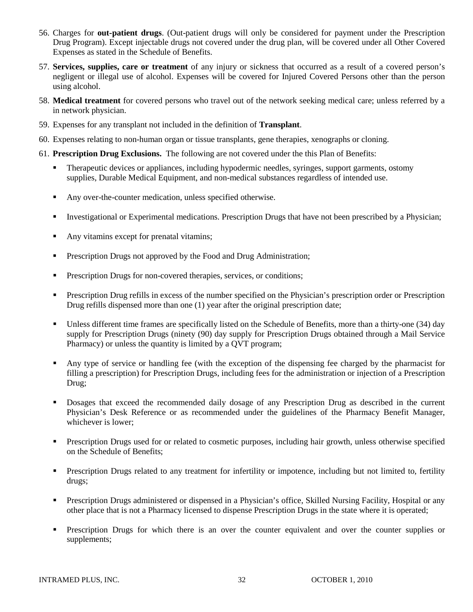- 56. Charges for **out-patient drugs**. (Out-patient drugs will only be considered for payment under the Prescription Drug Program). Except injectable drugs not covered under the drug plan, will be covered under all Other Covered Expenses as stated in the Schedule of Benefits.
- 57. **Services, supplies, care or treatment** of any injury or sickness that occurred as a result of a covered person's negligent or illegal use of alcohol. Expenses will be covered for Injured Covered Persons other than the person using alcohol.
- 58. **Medical treatment** for covered persons who travel out of the network seeking medical care; unless referred by a in network physician.
- 59. Expenses for any transplant not included in the definition of **Transplant**.
- 60. Expenses relating to non-human organ or tissue transplants, gene therapies, xenographs or cloning.
- 61. **Prescription Drug Exclusions.** The following are not covered under the this Plan of Benefits:
	- **Therapeutic devices or appliances, including hypodermic needles, syringes, support garments, ostomy** supplies, Durable Medical Equipment, and non-medical substances regardless of intended use.
	- Any over-the-counter medication, unless specified otherwise.
	- Investigational or Experimental medications. Prescription Drugs that have not been prescribed by a Physician;
	- Any vitamins except for prenatal vitamins;
	- **Prescription Drugs not approved by the Food and Drug Administration;**
	- **Prescription Drugs for non-covered therapies, services, or conditions;**
	- Prescription Drug refills in excess of the number specified on the Physician's prescription order or Prescription Drug refills dispensed more than one (1) year after the original prescription date;
	- Unless different time frames are specifically listed on the Schedule of Benefits, more than a thirty-one (34) day supply for Prescription Drugs (ninety (90) day supply for Prescription Drugs obtained through a Mail Service Pharmacy) or unless the quantity is limited by a QVT program;
	- Any type of service or handling fee (with the exception of the dispensing fee charged by the pharmacist for filling a prescription) for Prescription Drugs, including fees for the administration or injection of a Prescription Drug;
	- Dosages that exceed the recommended daily dosage of any Prescription Drug as described in the current Physician's Desk Reference or as recommended under the guidelines of the Pharmacy Benefit Manager, whichever is lower;
	- **Prescription Drugs used for or related to cosmetic purposes, including hair growth, unless otherwise specified** on the Schedule of Benefits;
	- **Prescription Drugs related to any treatment for infertility or impotence, including but not limited to, fertility** drugs;
	- **Prescription Drugs administered or dispensed in a Physician's office, Skilled Nursing Facility, Hospital or any** other place that is not a Pharmacy licensed to dispense Prescription Drugs in the state where it is operated;
	- **Prescription Drugs for which there is an over the counter equivalent and over the counter supplies or** supplements;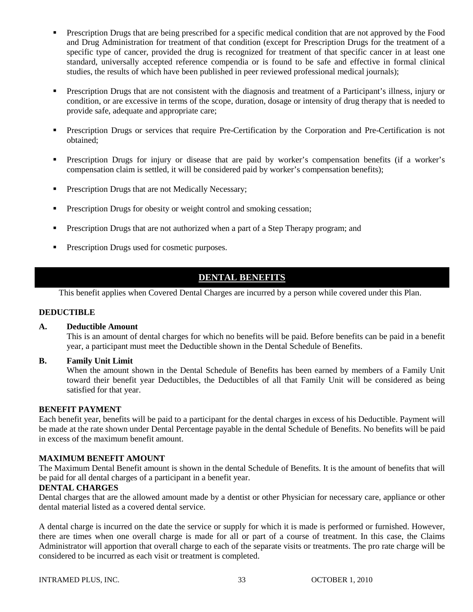- Prescription Drugs that are being prescribed for a specific medical condition that are not approved by the Food and Drug Administration for treatment of that condition (except for Prescription Drugs for the treatment of a specific type of cancer, provided the drug is recognized for treatment of that specific cancer in at least one standard, universally accepted reference compendia or is found to be safe and effective in formal clinical studies, the results of which have been published in peer reviewed professional medical journals);
- **Prescription Drugs that are not consistent with the diagnosis and treatment of a Participant's illness, injury or** condition, or are excessive in terms of the scope, duration, dosage or intensity of drug therapy that is needed to provide safe, adequate and appropriate care;
- Prescription Drugs or services that require Pre-Certification by the Corporation and Pre-Certification is not obtained;
- Prescription Drugs for injury or disease that are paid by worker's compensation benefits (if a worker's compensation claim is settled, it will be considered paid by worker's compensation benefits);
- **Prescription Drugs that are not Medically Necessary;**
- **Prescription Drugs for obesity or weight control and smoking cessation;**
- **Prescription Drugs that are not authorized when a part of a Step Therapy program; and**
- **Prescription Drugs used for cosmetic purposes.**

# **DENTAL BENEFITS**

This benefit applies when Covered Dental Charges are incurred by a person while covered under this Plan.

## **DEDUCTIBLE**

#### **A. Deductible Amount**

This is an amount of dental charges for which no benefits will be paid. Before benefits can be paid in a benefit year, a participant must meet the Deductible shown in the Dental Schedule of Benefits.

## **B. Family Unit Limit**

When the amount shown in the Dental Schedule of Benefits has been earned by members of a Family Unit toward their benefit year Deductibles, the Deductibles of all that Family Unit will be considered as being satisfied for that year.

#### **BENEFIT PAYMENT**

Each benefit year, benefits will be paid to a participant for the dental charges in excess of his Deductible. Payment will be made at the rate shown under Dental Percentage payable in the dental Schedule of Benefits. No benefits will be paid in excess of the maximum benefit amount.

## **MAXIMUM BENEFIT AMOUNT**

The Maximum Dental Benefit amount is shown in the dental Schedule of Benefits. It is the amount of benefits that will be paid for all dental charges of a participant in a benefit year.

#### **DENTAL CHARGES**

Dental charges that are the allowed amount made by a dentist or other Physician for necessary care, appliance or other dental material listed as a covered dental service.

A dental charge is incurred on the date the service or supply for which it is made is performed or furnished. However, there are times when one overall charge is made for all or part of a course of treatment. In this case, the Claims Administrator will apportion that overall charge to each of the separate visits or treatments. The pro rate charge will be considered to be incurred as each visit or treatment is completed.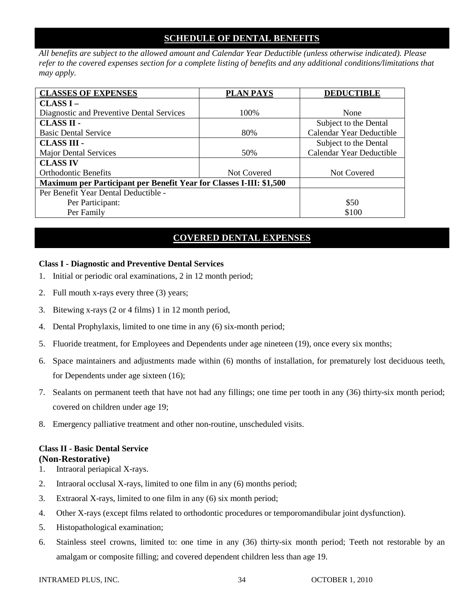# **SCHEDULE OF DENTAL BENEFITS**

*All benefits are subject to the allowed amount and Calendar Year Deductible (unless otherwise indicated). Please refer to the covered expenses section for a complete listing of benefits and any additional conditions/limitations that may apply.* 

| <b>CLASSES OF EXPENSES</b>                                                 | <b>PLAN PAYS</b>   | <b>DEDUCTIBLE</b>        |  |
|----------------------------------------------------------------------------|--------------------|--------------------------|--|
| CLASSI –                                                                   |                    |                          |  |
| Diagnostic and Preventive Dental Services                                  | 100%               | None                     |  |
| <b>CLASS II -</b>                                                          |                    | Subject to the Dental    |  |
| <b>Basic Dental Service</b>                                                | 80%                | Calendar Year Deductible |  |
| <b>CLASS III -</b>                                                         |                    | Subject to the Dental    |  |
| <b>Major Dental Services</b>                                               | 50%                | Calendar Year Deductible |  |
| <b>CLASS IV</b>                                                            |                    |                          |  |
| <b>Orthodontic Benefits</b>                                                | <b>Not Covered</b> | Not Covered              |  |
| <b>Maximum per Participant per Benefit Year for Classes I-III: \$1,500</b> |                    |                          |  |
| Per Benefit Year Dental Deductible -                                       |                    |                          |  |
| Per Participant:                                                           |                    | \$50                     |  |
| Per Family                                                                 |                    | \$100                    |  |

# **COVERED DENTAL EXPENSES**

# **Class I - Diagnostic and Preventive Dental Services**

- 1. Initial or periodic oral examinations, 2 in 12 month period;
- 2. Full mouth x-rays every three (3) years;
- 3. Bitewing x-rays (2 or 4 films) 1 in 12 month period,
- 4. Dental Prophylaxis, limited to one time in any (6) six-month period;
- 5. Fluoride treatment, for Employees and Dependents under age nineteen (19), once every six months;
- 6. Space maintainers and adjustments made within (6) months of installation, for prematurely lost deciduous teeth, for Dependents under age sixteen (16);
- 7. Sealants on permanent teeth that have not had any fillings; one time per tooth in any (36) thirty-six month period; covered on children under age 19;
- 8. Emergency palliative treatment and other non-routine, unscheduled visits.

## **Class II - Basic Dental Service (Non-Restorative)**

- 1. Intraoral periapical X-rays.
- 2. Intraoral occlusal X-rays, limited to one film in any (6) months period;
- 3. Extraoral X-rays, limited to one film in any (6) six month period;
- 4. Other X-rays (except films related to orthodontic procedures or temporomandibular joint dysfunction).
- 5. Histopathological examination;
- 6. Stainless steel crowns, limited to: one time in any (36) thirty-six month period; Teeth not restorable by an amalgam or composite filling; and covered dependent children less than age 19.

INTRAMED PLUS, INC.  $34 \qquad 34 \qquad 94 \qquad 000 \qquad 34$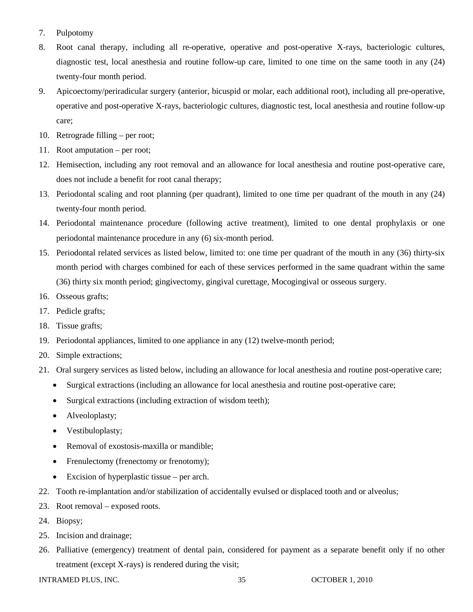- 7. Pulpotomy
- 8. Root canal therapy, including all re-operative, operative and post-operative X-rays, bacteriologic cultures, diagnostic test, local anesthesia and routine follow-up care, limited to one time on the same tooth in any (24) twenty-four month period.
- 9. Apicoectomy/periradicular surgery (anterior, bicuspid or molar, each additional root), including all pre-operative, operative and post-operative X-rays, bacteriologic cultures, diagnostic test, local anesthesia and routine follow-up care;
- 10. Retrograde filling per root;
- 11. Root amputation per root;
- 12. Hemisection, including any root removal and an allowance for local anesthesia and routine post-operative care, does not include a benefit for root canal therapy;
- 13. Periodontal scaling and root planning (per quadrant), limited to one time per quadrant of the mouth in any (24) twenty-four month period.
- 14. Periodontal maintenance procedure (following active treatment), limited to one dental prophylaxis or one periodontal maintenance procedure in any (6) six-month period.
- 15. Periodontal related services as listed below, limited to: one time per quadrant of the mouth in any (36) thirty-six month period with charges combined for each of these services performed in the same quadrant within the same (36) thirty six month period; gingivectomy, gingival curettage, Mocogingival or osseous surgery.
- 16. Osseous grafts;
- 17. Pedicle grafts;
- 18. Tissue grafts;
- 19. Periodontal appliances, limited to one appliance in any (12) twelve-month period;
- 20. Simple extractions;
- 21. Oral surgery services as listed below, including an allowance for local anesthesia and routine post-operative care;
	- Surgical extractions (including an allowance for local anesthesia and routine post-operative care;
	- Surgical extractions (including extraction of wisdom teeth);
	- Alveoloplasty;
	- Vestibuloplasty;
	- Removal of exostosis-maxilla or mandible;
	- Frenulectomy (frenectomy or frenotomy);
	- Excision of hyperplastic tissue per arch.
- 22. Tooth re-implantation and/or stabilization of accidentally evulsed or displaced tooth and or alveolus;
- 23. Root removal exposed roots.
- 24. Biopsy;
- 25. Incision and drainage;
- 26. Palliative (emergency) treatment of dental pain, considered for payment as a separate benefit only if no other treatment (except X-rays) is rendered during the visit;

INTRAMED PLUS, INC.  $\begin{array}{ccc} 35 & 35 \end{array}$  OCTOBER 1, 2010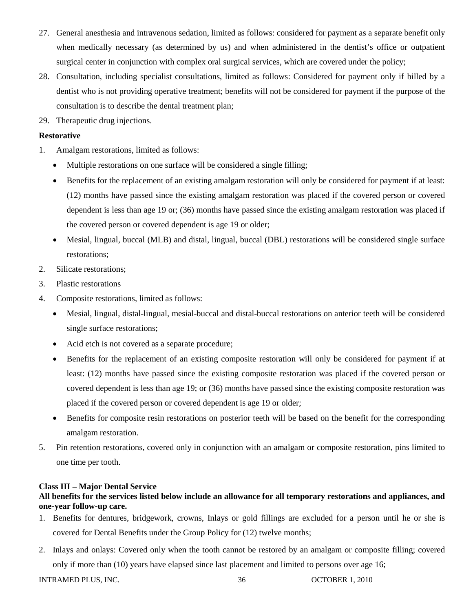- 27. General anesthesia and intravenous sedation, limited as follows: considered for payment as a separate benefit only when medically necessary (as determined by us) and when administered in the dentist's office or outpatient surgical center in conjunction with complex oral surgical services, which are covered under the policy;
- 28. Consultation, including specialist consultations, limited as follows: Considered for payment only if billed by a dentist who is not providing operative treatment; benefits will not be considered for payment if the purpose of the consultation is to describe the dental treatment plan;
- 29. Therapeutic drug injections.

# **Restorative**

- 1. Amalgam restorations, limited as follows:
	- Multiple restorations on one surface will be considered a single filling;
	- Benefits for the replacement of an existing amalgam restoration will only be considered for payment if at least: (12) months have passed since the existing amalgam restoration was placed if the covered person or covered dependent is less than age 19 or; (36) months have passed since the existing amalgam restoration was placed if the covered person or covered dependent is age 19 or older;
	- Mesial, lingual, buccal (MLB) and distal, lingual, buccal (DBL) restorations will be considered single surface restorations;
- 2. Silicate restorations;
- 3. Plastic restorations
- 4. Composite restorations, limited as follows:
	- Mesial, lingual, distal-lingual, mesial-buccal and distal-buccal restorations on anterior teeth will be considered single surface restorations;
	- Acid etch is not covered as a separate procedure;
	- Benefits for the replacement of an existing composite restoration will only be considered for payment if at least: (12) months have passed since the existing composite restoration was placed if the covered person or covered dependent is less than age 19; or (36) months have passed since the existing composite restoration was placed if the covered person or covered dependent is age 19 or older;
	- Benefits for composite resin restorations on posterior teeth will be based on the benefit for the corresponding amalgam restoration.
- 5. Pin retention restorations, covered only in conjunction with an amalgam or composite restoration, pins limited to one time per tooth.

## **Class III – Major Dental Service**

# **All benefits for the services listed below include an allowance for all temporary restorations and appliances, and one-year follow-up care.**

- 1. Benefits for dentures, bridgework, crowns, Inlays or gold fillings are excluded for a person until he or she is covered for Dental Benefits under the Group Policy for (12) twelve months;
- 2. Inlays and onlays: Covered only when the tooth cannot be restored by an amalgam or composite filling; covered only if more than (10) years have elapsed since last placement and limited to persons over age 16;

INTRAMED PLUS, INC.  $36$  OCTOBER 1, 2010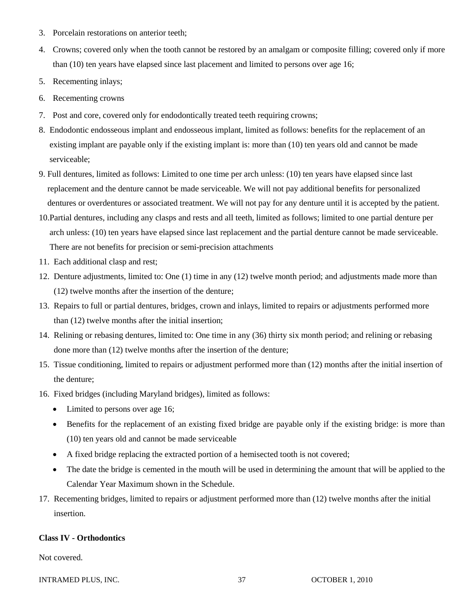- 3. Porcelain restorations on anterior teeth;
- 4. Crowns; covered only when the tooth cannot be restored by an amalgam or composite filling; covered only if more than (10) ten years have elapsed since last placement and limited to persons over age 16;
- 5. Recementing inlays;
- 6. Recementing crowns
- 7. Post and core, covered only for endodontically treated teeth requiring crowns;
- 8. Endodontic endosseous implant and endosseous implant, limited as follows: benefits for the replacement of an existing implant are payable only if the existing implant is: more than (10) ten years old and cannot be made serviceable;
- 9. Full dentures, limited as follows: Limited to one time per arch unless: (10) ten years have elapsed since last replacement and the denture cannot be made serviceable. We will not pay additional benefits for personalized dentures or overdentures or associated treatment. We will not pay for any denture until it is accepted by the patient.
- 10.Partial dentures, including any clasps and rests and all teeth, limited as follows; limited to one partial denture per arch unless: (10) ten years have elapsed since last replacement and the partial denture cannot be made serviceable. There are not benefits for precision or semi-precision attachments
- 11. Each additional clasp and rest;
- 12. Denture adjustments, limited to: One (1) time in any (12) twelve month period; and adjustments made more than (12) twelve months after the insertion of the denture;
- 13. Repairs to full or partial dentures, bridges, crown and inlays, limited to repairs or adjustments performed more than (12) twelve months after the initial insertion;
- 14. Relining or rebasing dentures, limited to: One time in any (36) thirty six month period; and relining or rebasing done more than (12) twelve months after the insertion of the denture;
- 15. Tissue conditioning, limited to repairs or adjustment performed more than (12) months after the initial insertion of the denture;
- 16. Fixed bridges (including Maryland bridges), limited as follows:
	- Limited to persons over age 16;
	- Benefits for the replacement of an existing fixed bridge are payable only if the existing bridge: is more than (10) ten years old and cannot be made serviceable
	- A fixed bridge replacing the extracted portion of a hemisected tooth is not covered;
	- The date the bridge is cemented in the mouth will be used in determining the amount that will be applied to the Calendar Year Maximum shown in the Schedule.
- 17. Recementing bridges, limited to repairs or adjustment performed more than (12) twelve months after the initial insertion.

## **Class IV - Orthodontics**

Not covered.

INTRAMED PLUS, INC.  $\begin{array}{ccc} 37 & 37 & 0 \end{array}$  OCTOBER 1, 2010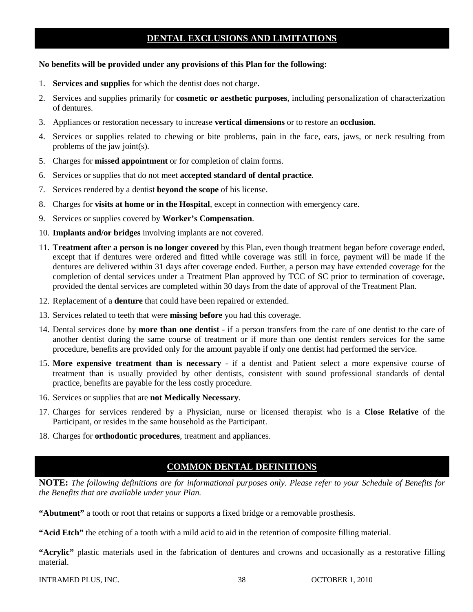# **DENTAL EXCLUSIONS AND LIMITATIONS**

### **No benefits will be provided under any provisions of this Plan for the following:**

- 1. **Services and supplies** for which the dentist does not charge.
- 2. Services and supplies primarily for **cosmetic or aesthetic purposes**, including personalization of characterization of dentures.
- 3. Appliances or restoration necessary to increase **vertical dimensions** or to restore an **occlusion**.
- 4. Services or supplies related to chewing or bite problems, pain in the face, ears, jaws, or neck resulting from problems of the jaw joint(s).
- 5. Charges for **missed appointment** or for completion of claim forms.
- 6. Services or supplies that do not meet **accepted standard of dental practice**.
- 7. Services rendered by a dentist **beyond the scope** of his license.
- 8. Charges for **visits at home or in the Hospital**, except in connection with emergency care.
- 9. Services or supplies covered by **Worker's Compensation**.
- 10. **Implants and/or bridges** involving implants are not covered.
- 11. **Treatment after a person is no longer covered** by this Plan, even though treatment began before coverage ended, except that if dentures were ordered and fitted while coverage was still in force, payment will be made if the dentures are delivered within 31 days after coverage ended. Further, a person may have extended coverage for the completion of dental services under a Treatment Plan approved by TCC of SC prior to termination of coverage, provided the dental services are completed within 30 days from the date of approval of the Treatment Plan.
- 12. Replacement of a **denture** that could have been repaired or extended.
- 13. Services related to teeth that were **missing before** you had this coverage.
- 14. Dental services done by **more than one dentist** if a person transfers from the care of one dentist to the care of another dentist during the same course of treatment or if more than one dentist renders services for the same procedure, benefits are provided only for the amount payable if only one dentist had performed the service.
- 15. **More expensive treatment than is necessary** if a dentist and Patient select a more expensive course of treatment than is usually provided by other dentists, consistent with sound professional standards of dental practice, benefits are payable for the less costly procedure.
- 16. Services or supplies that are **not Medically Necessary**.
- 17. Charges for services rendered by a Physician, nurse or licensed therapist who is a **Close Relative** of the Participant, or resides in the same household as the Participant.
- 18. Charges for **orthodontic procedures**, treatment and appliances.

# **COMMON DENTAL DEFINITIONS**

**NOTE:** *The following definitions are for informational purposes only. Please refer to your Schedule of Benefits for the Benefits that are available under your Plan.*

**"Abutment"** a tooth or root that retains or supports a fixed bridge or a removable prosthesis.

**"Acid Etch"** the etching of a tooth with a mild acid to aid in the retention of composite filling material.

**"Acrylic"** plastic materials used in the fabrication of dentures and crowns and occasionally as a restorative filling material.

INTRAMED PLUS, INC.  $38$  OCTOBER 1, 2010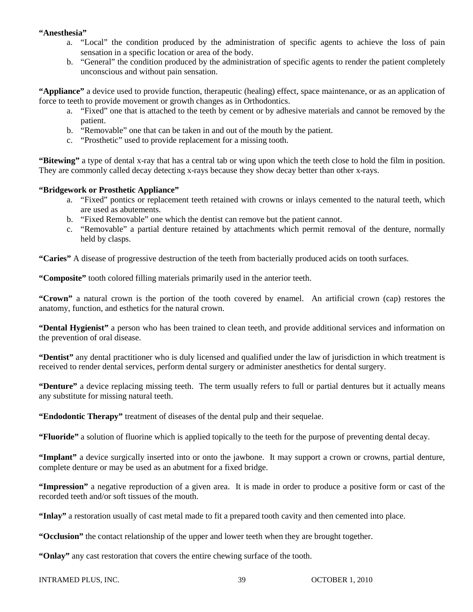## **"Anesthesia"**

- a. "Local" the condition produced by the administration of specific agents to achieve the loss of pain sensation in a specific location or area of the body.
- b. "General" the condition produced by the administration of specific agents to render the patient completely unconscious and without pain sensation.

**"Appliance"** a device used to provide function, therapeutic (healing) effect, space maintenance, or as an application of force to teeth to provide movement or growth changes as in Orthodontics.

- a. "Fixed" one that is attached to the teeth by cement or by adhesive materials and cannot be removed by the patient.
- b. "Removable" one that can be taken in and out of the mouth by the patient.
- c. "Prosthetic" used to provide replacement for a missing tooth.

**"Bitewing"** a type of dental x-ray that has a central tab or wing upon which the teeth close to hold the film in position. They are commonly called decay detecting x-rays because they show decay better than other x-rays.

## **"Bridgework or Prosthetic Appliance"**

- a. "Fixed" pontics or replacement teeth retained with crowns or inlays cemented to the natural teeth, which are used as abutements.
- b. "Fixed Removable" one which the dentist can remove but the patient cannot.
- c. "Removable" a partial denture retained by attachments which permit removal of the denture, normally held by clasps.

**"Caries"** A disease of progressive destruction of the teeth from bacterially produced acids on tooth surfaces.

**"Composite"** tooth colored filling materials primarily used in the anterior teeth.

**"Crown"** a natural crown is the portion of the tooth covered by enamel. An artificial crown (cap) restores the anatomy, function, and esthetics for the natural crown.

**"Dental Hygienist"** a person who has been trained to clean teeth, and provide additional services and information on the prevention of oral disease.

**"Dentist"** any dental practitioner who is duly licensed and qualified under the law of jurisdiction in which treatment is received to render dental services, perform dental surgery or administer anesthetics for dental surgery.

**"Denture"** a device replacing missing teeth. The term usually refers to full or partial dentures but it actually means any substitute for missing natural teeth.

**"Endodontic Therapy"** treatment of diseases of the dental pulp and their sequelae.

**"Fluoride"** a solution of fluorine which is applied topically to the teeth for the purpose of preventing dental decay.

**"Implant"** a device surgically inserted into or onto the jawbone. It may support a crown or crowns, partial denture, complete denture or may be used as an abutment for a fixed bridge.

**"Impression"** a negative reproduction of a given area. It is made in order to produce a positive form or cast of the recorded teeth and/or soft tissues of the mouth.

**"Inlay"** a restoration usually of cast metal made to fit a prepared tooth cavity and then cemented into place.

**"Occlusion"** the contact relationship of the upper and lower teeth when they are brought together.

**"Onlay"** any cast restoration that covers the entire chewing surface of the tooth.

```
INTRAMED PLUS, INC. \frac{39}{20} OCTOBER 1, 2010
```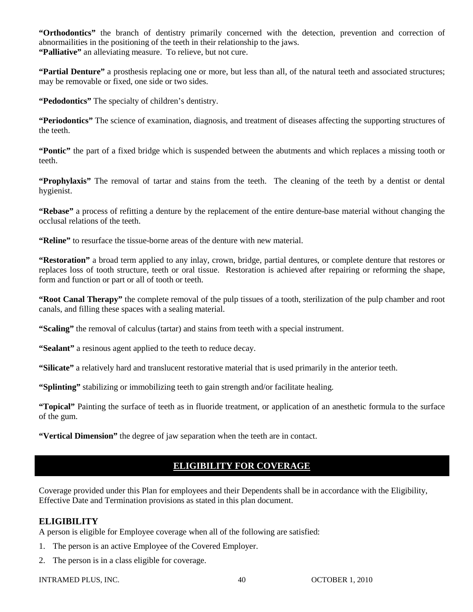**"Orthodontics"** the branch of dentistry primarily concerned with the detection, prevention and correction of abnormailities in the positioning of the teeth in their relationship to the jaws. **"Palliative"** an alleviating measure. To relieve, but not cure.

**"Partial Denture"** a prosthesis replacing one or more, but less than all, of the natural teeth and associated structures; may be removable or fixed, one side or two sides.

**"Pedodontics"** The specialty of children's dentistry.

**"Periodontics"** The science of examination, diagnosis, and treatment of diseases affecting the supporting structures of the teeth.

**"Pontic"** the part of a fixed bridge which is suspended between the abutments and which replaces a missing tooth or teeth.

**"Prophylaxis"** The removal of tartar and stains from the teeth. The cleaning of the teeth by a dentist or dental hygienist.

**"Rebase"** a process of refitting a denture by the replacement of the entire denture-base material without changing the occlusal relations of the teeth.

**"Reline"** to resurface the tissue-borne areas of the denture with new material.

**"Restoration"** a broad term applied to any inlay, crown, bridge, partial dentures, or complete denture that restores or replaces loss of tooth structure, teeth or oral tissue. Restoration is achieved after repairing or reforming the shape, form and function or part or all of tooth or teeth.

**"Root Canal Therapy"** the complete removal of the pulp tissues of a tooth, sterilization of the pulp chamber and root canals, and filling these spaces with a sealing material.

**"Scaling"** the removal of calculus (tartar) and stains from teeth with a special instrument.

**"Sealant"** a resinous agent applied to the teeth to reduce decay.

**"Silicate"** a relatively hard and translucent restorative material that is used primarily in the anterior teeth.

**"Splinting"** stabilizing or immobilizing teeth to gain strength and/or facilitate healing.

**"Topical"** Painting the surface of teeth as in fluoride treatment, or application of an anesthetic formula to the surface of the gum.

**"Vertical Dimension"** the degree of jaw separation when the teeth are in contact.

# **ELIGIBILITY FOR COVERAGE**

Coverage provided under this Plan for employees and their Dependents shall be in accordance with the Eligibility, Effective Date and Termination provisions as stated in this plan document.

# **ELIGIBILITY**

A person is eligible for Employee coverage when all of the following are satisfied:

- 1. The person is an active Employee of the Covered Employer.
- 2. The person is in a class eligible for coverage.

INTRAMED PLUS, INC.  $\begin{array}{ccc} 40 & 40 & 0 \end{array}$  OCTOBER 1, 2010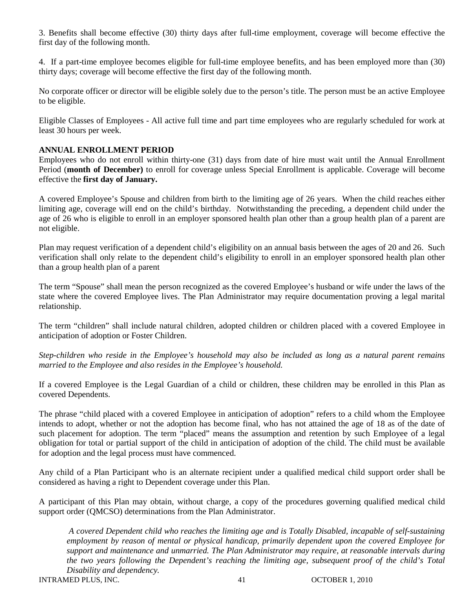3. Benefits shall become effective (30) thirty days after full-time employment, coverage will become effective the first day of the following month.

4. If a part-time employee becomes eligible for full-time employee benefits, and has been employed more than (30) thirty days; coverage will become effective the first day of the following month.

No corporate officer or director will be eligible solely due to the person's title. The person must be an active Employee to be eligible.

Eligible Classes of Employees - All active full time and part time employees who are regularly scheduled for work at least 30 hours per week.

## **ANNUAL ENROLLMENT PERIOD**

Employees who do not enroll within thirty-one (31) days from date of hire must wait until the Annual Enrollment Period (**month of December)** to enroll for coverage unless Special Enrollment is applicable. Coverage will become effective the **first day of January.**

A covered Employee's Spouse and children from birth to the limiting age of 26 years. When the child reaches either limiting age, coverage will end on the child's birthday. Notwithstanding the preceding, a dependent child under the age of 26 who is eligible to enroll in an employer sponsored health plan other than a group health plan of a parent are not eligible.

Plan may request verification of a dependent child's eligibility on an annual basis between the ages of 20 and 26. Such verification shall only relate to the dependent child's eligibility to enroll in an employer sponsored health plan other than a group health plan of a parent

The term "Spouse" shall mean the person recognized as the covered Employee's husband or wife under the laws of the state where the covered Employee lives. The Plan Administrator may require documentation proving a legal marital relationship.

The term "children" shall include natural children, adopted children or children placed with a covered Employee in anticipation of adoption or Foster Children.

*Step-children who reside in the Employee's household may also be included as long as a natural parent remains married to the Employee and also resides in the Employee's household.* 

If a covered Employee is the Legal Guardian of a child or children, these children may be enrolled in this Plan as covered Dependents.

The phrase "child placed with a covered Employee in anticipation of adoption" refers to a child whom the Employee intends to adopt, whether or not the adoption has become final, who has not attained the age of 18 as of the date of such placement for adoption. The term "placed" means the assumption and retention by such Employee of a legal obligation for total or partial support of the child in anticipation of adoption of the child. The child must be available for adoption and the legal process must have commenced.

Any child of a Plan Participant who is an alternate recipient under a qualified medical child support order shall be considered as having a right to Dependent coverage under this Plan.

A participant of this Plan may obtain, without charge, a copy of the procedures governing qualified medical child support order (QMCSO) determinations from the Plan Administrator.

*A covered Dependent child who reaches the limiting age and is Totally Disabled, incapable of self-sustaining employment by reason of mental or physical handicap, primarily dependent upon the covered Employee for support and maintenance and unmarried. The Plan Administrator may require, at reasonable intervals during the two years following the Dependent's reaching the limiting age, subsequent proof of the child's Total Disability and dependency.*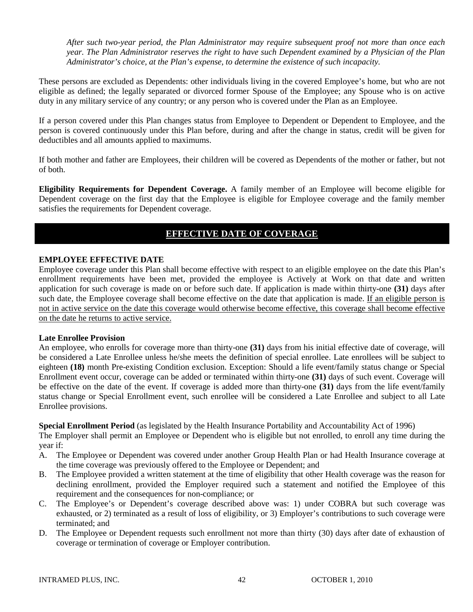*After such two-year period, the Plan Administrator may require subsequent proof not more than once each year. The Plan Administrator reserves the right to have such Dependent examined by a Physician of the Plan Administrator's choice, at the Plan's expense, to determine the existence of such incapacity.* 

These persons are excluded as Dependents: other individuals living in the covered Employee's home, but who are not eligible as defined; the legally separated or divorced former Spouse of the Employee; any Spouse who is on active duty in any military service of any country; or any person who is covered under the Plan as an Employee.

If a person covered under this Plan changes status from Employee to Dependent or Dependent to Employee, and the person is covered continuously under this Plan before, during and after the change in status, credit will be given for deductibles and all amounts applied to maximums.

If both mother and father are Employees, their children will be covered as Dependents of the mother or father, but not of both.

**Eligibility Requirements for Dependent Coverage.** A family member of an Employee will become eligible for Dependent coverage on the first day that the Employee is eligible for Employee coverage and the family member satisfies the requirements for Dependent coverage.

# **EFFECTIVE DATE OF COVERAGE**

## **EMPLOYEE EFFECTIVE DATE**

Employee coverage under this Plan shall become effective with respect to an eligible employee on the date this Plan's enrollment requirements have been met, provided the employee is Actively at Work on that date and written application for such coverage is made on or before such date. If application is made within thirty-one **(31)** days after such date, the Employee coverage shall become effective on the date that application is made. If an eligible person is not in active service on the date this coverage would otherwise become effective, this coverage shall become effective on the date he returns to active service.

## **Late Enrollee Provision**

An employee, who enrolls for coverage more than thirty-one **(31)** days from his initial effective date of coverage, will be considered a Late Enrollee unless he/she meets the definition of special enrollee. Late enrollees will be subject to eighteen **(18)** month Pre-existing Condition exclusion. Exception: Should a life event/family status change or Special Enrollment event occur, coverage can be added or terminated within thirty-one **(31)** days of such event. Coverage will be effective on the date of the event. If coverage is added more than thirty-one **(31)** days from the life event/family status change or Special Enrollment event, such enrollee will be considered a Late Enrollee and subject to all Late Enrollee provisions.

**Special Enrollment Period** (as legislated by the Health Insurance Portability and Accountability Act of 1996)

The Employer shall permit an Employee or Dependent who is eligible but not enrolled, to enroll any time during the year if:

- A. The Employee or Dependent was covered under another Group Health Plan or had Health Insurance coverage at the time coverage was previously offered to the Employee or Dependent; and
- B. The Employee provided a written statement at the time of eligibility that other Health coverage was the reason for declining enrollment, provided the Employer required such a statement and notified the Employee of this requirement and the consequences for non-compliance; or
- C. The Employee's or Dependent's coverage described above was: 1) under COBRA but such coverage was exhausted, or 2) terminated as a result of loss of eligibility, or 3) Employer's contributions to such coverage were terminated; and
- D. The Employee or Dependent requests such enrollment not more than thirty (30) days after date of exhaustion of coverage or termination of coverage or Employer contribution.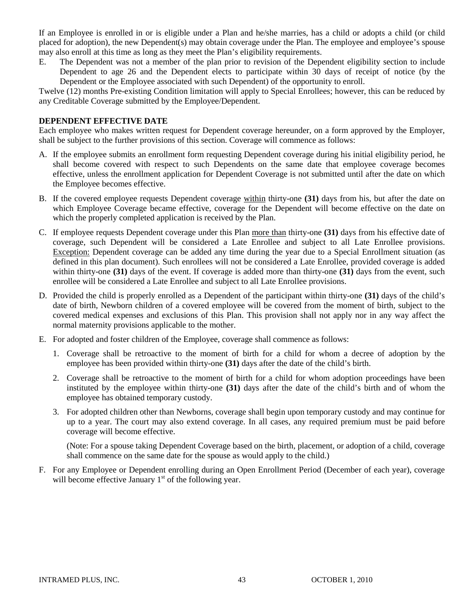If an Employee is enrolled in or is eligible under a Plan and he/she marries, has a child or adopts a child (or child placed for adoption), the new Dependent(s) may obtain coverage under the Plan. The employee and employee's spouse may also enroll at this time as long as they meet the Plan's eligibility requirements.

E. The Dependent was not a member of the plan prior to revision of the Dependent eligibility section to include Dependent to age 26 and the Dependent elects to participate within 30 days of receipt of notice (by the Dependent or the Employee associated with such Dependent) of the opportunity to enroll.

Twelve (12) months Pre-existing Condition limitation will apply to Special Enrollees; however, this can be reduced by any Creditable Coverage submitted by the Employee/Dependent.

# **DEPENDENT EFFECTIVE DATE**

Each employee who makes written request for Dependent coverage hereunder, on a form approved by the Employer, shall be subject to the further provisions of this section. Coverage will commence as follows:

- A. If the employee submits an enrollment form requesting Dependent coverage during his initial eligibility period, he shall become covered with respect to such Dependents on the same date that employee coverage becomes effective, unless the enrollment application for Dependent Coverage is not submitted until after the date on which the Employee becomes effective.
- B. If the covered employee requests Dependent coverage within thirty-one **(31)** days from his, but after the date on which Employee Coverage became effective, coverage for the Dependent will become effective on the date on which the properly completed application is received by the Plan.
- C. If employee requests Dependent coverage under this Plan more than thirty-one **(31)** days from his effective date of coverage, such Dependent will be considered a Late Enrollee and subject to all Late Enrollee provisions. Exception: Dependent coverage can be added any time during the year due to a Special Enrollment situation (as defined in this plan document). Such enrollees will not be considered a Late Enrollee, provided coverage is added within thirty-one **(31)** days of the event. If coverage is added more than thirty-one **(31)** days from the event, such enrollee will be considered a Late Enrollee and subject to all Late Enrollee provisions.
- D. Provided the child is properly enrolled as a Dependent of the participant within thirty-one **(31)** days of the child's date of birth, Newborn children of a covered employee will be covered from the moment of birth, subject to the covered medical expenses and exclusions of this Plan. This provision shall not apply nor in any way affect the normal maternity provisions applicable to the mother.
- E. For adopted and foster children of the Employee, coverage shall commence as follows:
	- 1. Coverage shall be retroactive to the moment of birth for a child for whom a decree of adoption by the employee has been provided within thirty-one **(31)** days after the date of the child's birth.
	- 2. Coverage shall be retroactive to the moment of birth for a child for whom adoption proceedings have been instituted by the employee within thirty-one **(31)** days after the date of the child's birth and of whom the employee has obtained temporary custody.
	- 3. For adopted children other than Newborns, coverage shall begin upon temporary custody and may continue for up to a year. The court may also extend coverage. In all cases, any required premium must be paid before coverage will become effective.

(Note: For a spouse taking Dependent Coverage based on the birth, placement, or adoption of a child, coverage shall commence on the same date for the spouse as would apply to the child.)

F. For any Employee or Dependent enrolling during an Open Enrollment Period (December of each year), coverage will become effective January  $1<sup>st</sup>$  of the following year.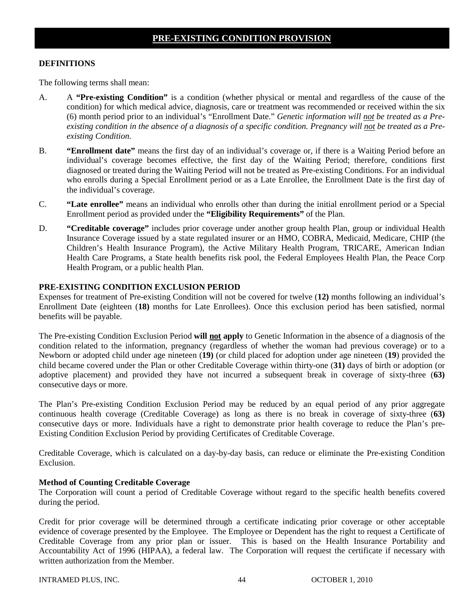# **DEFINITIONS**

The following terms shall mean:

- A. A **"Pre-existing Condition"** is a condition (whether physical or mental and regardless of the cause of the condition) for which medical advice, diagnosis, care or treatment was recommended or received within the six (6) month period prior to an individual's "Enrollment Date." *Genetic information will not be treated as a Pre*existing condition in the absence of a diagnosis of a specific condition. Pregnancy will not be treated as a Pre*existing Condition.*
- B. **"Enrollment date"** means the first day of an individual's coverage or, if there is a Waiting Period before an individual's coverage becomes effective, the first day of the Waiting Period; therefore, conditions first diagnosed or treated during the Waiting Period will not be treated as Pre-existing Conditions. For an individual who enrolls during a Special Enrollment period or as a Late Enrollee, the Enrollment Date is the first day of the individual's coverage.
- C. **"Late enrollee"** means an individual who enrolls other than during the initial enrollment period or a Special Enrollment period as provided under the **"Eligibility Requirements"** of the Plan.
- D. **"Creditable coverage"** includes prior coverage under another group health Plan, group or individual Health Insurance Coverage issued by a state regulated insurer or an HMO, COBRA, Medicaid, Medicare, CHIP (the Children's Health Insurance Program), the Active Military Health Program, TRICARE, American Indian Health Care Programs, a State health benefits risk pool, the Federal Employees Health Plan, the Peace Corp Health Program, or a public health Plan.

# **PRE-EXISTING CONDITION EXCLUSION PERIOD**

Expenses for treatment of Pre-existing Condition will not be covered for twelve (**12)** months following an individual's Enrollment Date (eighteen (**18)** months for Late Enrollees). Once this exclusion period has been satisfied, normal benefits will be payable.

The Pre-existing Condition Exclusion Period **will not apply** to Genetic Information in the absence of a diagnosis of the condition related to the information, pregnancy (regardless of whether the woman had previous coverage) or to a Newborn or adopted child under age nineteen (**19)** (or child placed for adoption under age nineteen (**19**) provided the child became covered under the Plan or other Creditable Coverage within thirty-one (**31)** days of birth or adoption (or adoptive placement) and provided they have not incurred a subsequent break in coverage of sixty-three (**63)** consecutive days or more.

The Plan's Pre-existing Condition Exclusion Period may be reduced by an equal period of any prior aggregate continuous health coverage (Creditable Coverage) as long as there is no break in coverage of sixty-three (**63)** consecutive days or more. Individuals have a right to demonstrate prior health coverage to reduce the Plan's pre-Existing Condition Exclusion Period by providing Certificates of Creditable Coverage.

Creditable Coverage, which is calculated on a day-by-day basis, can reduce or eliminate the Pre-existing Condition Exclusion.

## **Method of Counting Creditable Coverage**

The Corporation will count a period of Creditable Coverage without regard to the specific health benefits covered during the period.

Credit for prior coverage will be determined through a certificate indicating prior coverage or other acceptable evidence of coverage presented by the Employee. The Employee or Dependent has the right to request a Certificate of Creditable Coverage from any prior plan or issuer. This is based on the Health Insurance Portability and Accountability Act of 1996 (HIPAA), a federal law. The Corporation will request the certificate if necessary with written authorization from the Member.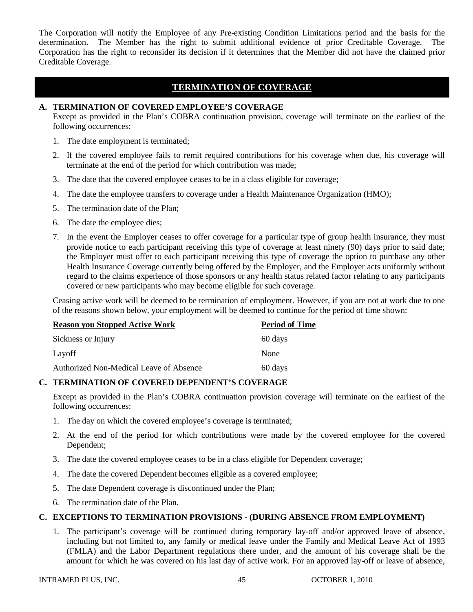The Corporation will notify the Employee of any Pre-existing Condition Limitations period and the basis for the determination. The Member has the right to submit additional evidence of prior Creditable Coverage. The Corporation has the right to reconsider its decision if it determines that the Member did not have the claimed prior Creditable Coverage.

# **TERMINATION OF COVERAGE**

## **A. TERMINATION OF COVERED EMPLOYEE'S COVERAGE**

Except as provided in the Plan's COBRA continuation provision, coverage will terminate on the earliest of the following occurrences:

- 1. The date employment is terminated;
- 2. If the covered employee fails to remit required contributions for his coverage when due, his coverage will terminate at the end of the period for which contribution was made;
- 3. The date that the covered employee ceases to be in a class eligible for coverage;
- 4. The date the employee transfers to coverage under a Health Maintenance Organization (HMO);
- 5. The termination date of the Plan;
- 6. The date the employee dies;
- 7. In the event the Employer ceases to offer coverage for a particular type of group health insurance, they must provide notice to each participant receiving this type of coverage at least ninety (90) days prior to said date; the Employer must offer to each participant receiving this type of coverage the option to purchase any other Health Insurance Coverage currently being offered by the Employer, and the Employer acts uniformly without regard to the claims experience of those sponsors or any health status related factor relating to any participants covered or new participants who may become eligible for such coverage.

Ceasing active work will be deemed to be termination of employment. However, if you are not at work due to one of the reasons shown below, your employment will be deemed to continue for the period of time shown:

| <b>Reason you Stopped Active Work</b>   | <b>Period of Time</b> |  |
|-----------------------------------------|-----------------------|--|
| Sickness or Injury                      | 60 days               |  |
| Layoff                                  | None                  |  |
| Authorized Non-Medical Leave of Absence | 60 days               |  |

# **C. TERMINATION OF COVERED DEPENDENT'S COVERAGE**

Except as provided in the Plan's COBRA continuation provision coverage will terminate on the earliest of the following occurrences:

- 1. The day on which the covered employee's coverage is terminated;
- 2. At the end of the period for which contributions were made by the covered employee for the covered Dependent;
- 3. The date the covered employee ceases to be in a class eligible for Dependent coverage;
- 4. The date the covered Dependent becomes eligible as a covered employee;
- 5. The date Dependent coverage is discontinued under the Plan;
- 6. The termination date of the Plan.

## **C. EXCEPTIONS TO TERMINATION PROVISIONS - (DURING ABSENCE FROM EMPLOYMENT)**

1. The participant's coverage will be continued during temporary lay-off and/or approved leave of absence, including but not limited to, any family or medical leave under the Family and Medical Leave Act of 1993 (FMLA) and the Labor Department regulations there under, and the amount of his coverage shall be the amount for which he was covered on his last day of active work. For an approved lay-off or leave of absence,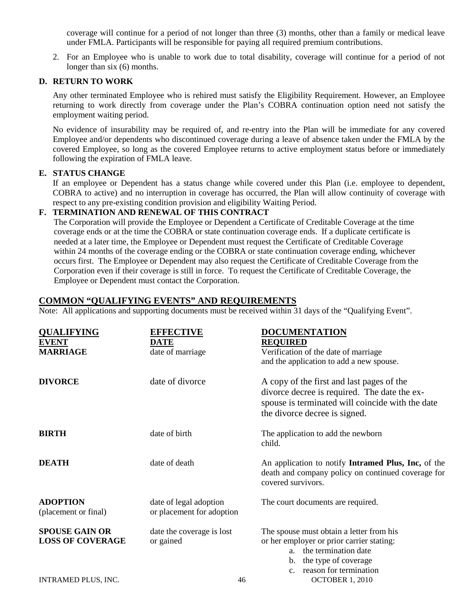coverage will continue for a period of not longer than three (3) months, other than a family or medical leave under FMLA. Participants will be responsible for paying all required premium contributions.

2. For an Employee who is unable to work due to total disability, coverage will continue for a period of not longer than six  $(6)$  months.

# **D. RETURN TO WORK**

Any other terminated Employee who is rehired must satisfy the Eligibility Requirement. However, an Employee returning to work directly from coverage under the Plan's COBRA continuation option need not satisfy the employment waiting period.

No evidence of insurability may be required of, and re-entry into the Plan will be immediate for any covered Employee and/or dependents who discontinued coverage during a leave of absence taken under the FMLA by the covered Employee, so long as the covered Employee returns to active employment status before or immediately following the expiration of FMLA leave.

## **E. STATUS CHANGE**

If an employee or Dependent has a status change while covered under this Plan (i.e. employee to dependent, COBRA to active) and no interruption in coverage has occurred, the Plan will allow continuity of coverage with respect to any pre-existing condition provision and eligibility Waiting Period.

# **F. TERMINATION AND RENEWAL OF THIS CONTRACT**

The Corporation will provide the Employee or Dependent a Certificate of Creditable Coverage at the time coverage ends or at the time the COBRA or state continuation coverage ends. If a duplicate certificate is needed at a later time, the Employee or Dependent must request the Certificate of Creditable Coverage within 24 months of the coverage ending or the COBRA or state continuation coverage ending, whichever occurs first. The Employee or Dependent may also request the Certificate of Creditable Coverage from the Corporation even if their coverage is still in force. To request the Certificate of Creditable Coverage, the Employee or Dependent must contact the Corporation.

# **COMMON "QUALIFYING EVENTS" AND REQUIREMENTS**

Note: All applications and supporting documents must be received within 31 days of the "Qualifying Event".

| <b>QUALIFYING</b>                    | <b>EFFECTIVE</b>          | <b>DOCUMENTATION</b>                                                     |
|--------------------------------------|---------------------------|--------------------------------------------------------------------------|
| <b>EVENT</b>                         | <b>DATE</b>               | <b>REQUIRED</b>                                                          |
| <b>MARRIAGE</b>                      | date of marriage          | Verification of the date of marriage                                     |
|                                      |                           | and the application to add a new spouse.                                 |
| <b>DIVORCE</b>                       | date of divorce           | A copy of the first and last pages of the                                |
|                                      |                           | divorce decree is required. The date the ex-                             |
|                                      |                           | spouse is terminated will coincide with the date                         |
|                                      |                           | the divorce decree is signed.                                            |
| <b>BIRTH</b>                         | date of birth             | The application to add the newborn                                       |
|                                      |                           | child.                                                                   |
| <b>DEATH</b>                         | date of death             | An application to notify Intramed Plus, Inc, of the                      |
|                                      |                           | death and company policy on continued coverage for<br>covered survivors. |
|                                      |                           |                                                                          |
| <b>ADOPTION</b>                      | date of legal adoption    | The court documents are required.                                        |
| (placement or final)                 | or placement for adoption |                                                                          |
| <b>SPOUSE GAIN OR</b>                | date the coverage is lost | The spouse must obtain a letter from his                                 |
| <b>LOSS OF COVERAGE</b><br>or gained |                           | or her employer or prior carrier stating:                                |
|                                      |                           | the termination date<br>a.                                               |
|                                      |                           | the type of coverage<br>$\mathbf{b}$ .                                   |
|                                      |                           | reason for termination<br>C <sub>1</sub>                                 |
| INTRAMED PLUS, INC.                  | 46                        | <b>OCTOBER 1, 2010</b>                                                   |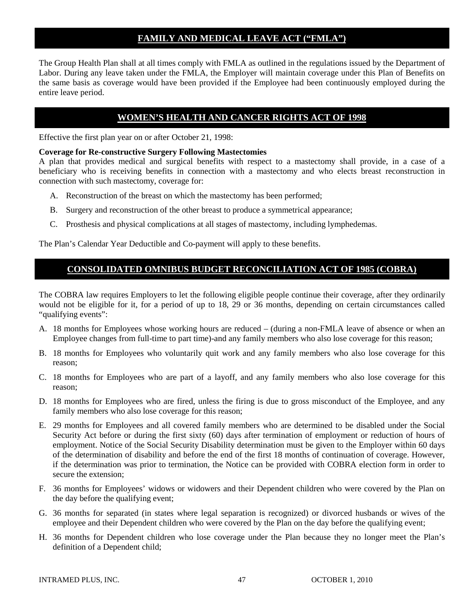# **FAMILY AND MEDICAL LEAVE ACT ("FMLA")**

The Group Health Plan shall at all times comply with FMLA as outlined in the regulations issued by the Department of Labor. During any leave taken under the FMLA, the Employer will maintain coverage under this Plan of Benefits on the same basis as coverage would have been provided if the Employee had been continuously employed during the entire leave period.

# **WOMEN'S HEALTH AND CANCER RIGHTS ACT OF 1998**

Effective the first plan year on or after October 21, 1998:

## **Coverage for Re-constructive Surgery Following Mastectomies**

A plan that provides medical and surgical benefits with respect to a mastectomy shall provide, in a case of a beneficiary who is receiving benefits in connection with a mastectomy and who elects breast reconstruction in connection with such mastectomy, coverage for:

- A. Reconstruction of the breast on which the mastectomy has been performed;
- B. Surgery and reconstruction of the other breast to produce a symmetrical appearance;
- C. Prosthesis and physical complications at all stages of mastectomy, including lymphedemas.

The Plan's Calendar Year Deductible and Co-payment will apply to these benefits.

# **CONSOLIDATED OMNIBUS BUDGET RECONCILIATION ACT OF 1985 (COBRA)**

The COBRA law requires Employers to let the following eligible people continue their coverage, after they ordinarily would not be eligible for it, for a period of up to 18, 29 or 36 months, depending on certain circumstances called "qualifying events":

- A. 18 months for Employees whose working hours are reduced (during a non-FMLA leave of absence or when an Employee changes from full-time to part time)-and any family members who also lose coverage for this reason;
- B. 18 months for Employees who voluntarily quit work and any family members who also lose coverage for this reason;
- C. 18 months for Employees who are part of a layoff, and any family members who also lose coverage for this reason;
- D. 18 months for Employees who are fired, unless the firing is due to gross misconduct of the Employee, and any family members who also lose coverage for this reason;
- E. 29 months for Employees and all covered family members who are determined to be disabled under the Social Security Act before or during the first sixty (60) days after termination of employment or reduction of hours of employment. Notice of the Social Security Disability determination must be given to the Employer within 60 days of the determination of disability and before the end of the first 18 months of continuation of coverage. However, if the determination was prior to termination, the Notice can be provided with COBRA election form in order to secure the extension;
- F. 36 months for Employees' widows or widowers and their Dependent children who were covered by the Plan on the day before the qualifying event;
- G. 36 months for separated (in states where legal separation is recognized) or divorced husbands or wives of the employee and their Dependent children who were covered by the Plan on the day before the qualifying event;
- H. 36 months for Dependent children who lose coverage under the Plan because they no longer meet the Plan's definition of a Dependent child;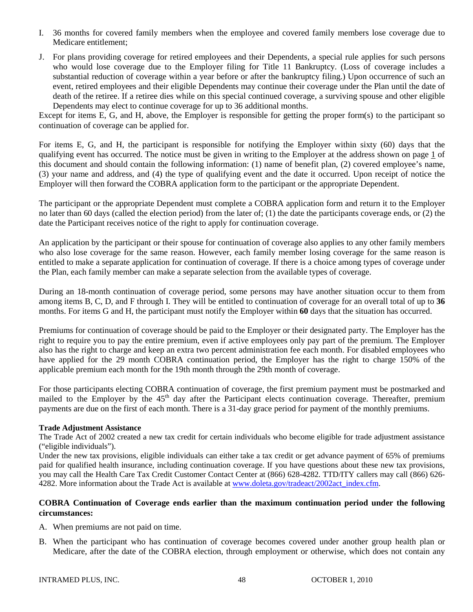- I. 36 months for covered family members when the employee and covered family members lose coverage due to Medicare entitlement;
- J. For plans providing coverage for retired employees and their Dependents, a special rule applies for such persons who would lose coverage due to the Employer filing for Title 11 Bankruptcy. (Loss of coverage includes a substantial reduction of coverage within a year before or after the bankruptcy filing.) Upon occurrence of such an event, retired employees and their eligible Dependents may continue their coverage under the Plan until the date of death of the retiree. If a retiree dies while on this special continued coverage, a surviving spouse and other eligible Dependents may elect to continue coverage for up to 36 additional months.

Except for items E, G, and H, above, the Employer is responsible for getting the proper form(s) to the participant so continuation of coverage can be applied for.

For items E, G, and H, the participant is responsible for notifying the Employer within sixty (60) days that the qualifying event has occurred. The notice must be given in writing to the Employer at the address shown on page 1 of this document and should contain the following information: (1) name of benefit plan, (2) covered employee's name, (3) your name and address, and (4) the type of qualifying event and the date it occurred. Upon receipt of notice the Employer will then forward the COBRA application form to the participant or the appropriate Dependent.

The participant or the appropriate Dependent must complete a COBRA application form and return it to the Employer no later than 60 days (called the election period) from the later of; (1) the date the participants coverage ends, or (2) the date the Participant receives notice of the right to apply for continuation coverage.

An application by the participant or their spouse for continuation of coverage also applies to any other family members who also lose coverage for the same reason. However, each family member losing coverage for the same reason is entitled to make a separate application for continuation of coverage. If there is a choice among types of coverage under the Plan, each family member can make a separate selection from the available types of coverage.

During an 18-month continuation of coverage period, some persons may have another situation occur to them from among items B, C, D, and F through I. They will be entitled to continuation of coverage for an overall total of up to **36** months. For items G and H, the participant must notify the Employer within **60** days that the situation has occurred.

Premiums for continuation of coverage should be paid to the Employer or their designated party. The Employer has the right to require you to pay the entire premium, even if active employees only pay part of the premium. The Employer also has the right to charge and keep an extra two percent administration fee each month. For disabled employees who have applied for the 29 month COBRA continuation period, the Employer has the right to charge 150% of the applicable premium each month for the 19th month through the 29th month of coverage.

For those participants electing COBRA continuation of coverage, the first premium payment must be postmarked and mailed to the Employer by the 45<sup>th</sup> day after the Participant elects continuation coverage. Thereafter, premium payments are due on the first of each month. There is a 31-day grace period for payment of the monthly premiums.

## **Trade Adjustment Assistance**

The Trade Act of 2002 created a new tax credit for certain individuals who become eligible for trade adjustment assistance ("eligible individuals").

Under the new tax provisions, eligible individuals can either take a tax credit or get advance payment of 65% of premiums paid for qualified health insurance, including continuation coverage. If you have questions about these new tax provisions, you may call the Health Care Tax Credit Customer Contact Center at (866) 628-4282. TTD/ITY callers may call (866) 626 4282. More information about the Trade Act is available at [www.doleta.gov/tradeact/2002act\\_index.cfm.](http://www.doleta.gov/tradeact/2002act_index.cfm)

## **COBRA Continuation of Coverage ends earlier than the maximum continuation period under the following circumstances:**

- A. When premiums are not paid on time.
- B. When the participant who has continuation of coverage becomes covered under another group health plan or Medicare, after the date of the COBRA election, through employment or otherwise, which does not contain any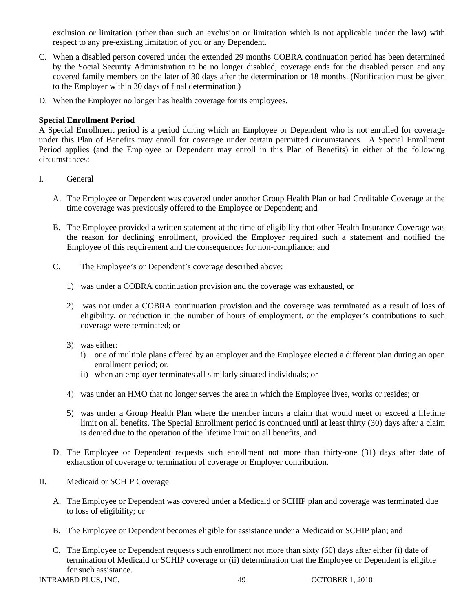exclusion or limitation (other than such an exclusion or limitation which is not applicable under the law) with respect to any pre-existing limitation of you or any Dependent.

- C. When a disabled person covered under the extended 29 months COBRA continuation period has been determined by the Social Security Administration to be no longer disabled, coverage ends for the disabled person and any covered family members on the later of 30 days after the determination or 18 months. (Notification must be given to the Employer within 30 days of final determination.)
- D. When the Employer no longer has health coverage for its employees.

# **Special Enrollment Period**

A Special Enrollment period is a period during which an Employee or Dependent who is not enrolled for coverage under this Plan of Benefits may enroll for coverage under certain permitted circumstances. A Special Enrollment Period applies (and the Employee or Dependent may enroll in this Plan of Benefits) in either of the following circumstances:

- I. General
	- A. The Employee or Dependent was covered under another Group Health Plan or had Creditable Coverage at the time coverage was previously offered to the Employee or Dependent; and
	- B. The Employee provided a written statement at the time of eligibility that other Health Insurance Coverage was the reason for declining enrollment, provided the Employer required such a statement and notified the Employee of this requirement and the consequences for non-compliance; and
	- C. The Employee's or Dependent's coverage described above:
		- 1) was under a COBRA continuation provision and the coverage was exhausted, or
		- 2) was not under a COBRA continuation provision and the coverage was terminated as a result of loss of eligibility, or reduction in the number of hours of employment, or the employer's contributions to such coverage were terminated; or
		- 3) was either:
			- i) one of multiple plans offered by an employer and the Employee elected a different plan during an open enrollment period; or,
			- ii) when an employer terminates all similarly situated individuals; or
		- 4) was under an HMO that no longer serves the area in which the Employee lives, works or resides; or
		- 5) was under a Group Health Plan where the member incurs a claim that would meet or exceed a lifetime limit on all benefits. The Special Enrollment period is continued until at least thirty (30) days after a claim is denied due to the operation of the lifetime limit on all benefits, and
	- D. The Employee or Dependent requests such enrollment not more than thirty-one (31) days after date of exhaustion of coverage or termination of coverage or Employer contribution.
- II. Medicaid or SCHIP Coverage
	- A. The Employee or Dependent was covered under a Medicaid or SCHIP plan and coverage was terminated due to loss of eligibility; or
	- B. The Employee or Dependent becomes eligible for assistance under a Medicaid or SCHIP plan; and
	- C. The Employee or Dependent requests such enrollment not more than sixty (60) days after either (i) date of termination of Medicaid or SCHIP coverage or (ii) determination that the Employee or Dependent is eligible for such assistance.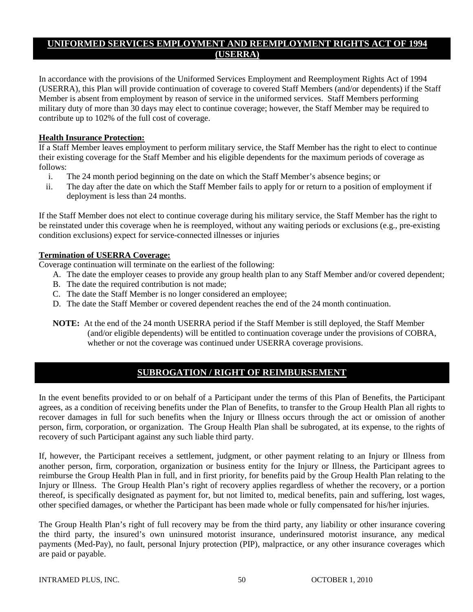# **UNIFORMED SERVICES EMPLOYMENT AND REEMPLOYMENT RIGHTS ACT OF 1994 (USERRA)**

In accordance with the provisions of the Uniformed Services Employment and Reemployment Rights Act of 1994 (USERRA), this Plan will provide continuation of coverage to covered Staff Members (and/or dependents) if the Staff Member is absent from employment by reason of service in the uniformed services. Staff Members performing military duty of more than 30 days may elect to continue coverage; however, the Staff Member may be required to contribute up to 102% of the full cost of coverage.

# **Health Insurance Protection:**

If a Staff Member leaves employment to perform military service, the Staff Member has the right to elect to continue their existing coverage for the Staff Member and his eligible dependents for the maximum periods of coverage as follows:

- i. The 24 month period beginning on the date on which the Staff Member's absence begins; or
- ii. The day after the date on which the Staff Member fails to apply for or return to a position of employment if deployment is less than 24 months.

If the Staff Member does not elect to continue coverage during his military service, the Staff Member has the right to be reinstated under this coverage when he is reemployed, without any waiting periods or exclusions (e.g., pre-existing condition exclusions) expect for service-connected illnesses or injuries

# **Termination of USERRA Coverage:**

Coverage continuation will terminate on the earliest of the following:

- A. The date the employer ceases to provide any group health plan to any Staff Member and/or covered dependent;
	- B. The date the required contribution is not made;
	- C. The date the Staff Member is no longer considered an employee;
	- D. The date the Staff Member or covered dependent reaches the end of the 24 month continuation.
- **NOTE:** At the end of the 24 month USERRA period if the Staff Member is still deployed, the Staff Member (and/or eligible dependents) will be entitled to continuation coverage under the provisions of COBRA, whether or not the coverage was continued under USERRA coverage provisions.

# **SUBROGATION / RIGHT OF REIMBURSEMENT**

In the event benefits provided to or on behalf of a Participant under the terms of this Plan of Benefits, the Participant agrees, as a condition of receiving benefits under the Plan of Benefits, to transfer to the Group Health Plan all rights to recover damages in full for such benefits when the Injury or Illness occurs through the act or omission of another person, firm, corporation, or organization. The Group Health Plan shall be subrogated, at its expense, to the rights of recovery of such Participant against any such liable third party.

If, however, the Participant receives a settlement, judgment, or other payment relating to an Injury or Illness from another person, firm, corporation, organization or business entity for the Injury or Illness, the Participant agrees to reimburse the Group Health Plan in full, and in first priority, for benefits paid by the Group Health Plan relating to the Injury or Illness. The Group Health Plan's right of recovery applies regardless of whether the recovery, or a portion thereof, is specifically designated as payment for, but not limited to, medical benefits, pain and suffering, lost wages, other specified damages, or whether the Participant has been made whole or fully compensated for his/her injuries.

The Group Health Plan's right of full recovery may be from the third party, any liability or other insurance covering the third party, the insured's own uninsured motorist insurance, underinsured motorist insurance, any medical payments (Med-Pay), no fault, personal Injury protection (PIP), malpractice, or any other insurance coverages which are paid or payable.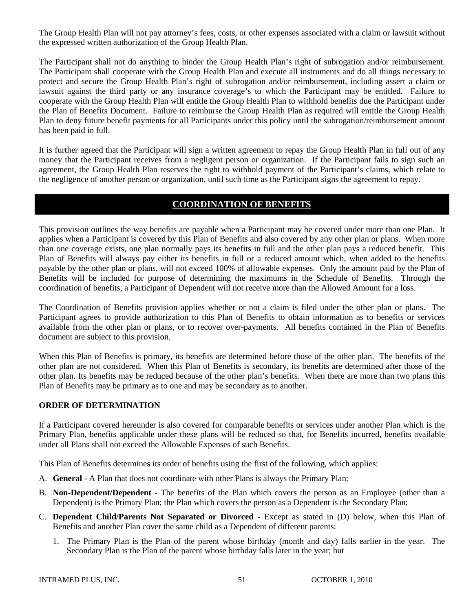The Group Health Plan will not pay attorney's fees, costs, or other expenses associated with a claim or lawsuit without the expressed written authorization of the Group Health Plan.

The Participant shall not do anything to hinder the Group Health Plan's right of subrogation and/or reimbursement. The Participant shall cooperate with the Group Health Plan and execute all instruments and do all things necessary to protect and secure the Group Health Plan's right of subrogation and/or reimbursement, including assert a claim or lawsuit against the third party or any insurance coverage's to which the Participant may be entitled. Failure to cooperate with the Group Health Plan will entitle the Group Health Plan to withhold benefits due the Participant under the Plan of Benefits Document. Failure to reimburse the Group Health Plan as required will entitle the Group Health Plan to deny future benefit payments for all Participants under this policy until the subrogation/reimbursement amount has been paid in full.

It is further agreed that the Participant will sign a written agreement to repay the Group Health Plan in full out of any money that the Participant receives from a negligent person or organization. If the Participant fails to sign such an agreement, the Group Health Plan reserves the right to withhold payment of the Participant's claims, which relate to the negligence of another person or organization, until such time as the Participant signs the agreement to repay.

# **COORDINATION OF BENEFITS**

This provision outlines the way benefits are payable when a Participant may be covered under more than one Plan. It applies when a Participant is covered by this Plan of Benefits and also covered by any other plan or plans. When more than one coverage exists, one plan normally pays its benefits in full and the other plan pays a reduced benefit. This Plan of Benefits will always pay either its benefits in full or a reduced amount which, when added to the benefits payable by the other plan or plans, will not exceed 100% of allowable expenses. Only the amount paid by the Plan of Benefits will be included for purpose of determining the maximums in the Schedule of Benefits. Through the coordination of benefits, a Participant of Dependent will not receive more than the Allowed Amount for a loss.

The Coordination of Benefits provision applies whether or not a claim is filed under the other plan or plans. The Participant agrees to provide authorization to this Plan of Benefits to obtain information as to benefits or services available from the other plan or plans, or to recover over-payments. All benefits contained in the Plan of Benefits document are subject to this provision.

When this Plan of Benefits is primary, its benefits are determined before those of the other plan. The benefits of the other plan are not considered. When this Plan of Benefits is secondary, its benefits are determined after those of the other plan. Its benefits may be reduced because of the other plan's benefits. When there are more than two plans this Plan of Benefits may be primary as to one and may be secondary as to another.

## **ORDER OF DETERMINATION**

If a Participant covered hereunder is also covered for comparable benefits or services under another Plan which is the Primary Plan, benefits applicable under these plans will be reduced so that, for Benefits incurred, benefits available under all Plans shall not exceed the Allowable Expenses of such Benefits.

This Plan of Benefits determines its order of benefits using the first of the following, which applies:

- A. **General** A Plan that does not coordinate with other Plans is always the Primary Plan;
- B. **Non-Dependent/Dependent** The benefits of the Plan which covers the person as an Employee (other than a Dependent) is the Primary Plan; the Plan which covers the person as a Dependent is the Secondary Plan;
- C. **Dependent Child/Parents Not Separated or Divorced** Except as stated in (D) below, when this Plan of Benefits and another Plan cover the same child as a Dependent of different parents:
	- 1. The Primary Plan is the Plan of the parent whose birthday (month and day) falls earlier in the year. The Secondary Plan is the Plan of the parent whose birthday falls later in the year; but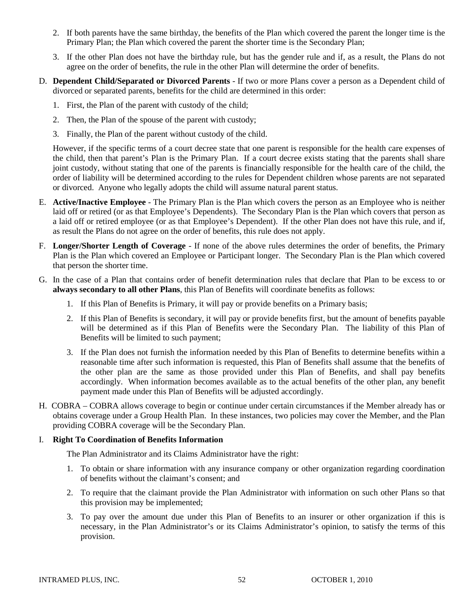- 2. If both parents have the same birthday, the benefits of the Plan which covered the parent the longer time is the Primary Plan; the Plan which covered the parent the shorter time is the Secondary Plan;
- 3. If the other Plan does not have the birthday rule, but has the gender rule and if, as a result, the Plans do not agree on the order of benefits, the rule in the other Plan will determine the order of benefits.
- D. **Dependent Child/Separated or Divorced Parents** If two or more Plans cover a person as a Dependent child of divorced or separated parents, benefits for the child are determined in this order:
	- 1. First, the Plan of the parent with custody of the child;
	- 2. Then, the Plan of the spouse of the parent with custody;
	- 3. Finally, the Plan of the parent without custody of the child.

However, if the specific terms of a court decree state that one parent is responsible for the health care expenses of the child, then that parent's Plan is the Primary Plan. If a court decree exists stating that the parents shall share joint custody, without stating that one of the parents is financially responsible for the health care of the child, the order of liability will be determined according to the rules for Dependent children whose parents are not separated or divorced. Anyone who legally adopts the child will assume natural parent status.

- E. **Active/Inactive Employee** The Primary Plan is the Plan which covers the person as an Employee who is neither laid off or retired (or as that Employee's Dependents). The Secondary Plan is the Plan which covers that person as a laid off or retired employee (or as that Employee's Dependent). If the other Plan does not have this rule, and if, as result the Plans do not agree on the order of benefits, this rule does not apply.
- F. **Longer/Shorter Length of Coverage** If none of the above rules determines the order of benefits, the Primary Plan is the Plan which covered an Employee or Participant longer. The Secondary Plan is the Plan which covered that person the shorter time.
- G. In the case of a Plan that contains order of benefit determination rules that declare that Plan to be excess to or **always secondary to all other Plans**, this Plan of Benefits will coordinate benefits as follows:
	- 1. If this Plan of Benefits is Primary, it will pay or provide benefits on a Primary basis;
	- 2. If this Plan of Benefits is secondary, it will pay or provide benefits first, but the amount of benefits payable will be determined as if this Plan of Benefits were the Secondary Plan. The liability of this Plan of Benefits will be limited to such payment;
	- 3. If the Plan does not furnish the information needed by this Plan of Benefits to determine benefits within a reasonable time after such information is requested, this Plan of Benefits shall assume that the benefits of the other plan are the same as those provided under this Plan of Benefits, and shall pay benefits accordingly. When information becomes available as to the actual benefits of the other plan, any benefit payment made under this Plan of Benefits will be adjusted accordingly.
- H. COBRA COBRA allows coverage to begin or continue under certain circumstances if the Member already has or obtains coverage under a Group Health Plan. In these instances, two policies may cover the Member, and the Plan providing COBRA coverage will be the Secondary Plan.

# I. **Right To Coordination of Benefits Information**

The Plan Administrator and its Claims Administrator have the right:

- 1. To obtain or share information with any insurance company or other organization regarding coordination of benefits without the claimant's consent; and
- 2. To require that the claimant provide the Plan Administrator with information on such other Plans so that this provision may be implemented;
- 3. To pay over the amount due under this Plan of Benefits to an insurer or other organization if this is necessary, in the Plan Administrator's or its Claims Administrator's opinion, to satisfy the terms of this provision.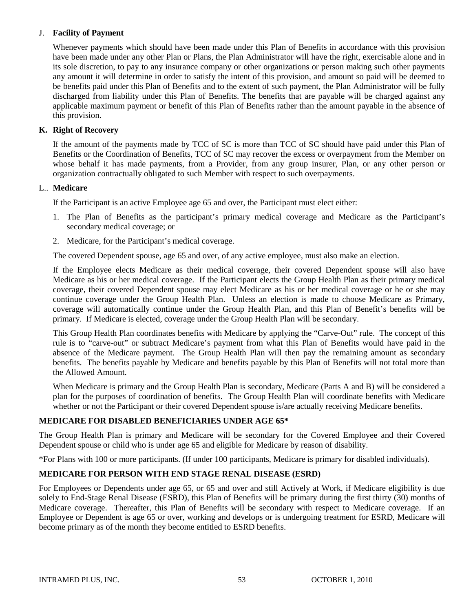# J. **Facility of Payment**

Whenever payments which should have been made under this Plan of Benefits in accordance with this provision have been made under any other Plan or Plans, the Plan Administrator will have the right, exercisable alone and in its sole discretion, to pay to any insurance company or other organizations or person making such other payments any amount it will determine in order to satisfy the intent of this provision, and amount so paid will be deemed to be benefits paid under this Plan of Benefits and to the extent of such payment, the Plan Administrator will be fully discharged from liability under this Plan of Benefits. The benefits that are payable will be charged against any applicable maximum payment or benefit of this Plan of Benefits rather than the amount payable in the absence of this provision.

# **K. Right of Recovery**

If the amount of the payments made by TCC of SC is more than TCC of SC should have paid under this Plan of Benefits or the Coordination of Benefits, TCC of SC may recover the excess or overpayment from the Member on whose behalf it has made payments, from a Provider, from any group insurer, Plan, or any other person or organization contractually obligated to such Member with respect to such overpayments.

## L.. **Medicare**

If the Participant is an active Employee age 65 and over, the Participant must elect either:

- 1. The Plan of Benefits as the participant's primary medical coverage and Medicare as the Participant's secondary medical coverage; or
- 2. Medicare, for the Participant's medical coverage.

The covered Dependent spouse, age 65 and over, of any active employee, must also make an election.

If the Employee elects Medicare as their medical coverage, their covered Dependent spouse will also have Medicare as his or her medical coverage. If the Participant elects the Group Health Plan as their primary medical coverage, their covered Dependent spouse may elect Medicare as his or her medical coverage or he or she may continue coverage under the Group Health Plan. Unless an election is made to choose Medicare as Primary, coverage will automatically continue under the Group Health Plan, and this Plan of Benefit's benefits will be primary. If Medicare is elected, coverage under the Group Health Plan will be secondary.

This Group Health Plan coordinates benefits with Medicare by applying the "Carve-Out" rule. The concept of this rule is to "carve-out" or subtract Medicare's payment from what this Plan of Benefits would have paid in the absence of the Medicare payment. The Group Health Plan will then pay the remaining amount as secondary benefits. The benefits payable by Medicare and benefits payable by this Plan of Benefits will not total more than the Allowed Amount.

When Medicare is primary and the Group Health Plan is secondary, Medicare (Parts A and B) will be considered a plan for the purposes of coordination of benefits. The Group Health Plan will coordinate benefits with Medicare whether or not the Participant or their covered Dependent spouse is/are actually receiving Medicare benefits.

# **MEDICARE FOR DISABLED BENEFICIARIES UNDER AGE 65\***

The Group Health Plan is primary and Medicare will be secondary for the Covered Employee and their Covered Dependent spouse or child who is under age 65 and eligible for Medicare by reason of disability.

\*For Plans with 100 or more participants. (If under 100 participants, Medicare is primary for disabled individuals).

# **MEDICARE FOR PERSON WITH END STAGE RENAL DISEASE (ESRD)**

For Employees or Dependents under age 65, or 65 and over and still Actively at Work, if Medicare eligibility is due solely to End-Stage Renal Disease (ESRD), this Plan of Benefits will be primary during the first thirty (30) months of Medicare coverage. Thereafter, this Plan of Benefits will be secondary with respect to Medicare coverage. If an Employee or Dependent is age 65 or over, working and develops or is undergoing treatment for ESRD, Medicare will become primary as of the month they become entitled to ESRD benefits.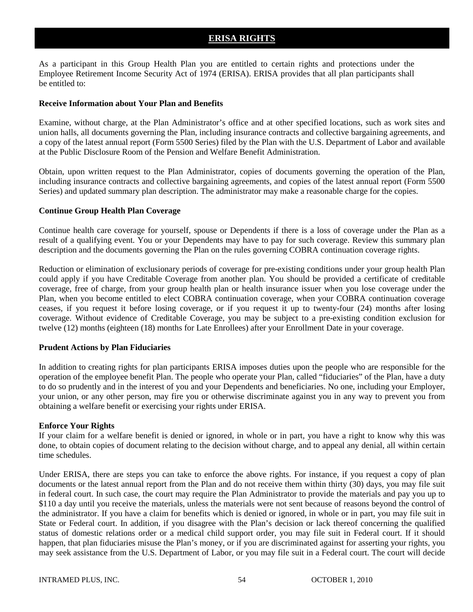# **ERISA RIGHTS**

As a participant in this Group Health Plan you are entitled to certain rights and protections under the Employee Retirement Income Security Act of 1974 (ERISA). ERISA provides that all plan participants shall be entitled to:

#### **Receive Information about Your Plan and Benefits**

Examine, without charge, at the Plan Administrator's office and at other specified locations, such as work sites and union halls, all documents governing the Plan, including insurance contracts and collective bargaining agreements, and a copy of the latest annual report (Form 5500 Series) filed by the Plan with the U.S. Department of Labor and available at the Public Disclosure Room of the Pension and Welfare Benefit Administration.

Obtain, upon written request to the Plan Administrator, copies of documents governing the operation of the Plan, including insurance contracts and collective bargaining agreements, and copies of the latest annual report (Form 5500 Series) and updated summary plan description. The administrator may make a reasonable charge for the copies.

#### **Continue Group Health Plan Coverage**

Continue health care coverage for yourself, spouse or Dependents if there is a loss of coverage under the Plan as a result of a qualifying event. You or your Dependents may have to pay for such coverage. Review this summary plan description and the documents governing the Plan on the rules governing COBRA continuation coverage rights.

Reduction or elimination of exclusionary periods of coverage for pre-existing conditions under your group health Plan could apply if you have Creditable Coverage from another plan. You should be provided a certificate of creditable coverage, free of charge, from your group health plan or health insurance issuer when you lose coverage under the Plan, when you become entitled to elect COBRA continuation coverage, when your COBRA continuation coverage ceases, if you request it before losing coverage, or if you request it up to twenty-four (24) months after losing coverage. Without evidence of Creditable Coverage, you may be subject to a pre-existing condition exclusion for twelve (12) months (eighteen (18) months for Late Enrollees) after your Enrollment Date in your coverage.

#### **Prudent Actions by Plan Fiduciaries**

In addition to creating rights for plan participants ERISA imposes duties upon the people who are responsible for the operation of the employee benefit Plan. The people who operate your Plan, called "fiduciaries" of the Plan, have a duty to do so prudently and in the interest of you and your Dependents and beneficiaries. No one, including your Employer, your union, or any other person, may fire you or otherwise discriminate against you in any way to prevent you from obtaining a welfare benefit or exercising your rights under ERISA.

#### **Enforce Your Rights**

If your claim for a welfare benefit is denied or ignored, in whole or in part, you have a right to know why this was done, to obtain copies of document relating to the decision without charge, and to appeal any denial, all within certain time schedules.

Under ERISA, there are steps you can take to enforce the above rights. For instance, if you request a copy of plan documents or the latest annual report from the Plan and do not receive them within thirty (30) days, you may file suit in federal court. In such case, the court may require the Plan Administrator to provide the materials and pay you up to \$110 a day until you receive the materials, unless the materials were not sent because of reasons beyond the control of the administrator. If you have a claim for benefits which is denied or ignored, in whole or in part, you may file suit in State or Federal court. In addition, if you disagree with the Plan's decision or lack thereof concerning the qualified status of domestic relations order or a medical child support order, you may file suit in Federal court. If it should happen, that plan fiduciaries misuse the Plan's money, or if you are discriminated against for asserting your rights, you may seek assistance from the U.S. Department of Labor, or you may file suit in a Federal court. The court will decide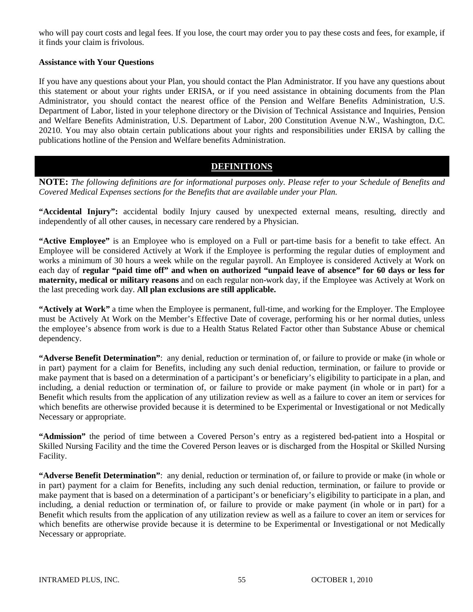who will pay court costs and legal fees. If you lose, the court may order you to pay these costs and fees, for example, if it finds your claim is frivolous.

# **Assistance with Your Questions**

If you have any questions about your Plan, you should contact the Plan Administrator. If you have any questions about this statement or about your rights under ERISA, or if you need assistance in obtaining documents from the Plan Administrator, you should contact the nearest office of the Pension and Welfare Benefits Administration, U.S. Department of Labor, listed in your telephone directory or the Division of Technical Assistance and Inquiries, Pension and Welfare Benefits Administration, U.S. Department of Labor, 200 Constitution Avenue N.W., Washington, D.C. 20210. You may also obtain certain publications about your rights and responsibilities under ERISA by calling the publications hotline of the Pension and Welfare benefits Administration.

# **DEFINITIONS**

**NOTE:** *The following definitions are for informational purposes only. Please refer to your Schedule of Benefits and Covered Medical Expenses sections for the Benefits that are available under your Plan.*

**"Accidental Injury":** accidental bodily Injury caused by unexpected external means, resulting, directly and independently of all other causes, in necessary care rendered by a Physician.

**"Active Employee"** is an Employee who is employed on a Full or part-time basis for a benefit to take effect. An Employee will be considered Actively at Work if the Employee is performing the regular duties of employment and works a minimum of 30 hours a week while on the regular payroll. An Employee is considered Actively at Work on each day of **regular "paid time off" and when on authorized "unpaid leave of absence" for 60 days or less for maternity, medical or military reasons** and on each regular non-work day, if the Employee was Actively at Work on the last preceding work day. **All plan exclusions are still applicable.**

**"Actively at Work"** a time when the Employee is permanent, full-time, and working for the Employer. The Employee must be Actively At Work on the Member's Effective Date of coverage, performing his or her normal duties, unless the employee's absence from work is due to a Health Status Related Factor other than Substance Abuse or chemical dependency.

**"Adverse Benefit Determination"**: any denial, reduction or termination of, or failure to provide or make (in whole or in part) payment for a claim for Benefits, including any such denial reduction, termination, or failure to provide or make payment that is based on a determination of a participant's or beneficiary's eligibility to participate in a plan, and including, a denial reduction or termination of, or failure to provide or make payment (in whole or in part) for a Benefit which results from the application of any utilization review as well as a failure to cover an item or services for which benefits are otherwise provided because it is determined to be Experimental or Investigational or not Medically Necessary or appropriate.

**"Admission"** the period of time between a Covered Person's entry as a registered bed-patient into a Hospital or Skilled Nursing Facility and the time the Covered Person leaves or is discharged from the Hospital or Skilled Nursing Facility.

**"Adverse Benefit Determination"**: any denial, reduction or termination of, or failure to provide or make (in whole or in part) payment for a claim for Benefits, including any such denial reduction, termination, or failure to provide or make payment that is based on a determination of a participant's or beneficiary's eligibility to participate in a plan, and including, a denial reduction or termination of, or failure to provide or make payment (in whole or in part) for a Benefit which results from the application of any utilization review as well as a failure to cover an item or services for which benefits are otherwise provide because it is determine to be Experimental or Investigational or not Medically Necessary or appropriate.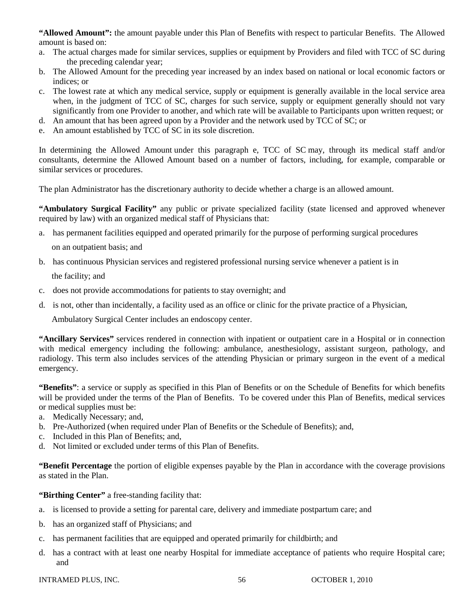**"Allowed Amount":** the amount payable under this Plan of Benefits with respect to particular Benefits. The Allowed amount is based on:

- a. The actual charges made for similar services, supplies or equipment by Providers and filed with TCC of SC during the preceding calendar year;
- b. The Allowed Amount for the preceding year increased by an index based on national or local economic factors or indices; or
- c. The lowest rate at which any medical service, supply or equipment is generally available in the local service area when, in the judgment of TCC of SC, charges for such service, supply or equipment generally should not vary significantly from one Provider to another, and which rate will be available to Participants upon written request; or
- d. An amount that has been agreed upon by a Provider and the network used by TCC of SC; or
- e. An amount established by TCC of SC in its sole discretion.

In determining the Allowed Amount under this paragraph e, TCC of SC may, through its medical staff and/or consultants, determine the Allowed Amount based on a number of factors, including, for example, comparable or similar services or procedures.

The plan Administrator has the discretionary authority to decide whether a charge is an allowed amount.

**"Ambulatory Surgical Facility"** any public or private specialized facility (state licensed and approved whenever required by law) with an organized medical staff of Physicians that:

- a. has permanent facilities equipped and operated primarily for the purpose of performing surgical procedures on an outpatient basis; and
- b. has continuous Physician services and registered professional nursing service whenever a patient is in the facility; and
- c. does not provide accommodations for patients to stay overnight; and
- d. is not, other than incidentally, a facility used as an office or clinic for the private practice of a Physician,

Ambulatory Surgical Center includes an endoscopy center.

**"Ancillary Services"** services rendered in connection with inpatient or outpatient care in a Hospital or in connection with medical emergency including the following: ambulance, anesthesiology, assistant surgeon, pathology, and radiology. This term also includes services of the attending Physician or primary surgeon in the event of a medical emergency.

**"Benefits"**: a service or supply as specified in this Plan of Benefits or on the Schedule of Benefits for which benefits will be provided under the terms of the Plan of Benefits. To be covered under this Plan of Benefits, medical services or medical supplies must be:

- a. Medically Necessary; and,
- b. Pre-Authorized (when required under Plan of Benefits or the Schedule of Benefits); and,
- c. Included in this Plan of Benefits; and,
- d. Not limited or excluded under terms of this Plan of Benefits.

**"Benefit Percentage** the portion of eligible expenses payable by the Plan in accordance with the coverage provisions as stated in the Plan.

**"Birthing Center"** a free-standing facility that:

- a. is licensed to provide a setting for parental care, delivery and immediate postpartum care; and
- b. has an organized staff of Physicians; and
- c. has permanent facilities that are equipped and operated primarily for childbirth; and
- d. has a contract with at least one nearby Hospital for immediate acceptance of patients who require Hospital care; and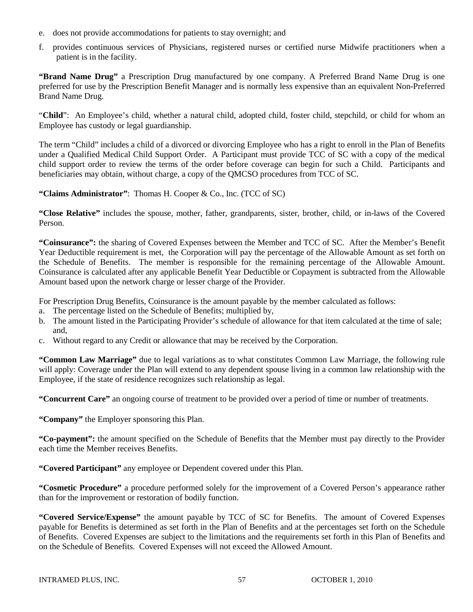- e. does not provide accommodations for patients to stay overnight; and
- f. provides continuous services of Physicians, registered nurses or certified nurse Midwife practitioners when a patient is in the facility.

**"Brand Name Drug"** a Prescription Drug manufactured by one company. A Preferred Brand Name Drug is one preferred for use by the Prescription Benefit Manager and is normally less expensive than an equivalent Non-Preferred Brand Name Drug.

"**Child**": An Employee's child, whether a natural child, adopted child, foster child, stepchild, or child for whom an Employee has custody or legal guardianship.

The term "Child" includes a child of a divorced or divorcing Employee who has a right to enroll in the Plan of Benefits under a Qualified Medical Child Support Order. A Participant must provide TCC of SC with a copy of the medical child support order to review the terms of the order before coverage can begin for such a Child. Participants and beneficiaries may obtain, without charge, a copy of the QMCSO procedures from TCC of SC.

**"Claims Administrator"**: Thomas H. Cooper & Co., Inc. (TCC of SC)

**"Close Relative"** includes the spouse, mother, father, grandparents, sister, brother, child, or in-laws of the Covered Person.

**"Coinsurance":** the sharing of Covered Expenses between the Member and TCC of SC. After the Member's Benefit Year Deductible requirement is met, the Corporation will pay the percentage of the Allowable Amount as set forth on the Schedule of Benefits. The member is responsible for the remaining percentage of the Allowable Amount. Coinsurance is calculated after any applicable Benefit Year Deductible or Copayment is subtracted from the Allowable Amount based upon the network charge or lesser charge of the Provider.

For Prescription Drug Benefits, Coinsurance is the amount payable by the member calculated as follows:

- a. The percentage listed on the Schedule of Benefits; multiplied by,
- b. The amount listed in the Participating Provider's schedule of allowance for that item calculated at the time of sale; and,
- c. Without regard to any Credit or allowance that may be received by the Corporation.

**"Common Law Marriage"** due to legal variations as to what constitutes Common Law Marriage, the following rule will apply: Coverage under the Plan will extend to any dependent spouse living in a common law relationship with the Employee, if the state of residence recognizes such relationship as legal.

**"Concurrent Care"** an ongoing course of treatment to be provided over a period of time or number of treatments.

**"Company"** the Employer sponsoring this Plan.

**"Co-payment":** the amount specified on the Schedule of Benefits that the Member must pay directly to the Provider each time the Member receives Benefits.

**"Covered Participant"** any employee or Dependent covered under this Plan.

**"Cosmetic Procedure"** a procedure performed solely for the improvement of a Covered Person's appearance rather than for the improvement or restoration of bodily function.

**"Covered Service/Expense"** the amount payable by TCC of SC for Benefits. The amount of Covered Expenses payable for Benefits is determined as set forth in the Plan of Benefits and at the percentages set forth on the Schedule of Benefits. Covered Expenses are subject to the limitations and the requirements set forth in this Plan of Benefits and on the Schedule of Benefits. Covered Expenses will not exceed the Allowed Amount.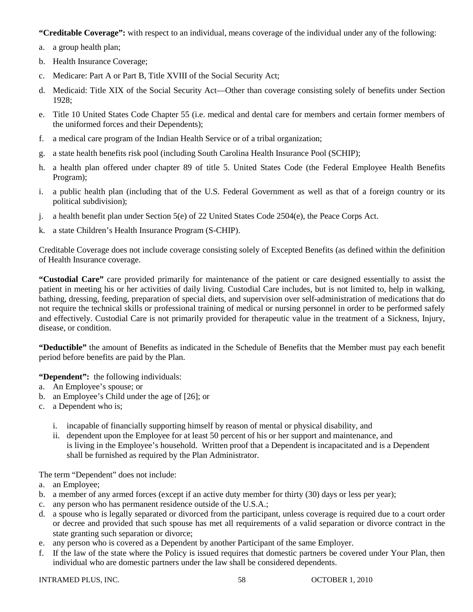**"Creditable Coverage":** with respect to an individual, means coverage of the individual under any of the following:

- a. a group health plan;
- b. Health Insurance Coverage;
- c. Medicare: Part A or Part B, Title XVIII of the Social Security Act;
- d. Medicaid: Title XIX of the Social Security Act—Other than coverage consisting solely of benefits under Section 1928;
- e. Title 10 United States Code Chapter 55 (i.e. medical and dental care for members and certain former members of the uniformed forces and their Dependents);
- f. a medical care program of the Indian Health Service or of a tribal organization;
- g. a state health benefits risk pool (including South Carolina Health Insurance Pool (SCHIP);
- h. a health plan offered under chapter 89 of title 5. United States Code (the Federal Employee Health Benefits Program);
- i. a public health plan (including that of the U.S. Federal Government as well as that of a foreign country or its political subdivision);
- j. a health benefit plan under Section 5(e) of 22 United States Code 2504(e), the Peace Corps Act.
- k. a state Children's Health Insurance Program (S-CHIP).

Creditable Coverage does not include coverage consisting solely of Excepted Benefits (as defined within the definition of Health Insurance coverage.

**"Custodial Care"** care provided primarily for maintenance of the patient or care designed essentially to assist the patient in meeting his or her activities of daily living. Custodial Care includes, but is not limited to, help in walking, bathing, dressing, feeding, preparation of special diets, and supervision over self-administration of medications that do not require the technical skills or professional training of medical or nursing personnel in order to be performed safely and effectively. Custodial Care is not primarily provided for therapeutic value in the treatment of a Sickness, Injury, disease, or condition.

**"Deductible"** the amount of Benefits as indicated in the Schedule of Benefits that the Member must pay each benefit period before benefits are paid by the Plan.

**"Dependent":** the following individuals:

- a. An Employee's spouse; or
- b. an Employee's Child under the age of [26]; or
- c. a Dependent who is;
	- i. incapable of financially supporting himself by reason of mental or physical disability, and
	- ii. dependent upon the Employee for at least 50 percent of his or her support and maintenance, and is living in the Employee's household. Written proof that a Dependent is incapacitated and is a Dependent shall be furnished as required by the Plan Administrator.

The term "Dependent" does not include:

- a. an Employee;
- b. a member of any armed forces (except if an active duty member for thirty (30) days or less per year);
- c. any person who has permanent residence outside of the U.S.A.;
- d. a spouse who is legally separated or divorced from the participant, unless coverage is required due to a court order or decree and provided that such spouse has met all requirements of a valid separation or divorce contract in the state granting such separation or divorce;
- e. any person who is covered as a Dependent by another Participant of the same Employer.
- f. If the law of the state where the Policy is issued requires that domestic partners be covered under Your Plan, then individual who are domestic partners under the law shall be considered dependents.

INTRAMED PLUS, INC.  $58$  OCTOBER 1, 2010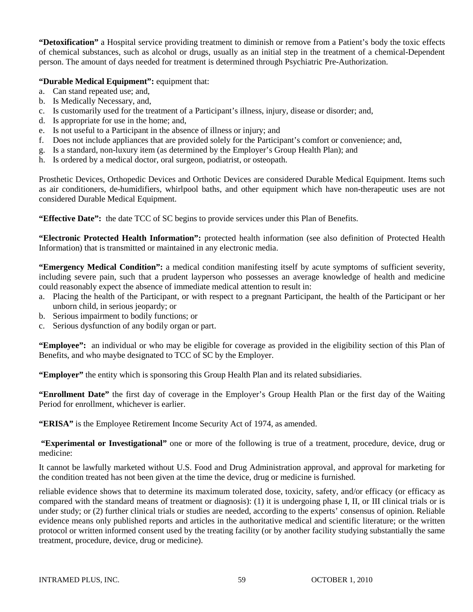**"Detoxification"** a Hospital service providing treatment to diminish or remove from a Patient's body the toxic effects of chemical substances, such as alcohol or drugs, usually as an initial step in the treatment of a chemical-Dependent person. The amount of days needed for treatment is determined through Psychiatric Pre-Authorization.

# **"Durable Medical Equipment":** equipment that:

- a. Can stand repeated use; and,
- b. Is Medically Necessary, and,
- c. Is customarily used for the treatment of a Participant's illness, injury, disease or disorder; and,
- d. Is appropriate for use in the home; and,
- e. Is not useful to a Participant in the absence of illness or injury; and
- f. Does not include appliances that are provided solely for the Participant's comfort or convenience; and,
- g. Is a standard, non-luxury item (as determined by the Employer's Group Health Plan); and
- h. Is ordered by a medical doctor, oral surgeon, podiatrist, or osteopath.

Prosthetic Devices, Orthopedic Devices and Orthotic Devices are considered Durable Medical Equipment. Items such as air conditioners, de-humidifiers, whirlpool baths, and other equipment which have non-therapeutic uses are not considered Durable Medical Equipment.

**"Effective Date":** the date TCC of SC begins to provide services under this Plan of Benefits.

**"Electronic Protected Health Information":** protected health information (see also definition of Protected Health Information) that is transmitted or maintained in any electronic media.

**"Emergency Medical Condition":** a medical condition manifesting itself by acute symptoms of sufficient severity, including severe pain, such that a prudent layperson who possesses an average knowledge of health and medicine could reasonably expect the absence of immediate medical attention to result in:

- a. Placing the health of the Participant, or with respect to a pregnant Participant, the health of the Participant or her unborn child, in serious jeopardy; or
- b. Serious impairment to bodily functions; or
- c. Serious dysfunction of any bodily organ or part.

**"Employee":** an individual or who may be eligible for coverage as provided in the eligibility section of this Plan of Benefits, and who maybe designated to TCC of SC by the Employer.

**"Employer"** the entity which is sponsoring this Group Health Plan and its related subsidiaries.

**"Enrollment Date"** the first day of coverage in the Employer's Group Health Plan or the first day of the Waiting Period for enrollment, whichever is earlier.

**"ERISA"** is the Employee Retirement Income Security Act of 1974, as amended.

**"Experimental or Investigational"** one or more of the following is true of a treatment, procedure, device, drug or medicine:

It cannot be lawfully marketed without U.S. Food and Drug Administration approval, and approval for marketing for the condition treated has not been given at the time the device, drug or medicine is furnished.

reliable evidence shows that to determine its maximum tolerated dose, toxicity, safety, and/or efficacy (or efficacy as compared with the standard means of treatment or diagnosis): (1) it is undergoing phase I, II, or III clinical trials or is under study; or (2) further clinical trials or studies are needed, according to the experts' consensus of opinion. Reliable evidence means only published reports and articles in the authoritative medical and scientific literature; or the written protocol or written informed consent used by the treating facility (or by another facility studying substantially the same treatment, procedure, device, drug or medicine).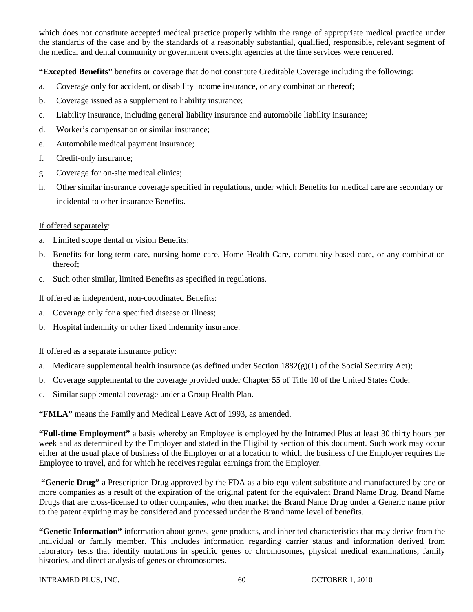which does not constitute accepted medical practice properly within the range of appropriate medical practice under the standards of the case and by the standards of a reasonably substantial, qualified, responsible, relevant segment of the medical and dental community or government oversight agencies at the time services were rendered.

**"Excepted Benefits"** benefits or coverage that do not constitute Creditable Coverage including the following:

- a. Coverage only for accident, or disability income insurance, or any combination thereof;
- b. Coverage issued as a supplement to liability insurance;
- c. Liability insurance, including general liability insurance and automobile liability insurance;
- d. Worker's compensation or similar insurance;
- e. Automobile medical payment insurance;
- f. Credit-only insurance;
- g. Coverage for on-site medical clinics;
- h. Other similar insurance coverage specified in regulations, under which Benefits for medical care are secondary or incidental to other insurance Benefits.

# If offered separately:

- a. Limited scope dental or vision Benefits;
- b. Benefits for long-term care, nursing home care, Home Health Care, community-based care, or any combination thereof;
- c. Such other similar, limited Benefits as specified in regulations.

# If offered as independent, non-coordinated Benefits:

- a. Coverage only for a specified disease or Illness;
- b. Hospital indemnity or other fixed indemnity insurance.

# If offered as a separate insurance policy:

- a. Medicare supplemental health insurance (as defined under Section 1882(g)(1) of the Social Security Act);
- b. Coverage supplemental to the coverage provided under Chapter 55 of Title 10 of the United States Code;
- c. Similar supplemental coverage under a Group Health Plan.

**"FMLA"** means the Family and Medical Leave Act of 1993, as amended.

**"Full-time Employment"** a basis whereby an Employee is employed by the Intramed Plus at least 30 thirty hours per week and as determined by the Employer and stated in the Eligibility section of this document. Such work may occur either at the usual place of business of the Employer or at a location to which the business of the Employer requires the Employee to travel, and for which he receives regular earnings from the Employer.

**"Generic Drug"** a Prescription Drug approved by the FDA as a bio-equivalent substitute and manufactured by one or more companies as a result of the expiration of the original patent for the equivalent Brand Name Drug. Brand Name Drugs that are cross-licensed to other companies, who then market the Brand Name Drug under a Generic name prior to the patent expiring may be considered and processed under the Brand name level of benefits.

**"Genetic Information"** information about genes, gene products, and inherited characteristics that may derive from the individual or family member. This includes information regarding carrier status and information derived from laboratory tests that identify mutations in specific genes or chromosomes, physical medical examinations, family histories, and direct analysis of genes or chromosomes.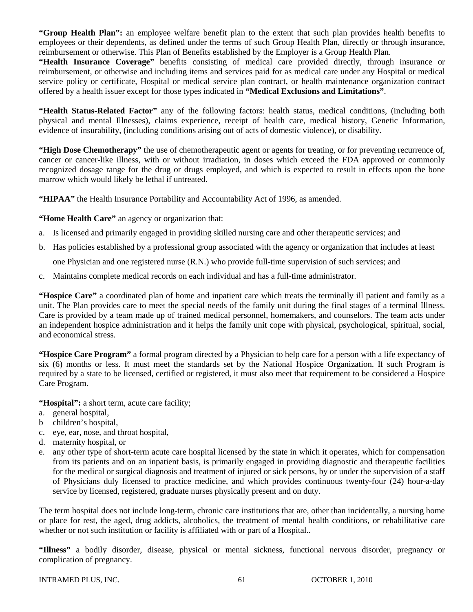**"Group Health Plan":** an employee welfare benefit plan to the extent that such plan provides health benefits to employees or their dependents, as defined under the terms of such Group Health Plan, directly or through insurance, reimbursement or otherwise. This Plan of Benefits established by the Employer is a Group Health Plan.

**"Health Insurance Coverage"** benefits consisting of medical care provided directly, through insurance or reimbursement, or otherwise and including items and services paid for as medical care under any Hospital or medical service policy or certificate, Hospital or medical service plan contract, or health maintenance organization contract offered by a health issuer except for those types indicated in **"Medical Exclusions and Limitations"**.

**"Health Status-Related Factor"** any of the following factors: health status, medical conditions, (including both physical and mental Illnesses), claims experience, receipt of health care, medical history, Genetic Information, evidence of insurability, (including conditions arising out of acts of domestic violence), or disability.

**"High Dose Chemotherapy"** the use of chemotherapeutic agent or agents for treating, or for preventing recurrence of, cancer or cancer-like illness, with or without irradiation, in doses which exceed the FDA approved or commonly recognized dosage range for the drug or drugs employed, and which is expected to result in effects upon the bone marrow which would likely be lethal if untreated.

"HIPAA" the Health Insurance Portability and Accountability Act of 1996, as amended.

**"Home Health Care"** an agency or organization that:

- a. Is licensed and primarily engaged in providing skilled nursing care and other therapeutic services; and
- b. Has policies established by a professional group associated with the agency or organization that includes at least

one Physician and one registered nurse (R.N.) who provide full-time supervision of such services; and

c. Maintains complete medical records on each individual and has a full-time administrator.

**"Hospice Care"** a coordinated plan of home and inpatient care which treats the terminally ill patient and family as a unit. The Plan provides care to meet the special needs of the family unit during the final stages of a terminal Illness. Care is provided by a team made up of trained medical personnel, homemakers, and counselors. The team acts under an independent hospice administration and it helps the family unit cope with physical, psychological, spiritual, social, and economical stress.

**"Hospice Care Program"** a formal program directed by a Physician to help care for a person with a life expectancy of six (6) months or less. It must meet the standards set by the National Hospice Organization. If such Program is required by a state to be licensed, certified or registered, it must also meet that requirement to be considered a Hospice Care Program.

**"Hospital":** a short term, acute care facility;

- a. general hospital,
- b children's hospital,
- c. eye, ear, nose, and throat hospital,
- d. maternity hospital, or
- e. any other type of short-term acute care hospital licensed by the state in which it operates, which for compensation from its patients and on an inpatient basis, is primarily engaged in providing diagnostic and therapeutic facilities for the medical or surgical diagnosis and treatment of injured or sick persons, by or under the supervision of a staff of Physicians duly licensed to practice medicine, and which provides continuous twenty-four (24) hour-a-day service by licensed, registered, graduate nurses physically present and on duty.

The term hospital does not include long-term, chronic care institutions that are, other than incidentally, a nursing home or place for rest, the aged, drug addicts, alcoholics, the treatment of mental health conditions, or rehabilitative care whether or not such institution or facility is affiliated with or part of a Hospital..

**"Illness"** a bodily disorder, disease, physical or mental sickness, functional nervous disorder, pregnancy or complication of pregnancy.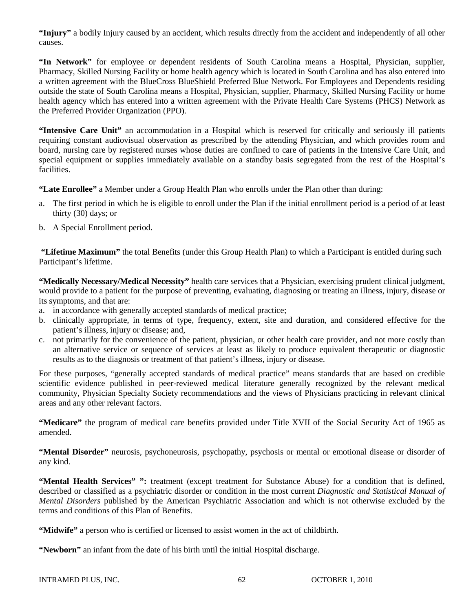**"Injury"** a bodily Injury caused by an accident, which results directly from the accident and independently of all other causes.

**"In Network"** for employee or dependent residents of South Carolina means a Hospital, Physician, supplier, Pharmacy, Skilled Nursing Facility or home health agency which is located in South Carolina and has also entered into a written agreement with the BlueCross BlueShield Preferred Blue Network. For Employees and Dependents residing outside the state of South Carolina means a Hospital, Physician, supplier, Pharmacy, Skilled Nursing Facility or home health agency which has entered into a written agreement with the Private Health Care Systems (PHCS) Network as the Preferred Provider Organization (PPO).

**"Intensive Care Unit"** an accommodation in a Hospital which is reserved for critically and seriously ill patients requiring constant audiovisual observation as prescribed by the attending Physician, and which provides room and board, nursing care by registered nurses whose duties are confined to care of patients in the Intensive Care Unit, and special equipment or supplies immediately available on a standby basis segregated from the rest of the Hospital's facilities.

**"Late Enrollee"** a Member under a Group Health Plan who enrolls under the Plan other than during:

- a. The first period in which he is eligible to enroll under the Plan if the initial enrollment period is a period of at least thirty (30) days; or
- b. A Special Enrollment period.

**"Lifetime Maximum"** the total Benefits (under this Group Health Plan) to which a Participant is entitled during such Participant's lifetime.

**"Medically Necessary/Medical Necessity"** health care services that a Physician, exercising prudent clinical judgment, would provide to a patient for the purpose of preventing, evaluating, diagnosing or treating an illness, injury, disease or its symptoms, and that are:

- a. in accordance with generally accepted standards of medical practice;
- b. clinically appropriate, in terms of type, frequency, extent, site and duration, and considered effective for the patient's illness, injury or disease; and,
- c. not primarily for the convenience of the patient, physician, or other health care provider, and not more costly than an alternative service or sequence of services at least as likely to produce equivalent therapeutic or diagnostic results as to the diagnosis or treatment of that patient's illness, injury or disease.

For these purposes, "generally accepted standards of medical practice" means standards that are based on credible scientific evidence published in peer-reviewed medical literature generally recognized by the relevant medical community, Physician Specialty Society recommendations and the views of Physicians practicing in relevant clinical areas and any other relevant factors.

**"Medicare"** the program of medical care benefits provided under Title XVII of the Social Security Act of 1965 as amended.

**"Mental Disorder"** neurosis, psychoneurosis, psychopathy, psychosis or mental or emotional disease or disorder of any kind.

**"Mental Health Services" ":** treatment (except treatment for Substance Abuse) for a condition that is defined, described or classified as a psychiatric disorder or condition in the most current *Diagnostic and Statistical Manual of Mental Disorders* published by the American Psychiatric Association and which is not otherwise excluded by the terms and conditions of this Plan of Benefits.

**"Midwife"** a person who is certified or licensed to assist women in the act of childbirth.

**"Newborn"** an infant from the date of his birth until the initial Hospital discharge.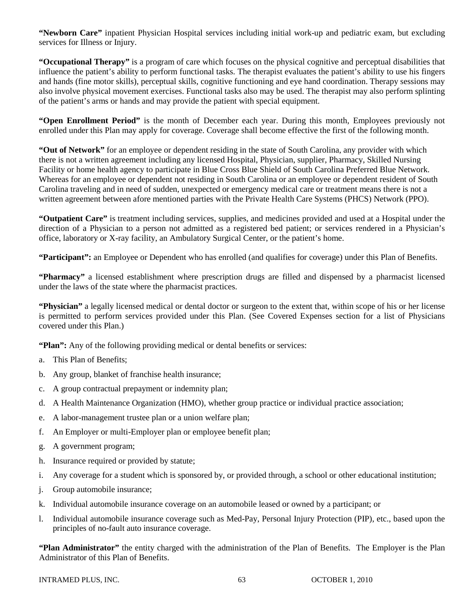**"Newborn Care"** inpatient Physician Hospital services including initial work-up and pediatric exam, but excluding services for Illness or Injury.

**"Occupational Therapy"** is a program of care which focuses on the physical cognitive and perceptual disabilities that influence the patient's ability to perform functional tasks. The therapist evaluates the patient's ability to use his fingers and hands (fine motor skills), perceptual skills, cognitive functioning and eye hand coordination. Therapy sessions may also involve physical movement exercises. Functional tasks also may be used. The therapist may also perform splinting of the patient's arms or hands and may provide the patient with special equipment.

**"Open Enrollment Period"** is the month of December each year. During this month, Employees previously not enrolled under this Plan may apply for coverage. Coverage shall become effective the first of the following month.

**"Out of Network"** for an employee or dependent residing in the state of South Carolina, any provider with which there is not a written agreement including any licensed Hospital, Physician, supplier, Pharmacy, Skilled Nursing Facility or home health agency to participate in Blue Cross Blue Shield of South Carolina Preferred Blue Network. Whereas for an employee or dependent not residing in South Carolina or an employee or dependent resident of South Carolina traveling and in need of sudden, unexpected or emergency medical care or treatment means there is not a written agreement between afore mentioned parties with the Private Health Care Systems (PHCS) Network (PPO).

**"Outpatient Care"** is treatment including services, supplies, and medicines provided and used at a Hospital under the direction of a Physician to a person not admitted as a registered bed patient; or services rendered in a Physician's office, laboratory or X-ray facility, an Ambulatory Surgical Center, or the patient's home.

**"Participant":** an Employee or Dependent who has enrolled (and qualifies for coverage) under this Plan of Benefits.

**"Pharmacy"** a licensed establishment where prescription drugs are filled and dispensed by a pharmacist licensed under the laws of the state where the pharmacist practices.

**"Physician"** a legally licensed medical or dental doctor or surgeon to the extent that, within scope of his or her license is permitted to perform services provided under this Plan. (See Covered Expenses section for a list of Physicians covered under this Plan.)

**"Plan":** Any of the following providing medical or dental benefits or services:

- a. This Plan of Benefits;
- b. Any group, blanket of franchise health insurance;
- c. A group contractual prepayment or indemnity plan;
- d. A Health Maintenance Organization (HMO), whether group practice or individual practice association;
- e. A labor-management trustee plan or a union welfare plan;
- f. An Employer or multi-Employer plan or employee benefit plan;
- g. A government program;
- h. Insurance required or provided by statute;
- i. Any coverage for a student which is sponsored by, or provided through, a school or other educational institution;
- j. Group automobile insurance;
- k. Individual automobile insurance coverage on an automobile leased or owned by a participant; or
- l. Individual automobile insurance coverage such as Med-Pay, Personal Injury Protection (PIP), etc., based upon the principles of no-fault auto insurance coverage.

**"Plan Administrator"** the entity charged with the administration of the Plan of Benefits. The Employer is the Plan Administrator of this Plan of Benefits.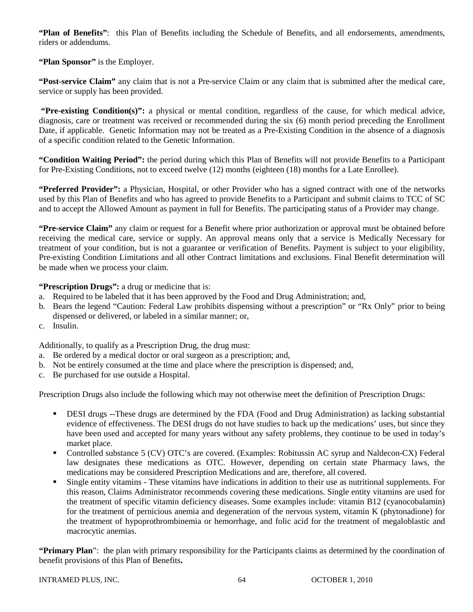**"Plan of Benefits"**: this Plan of Benefits including the Schedule of Benefits, and all endorsements, amendments, riders or addendums.

**"Plan Sponsor"** is the Employer.

**"Post-service Claim"** any claim that is not a Pre-service Claim or any claim that is submitted after the medical care, service or supply has been provided.

**"Pre-existing Condition(s)":** a physical or mental condition, regardless of the cause, for which medical advice, diagnosis, care or treatment was received or recommended during the six (6) month period preceding the Enrollment Date, if applicable. Genetic Information may not be treated as a Pre-Existing Condition in the absence of a diagnosis of a specific condition related to the Genetic Information.

**"Condition Waiting Period":** the period during which this Plan of Benefits will not provide Benefits to a Participant for Pre-Existing Conditions, not to exceed twelve (12) months (eighteen (18) months for a Late Enrollee).

**"Preferred Provider":** a Physician, Hospital, or other Provider who has a signed contract with one of the networks used by this Plan of Benefits and who has agreed to provide Benefits to a Participant and submit claims to TCC of SC and to accept the Allowed Amount as payment in full for Benefits. The participating status of a Provider may change.

**"Pre-service Claim"** any claim or request for a Benefit where prior authorization or approval must be obtained before receiving the medical care, service or supply. An approval means only that a service is Medically Necessary for treatment of your condition, but is not a guarantee or verification of Benefits. Payment is subject to your eligibility, Pre-existing Condition Limitations and all other Contract limitations and exclusions. Final Benefit determination will be made when we process your claim.

**"Prescription Drugs":** a drug or medicine that is:

- a. Required to be labeled that it has been approved by the Food and Drug Administration; and,
- b. Bears the legend "Caution: Federal Law prohibits dispensing without a prescription" or "Rx Only" prior to being dispensed or delivered, or labeled in a similar manner; or,
- c. Insulin.

Additionally, to qualify as a Prescription Drug, the drug must:

- a. Be ordered by a medical doctor or oral surgeon as a prescription; and,
- b. Not be entirely consumed at the time and place where the prescription is dispensed; and,
- c. Be purchased for use outside a Hospital.

Prescription Drugs also include the following which may not otherwise meet the definition of Prescription Drugs:

- DESI drugs --These drugs are determined by the FDA (Food and Drug Administration) as lacking substantial evidence of effectiveness. The DESI drugs do not have studies to back up the medications' uses, but since they have been used and accepted for many years without any safety problems, they continue to be used in today's market place.
- Controlled substance 5 (CV) OTC's are covered. (Examples: Robitussin AC syrup and Naldecon-CX) Federal law designates these medications as OTC. However, depending on certain state Pharmacy laws, the medications may be considered Prescription Medications and are, therefore, all covered.
- Single entity vitamins These vitamins have indications in addition to their use as nutritional supplements. For this reason, Claims Administrator recommends covering these medications. Single entity vitamins are used for the treatment of specific vitamin deficiency diseases. Some examples include: vitamin B12 (cyanocobalamin) for the treatment of pernicious anemia and degeneration of the nervous system, vitamin K (phytonadione) for the treatment of hypoprothrombinemia or hemorrhage, and folic acid for the treatment of megaloblastic and macrocytic anemias.

**"Primary Plan**": the plan with primary responsibility for the Participants claims as determined by the coordination of benefit provisions of this Plan of Benefits**.**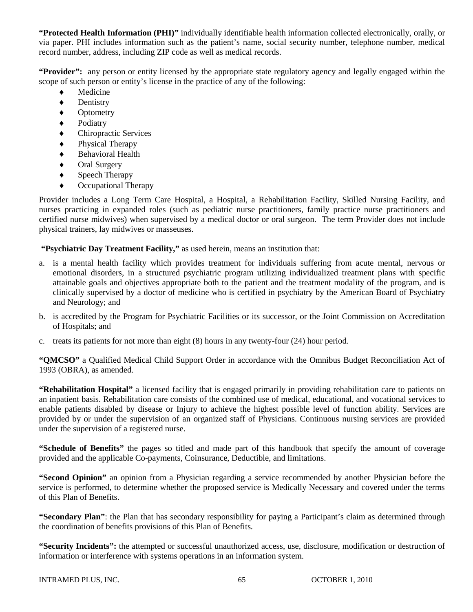**"Protected Health Information (PHI)"** individually identifiable health information collected electronically, orally, or via paper. PHI includes information such as the patient's name, social security number, telephone number, medical record number, address, including ZIP code as well as medical records.

**"Provider":** any person or entity licensed by the appropriate state regulatory agency and legally engaged within the scope of such person or entity's license in the practice of any of the following:

- Medicine
- ♦ Dentistry
- ♦ Optometry
- ♦ Podiatry
- ♦ Chiropractic Services
- ♦ Physical Therapy
- ♦ Behavioral Health
- Oral Surgery
- ♦ Speech Therapy
- Occupational Therapy

Provider includes a Long Term Care Hospital, a Hospital, a Rehabilitation Facility, Skilled Nursing Facility, and nurses practicing in expanded roles (such as pediatric nurse practitioners, family practice nurse practitioners and certified nurse midwives) when supervised by a medical doctor or oral surgeon. The term Provider does not include physical trainers, lay midwives or masseuses.

**"Psychiatric Day Treatment Facility,"** as used herein, means an institution that:

- a. is a mental health facility which provides treatment for individuals suffering from acute mental, nervous or emotional disorders, in a structured psychiatric program utilizing individualized treatment plans with specific attainable goals and objectives appropriate both to the patient and the treatment modality of the program, and is clinically supervised by a doctor of medicine who is certified in psychiatry by the American Board of Psychiatry and Neurology; and
- b. is accredited by the Program for Psychiatric Facilities or its successor, or the Joint Commission on Accreditation of Hospitals; and
- c. treats its patients for not more than eight (8) hours in any twenty-four (24) hour period.

**"QMCSO"** a Qualified Medical Child Support Order in accordance with the Omnibus Budget Reconciliation Act of 1993 (OBRA), as amended.

**"Rehabilitation Hospital"** a licensed facility that is engaged primarily in providing rehabilitation care to patients on an inpatient basis. Rehabilitation care consists of the combined use of medical, educational, and vocational services to enable patients disabled by disease or Injury to achieve the highest possible level of function ability. Services are provided by or under the supervision of an organized staff of Physicians. Continuous nursing services are provided under the supervision of a registered nurse.

**"Schedule of Benefits"** the pages so titled and made part of this handbook that specify the amount of coverage provided and the applicable Co-payments, Coinsurance, Deductible, and limitations.

**"Second Opinion"** an opinion from a Physician regarding a service recommended by another Physician before the service is performed, to determine whether the proposed service is Medically Necessary and covered under the terms of this Plan of Benefits.

**"Secondary Plan"**: the Plan that has secondary responsibility for paying a Participant's claim as determined through the coordination of benefits provisions of this Plan of Benefits.

**"Security Incidents":** the attempted or successful unauthorized access, use, disclosure, modification or destruction of information or interference with systems operations in an information system.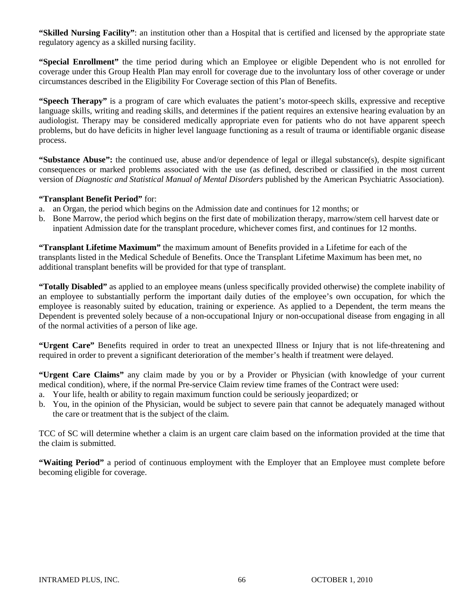**"Skilled Nursing Facility"**: an institution other than a Hospital that is certified and licensed by the appropriate state regulatory agency as a skilled nursing facility.

**"Special Enrollment"** the time period during which an Employee or eligible Dependent who is not enrolled for coverage under this Group Health Plan may enroll for coverage due to the involuntary loss of other coverage or under circumstances described in the Eligibility For Coverage section of this Plan of Benefits.

**"Speech Therapy"** is a program of care which evaluates the patient's motor-speech skills, expressive and receptive language skills, writing and reading skills, and determines if the patient requires an extensive hearing evaluation by an audiologist. Therapy may be considered medically appropriate even for patients who do not have apparent speech problems, but do have deficits in higher level language functioning as a result of trauma or identifiable organic disease process.

**"Substance Abuse":** the continued use, abuse and/or dependence of legal or illegal substance(s), despite significant consequences or marked problems associated with the use (as defined, described or classified in the most current version of *Diagnostic and Statistical Manual of Mental Disorders* published by the American Psychiatric Association).

## **"Transplant Benefit Period"** for:

- a. an Organ, the period which begins on the Admission date and continues for 12 months; or
- b. Bone Marrow, the period which begins on the first date of mobilization therapy, marrow/stem cell harvest date or inpatient Admission date for the transplant procedure, whichever comes first, and continues for 12 months.

**"Transplant Lifetime Maximum"** the maximum amount of Benefits provided in a Lifetime for each of the transplants listed in the Medical Schedule of Benefits. Once the Transplant Lifetime Maximum has been met, no additional transplant benefits will be provided for that type of transplant.

**"Totally Disabled"** as applied to an employee means (unless specifically provided otherwise) the complete inability of an employee to substantially perform the important daily duties of the employee's own occupation, for which the employee is reasonably suited by education, training or experience. As applied to a Dependent, the term means the Dependent is prevented solely because of a non-occupational Injury or non-occupational disease from engaging in all of the normal activities of a person of like age.

**"Urgent Care"** Benefits required in order to treat an unexpected Illness or Injury that is not life-threatening and required in order to prevent a significant deterioration of the member's health if treatment were delayed.

**"Urgent Care Claims"** any claim made by you or by a Provider or Physician (with knowledge of your current medical condition), where, if the normal Pre-service Claim review time frames of the Contract were used:

- a. Your life, health or ability to regain maximum function could be seriously jeopardized; or
- b. You, in the opinion of the Physician, would be subject to severe pain that cannot be adequately managed without the care or treatment that is the subject of the claim.

TCC of SC will determine whether a claim is an urgent care claim based on the information provided at the time that the claim is submitted.

**"Waiting Period"** a period of continuous employment with the Employer that an Employee must complete before becoming eligible for coverage.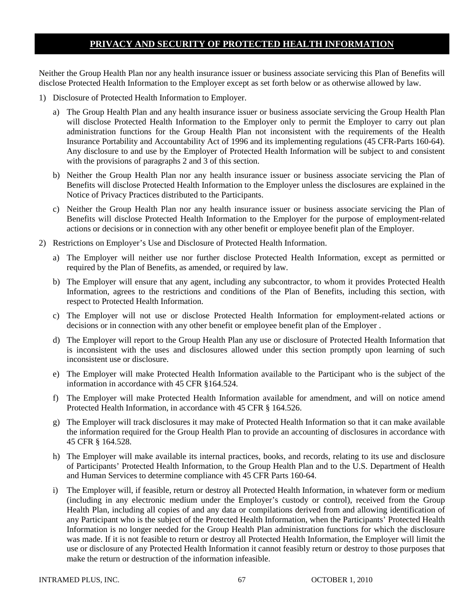# **PRIVACY AND SECURITY OF PROTECTED HEALTH INFORMATION**

Neither the Group Health Plan nor any health insurance issuer or business associate servicing this Plan of Benefits will disclose Protected Health Information to the Employer except as set forth below or as otherwise allowed by law.

- 1) Disclosure of Protected Health Information to Employer.
	- a) The Group Health Plan and any health insurance issuer or business associate servicing the Group Health Plan will disclose Protected Health Information to the Employer only to permit the Employer to carry out plan administration functions for the Group Health Plan not inconsistent with the requirements of the Health Insurance Portability and Accountability Act of 1996 and its implementing regulations (45 CFR-Parts 160-64). Any disclosure to and use by the Employer of Protected Health Information will be subject to and consistent with the provisions of paragraphs 2 and 3 of this section.
	- b) Neither the Group Health Plan nor any health insurance issuer or business associate servicing the Plan of Benefits will disclose Protected Health Information to the Employer unless the disclosures are explained in the Notice of Privacy Practices distributed to the Participants.
	- c) Neither the Group Health Plan nor any health insurance issuer or business associate servicing the Plan of Benefits will disclose Protected Health Information to the Employer for the purpose of employment-related actions or decisions or in connection with any other benefit or employee benefit plan of the Employer.
- 2) Restrictions on Employer's Use and Disclosure of Protected Health Information.
	- a) The Employer will neither use nor further disclose Protected Health Information, except as permitted or required by the Plan of Benefits, as amended, or required by law.
	- b) The Employer will ensure that any agent, including any subcontractor, to whom it provides Protected Health Information, agrees to the restrictions and conditions of the Plan of Benefits, including this section, with respect to Protected Health Information.
	- c) The Employer will not use or disclose Protected Health Information for employment-related actions or decisions or in connection with any other benefit or employee benefit plan of the Employer .
	- d) The Employer will report to the Group Health Plan any use or disclosure of Protected Health Information that is inconsistent with the uses and disclosures allowed under this section promptly upon learning of such inconsistent use or disclosure.
	- e) The Employer will make Protected Health Information available to the Participant who is the subject of the information in accordance with 45 CFR §164.524.
	- f) The Employer will make Protected Health Information available for amendment, and will on notice amend Protected Health Information, in accordance with 45 CFR § 164.526.
	- g) The Employer will track disclosures it may make of Protected Health Information so that it can make available the information required for the Group Health Plan to provide an accounting of disclosures in accordance with 45 CFR § 164.528.
	- h) The Employer will make available its internal practices, books, and records, relating to its use and disclosure of Participants' Protected Health Information, to the Group Health Plan and to the U.S. Department of Health and Human Services to determine compliance with 45 CFR Parts 160-64.
	- i) The Employer will, if feasible, return or destroy all Protected Health Information, in whatever form or medium (including in any electronic medium under the Employer's custody or control), received from the Group Health Plan, including all copies of and any data or compilations derived from and allowing identification of any Participant who is the subject of the Protected Health Information, when the Participants' Protected Health Information is no longer needed for the Group Health Plan administration functions for which the disclosure was made. If it is not feasible to return or destroy all Protected Health Information, the Employer will limit the use or disclosure of any Protected Health Information it cannot feasibly return or destroy to those purposes that make the return or destruction of the information infeasible.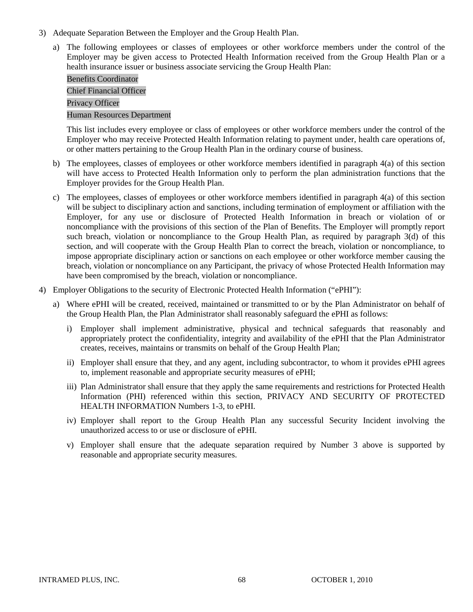- 3) Adequate Separation Between the Employer and the Group Health Plan.
	- a) The following employees or classes of employees or other workforce members under the control of the Employer may be given access to Protected Health Information received from the Group Health Plan or a health insurance issuer or business associate servicing the Group Health Plan:

# Benefits Coordinator Chief Financial Officer Privacy Officer Human Resources Department

This list includes every employee or class of employees or other workforce members under the control of the Employer who may receive Protected Health Information relating to payment under, health care operations of, or other matters pertaining to the Group Health Plan in the ordinary course of business.

- b) The employees, classes of employees or other workforce members identified in paragraph 4(a) of this section will have access to Protected Health Information only to perform the plan administration functions that the Employer provides for the Group Health Plan.
- c) The employees, classes of employees or other workforce members identified in paragraph  $4(a)$  of this section will be subject to disciplinary action and sanctions, including termination of employment or affiliation with the Employer, for any use or disclosure of Protected Health Information in breach or violation of or noncompliance with the provisions of this section of the Plan of Benefits. The Employer will promptly report such breach, violation or noncompliance to the Group Health Plan, as required by paragraph 3(d) of this section, and will cooperate with the Group Health Plan to correct the breach, violation or noncompliance, to impose appropriate disciplinary action or sanctions on each employee or other workforce member causing the breach, violation or noncompliance on any Participant, the privacy of whose Protected Health Information may have been compromised by the breach, violation or noncompliance.
- 4) Employer Obligations to the security of Electronic Protected Health Information ("ePHI"):
	- a) Where ePHI will be created, received, maintained or transmitted to or by the Plan Administrator on behalf of the Group Health Plan, the Plan Administrator shall reasonably safeguard the ePHI as follows:
		- i) Employer shall implement administrative, physical and technical safeguards that reasonably and appropriately protect the confidentiality, integrity and availability of the ePHI that the Plan Administrator creates, receives, maintains or transmits on behalf of the Group Health Plan;
		- ii) Employer shall ensure that they, and any agent, including subcontractor, to whom it provides ePHI agrees to, implement reasonable and appropriate security measures of ePHI;
		- iii) Plan Administrator shall ensure that they apply the same requirements and restrictions for Protected Health Information (PHI) referenced within this section, PRIVACY AND SECURITY OF PROTECTED HEALTH INFORMATION Numbers 1-3, to ePHI.
		- iv) Employer shall report to the Group Health Plan any successful Security Incident involving the unauthorized access to or use or disclosure of ePHI.
		- v) Employer shall ensure that the adequate separation required by Number 3 above is supported by reasonable and appropriate security measures.